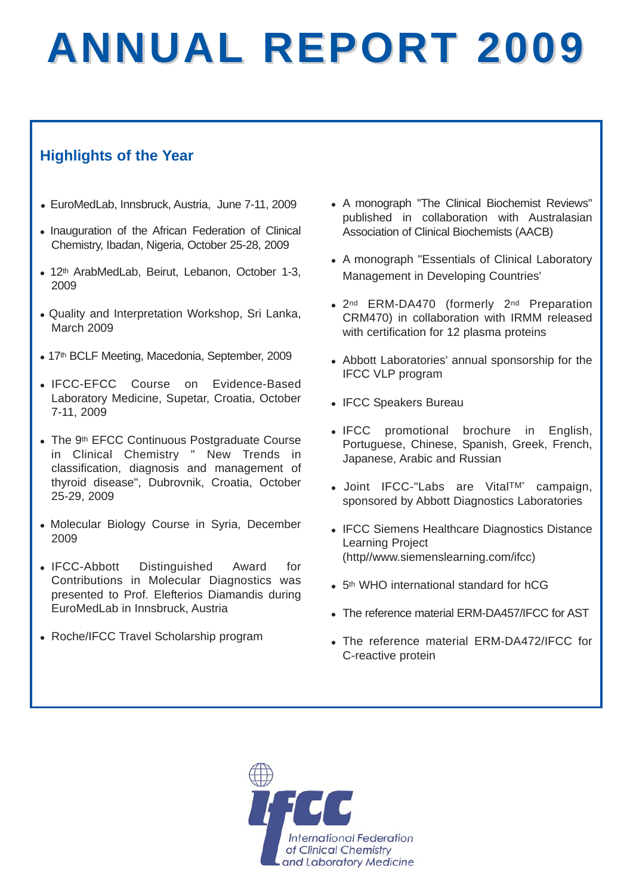# **ANNUAL REPORT 2009**

## **Highlights of the Year**

- EuroMedLab, Innsbruck, Austria, June 7-11, 2009
- Inauguration of the African Federation of Clinical Chemistry, Ibadan, Nigeria, October 25-28, 2009
- 12<sup>th</sup> ArabMedLab, Beirut, Lebanon, October 1-3, 2009
- Quality and Interpretation Workshop, Sri Lanka, March 2009
- 17<sup>th</sup> BCLF Meeting, Macedonia, September, 2009
- IFCC-EFCC Course on Evidence-Based Laboratory Medicine, Supetar, Croatia, October 7-11, 2009
- The 9th EFCC Continuous Postgraduate Course in Clinical Chemistry " New Trends in classification, diagnosis and management of thyroid disease", Dubrovnik, Croatia, October 25-29, 2009
- Molecular Biology Course in Syria, December 2009
- IFCC-Abbott Distinguished Award for Contributions in Molecular Diagnostics was presented to Prof. Elefterios Diamandis during EuroMedLab in Innsbruck, Austria
- Roche/IFCC Travel Scholarship program
- A monograph "The Clinical Biochemist Reviews" published in collaboration with Australasian Association of Clinical Biochemists (AACB)
- A monograph "Essentials of Clinical Laboratory Management in Developing Countries'
- 2<sup>nd</sup> ERM-DA470 (formerly 2<sup>nd</sup> Preparation CRM470) in collaboration with IRMM released with certification for 12 plasma proteins
- Abbott Laboratories' annual sponsorship for the IFCC VLP program
- IFCC Speakers Bureau
- IFCC promotional brochure in English, Portuguese, Chinese, Spanish, Greek, French, Japanese, Arabic and Russian
- Joint IFCC-"Labs are Vital<sup>TM"</sup> campaign, sponsored by Abbott Diagnostics Laboratories
- IFCC Siemens Healthcare Diagnostics Distance Learning Project (http//www.siemenslearning.com/ifcc)
- $\bullet$  5<sup>th</sup> WHO international standard for hCG
- The reference material ERM-DA457/IFCC for AST
- The reference material ERM-DA472/IFCC for C-reactive protein

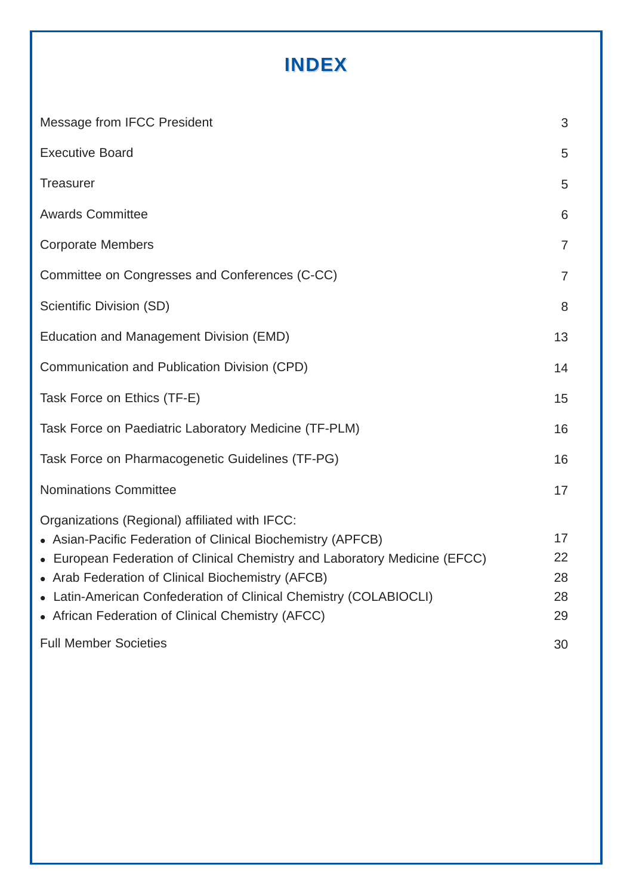# **INDEX**

| Message from IFCC President                                                                                                                                                                                                                                                                                                                                                | 3                          |
|----------------------------------------------------------------------------------------------------------------------------------------------------------------------------------------------------------------------------------------------------------------------------------------------------------------------------------------------------------------------------|----------------------------|
| <b>Executive Board</b>                                                                                                                                                                                                                                                                                                                                                     | 5                          |
| <b>Treasurer</b>                                                                                                                                                                                                                                                                                                                                                           | 5                          |
| <b>Awards Committee</b>                                                                                                                                                                                                                                                                                                                                                    | 6                          |
| <b>Corporate Members</b>                                                                                                                                                                                                                                                                                                                                                   | $\overline{7}$             |
| Committee on Congresses and Conferences (C-CC)                                                                                                                                                                                                                                                                                                                             | $\overline{7}$             |
| Scientific Division (SD)                                                                                                                                                                                                                                                                                                                                                   | 8                          |
| Education and Management Division (EMD)                                                                                                                                                                                                                                                                                                                                    | 13                         |
| Communication and Publication Division (CPD)                                                                                                                                                                                                                                                                                                                               | 14                         |
| Task Force on Ethics (TF-E)                                                                                                                                                                                                                                                                                                                                                | 15                         |
| Task Force on Paediatric Laboratory Medicine (TF-PLM)                                                                                                                                                                                                                                                                                                                      | 16                         |
| Task Force on Pharmacogenetic Guidelines (TF-PG)                                                                                                                                                                                                                                                                                                                           | 16                         |
| <b>Nominations Committee</b>                                                                                                                                                                                                                                                                                                                                               | 17                         |
| Organizations (Regional) affiliated with IFCC:<br>• Asian-Pacific Federation of Clinical Biochemistry (APFCB)<br>• European Federation of Clinical Chemistry and Laboratory Medicine (EFCC)<br>• Arab Federation of Clinical Biochemistry (AFCB)<br>• Latin-American Confederation of Clinical Chemistry (COLABIOCLI)<br>• African Federation of Clinical Chemistry (AFCC) | 17<br>22<br>28<br>28<br>29 |
| <b>Full Member Societies</b>                                                                                                                                                                                                                                                                                                                                               | 30                         |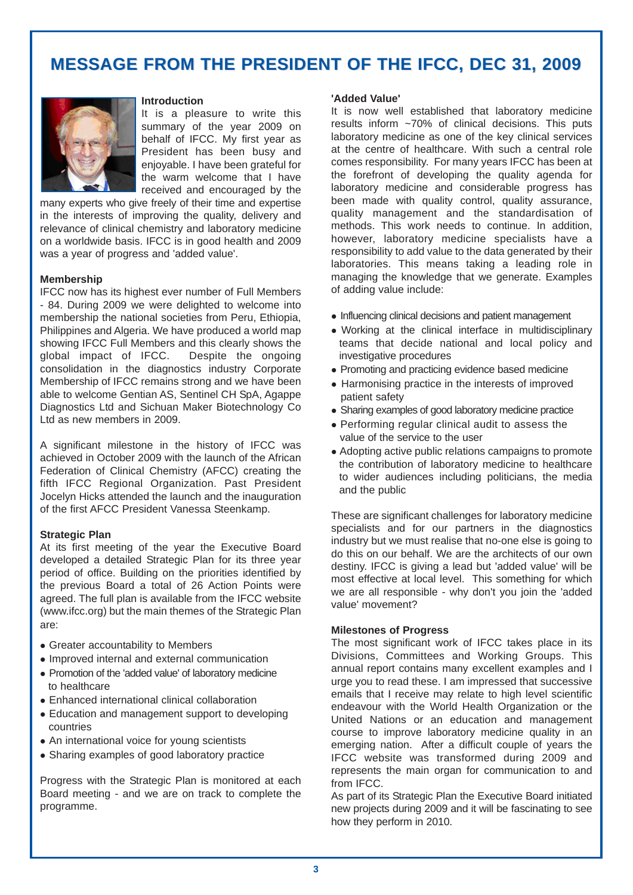# **MESSAGE FROM THE PRESIDENT OF THE IFCC, DEC 31, 2009**



#### **Introduction**

It is a pleasure to write this summary of the year 2009 on behalf of IFCC. My first year as President has been busy and enjoyable. I have been grateful for the warm welcome that I have received and encouraged by the

many experts who give freely of their time and expertise in the interests of improving the quality, delivery and relevance of clinical chemistry and laboratory medicine on a worldwide basis. IFCC is in good health and 2009 was a year of progress and 'added value'.

#### **Membership**

IFCC now has its highest ever number of Full Members - 84. During 2009 we were delighted to welcome into membership the national societies from Peru, Ethiopia, Philippines and Algeria. We have produced a world map showing IFCC Full Members and this clearly shows the global impact of IFCC. Despite the ongoing consolidation in the diagnostics industry Corporate Membership of IFCC remains strong and we have been able to welcome Gentian AS, Sentinel CH SpA, Agappe Diagnostics Ltd and Sichuan Maker Biotechnology Co Ltd as new members in 2009.

A significant milestone in the history of IFCC was achieved in October 2009 with the launch of the African Federation of Clinical Chemistry (AFCC) creating the fifth IFCC Regional Organization. Past President Jocelyn Hicks attended the launch and the inauguration of the first AFCC President Vanessa Steenkamp.

#### **Strategic Plan**

At its first meeting of the year the Executive Board developed a detailed Strategic Plan for its three year period of office. Building on the priorities identified by the previous Board a total of 26 Action Points were agreed. The full plan is available from the IFCC website (www.ifcc.org) but the main themes of the Strategic Plan are:

- Greater accountability to Members
- Improved internal and external communication
- Promotion of the 'added value' of laboratory medicine to healthcare
- Enhanced international clinical collaboration
- Education and management support to developing countries
- An international voice for young scientists
- Sharing examples of good laboratory practice

Progress with the Strategic Plan is monitored at each Board meeting - and we are on track to complete the programme.

#### **'Added Value'**

It is now well established that laboratory medicine results inform ~70% of clinical decisions. This puts laboratory medicine as one of the key clinical services at the centre of healthcare. With such a central role comes responsibility. For many years IFCC has been at the forefront of developing the quality agenda for laboratory medicine and considerable progress has been made with quality control, quality assurance, quality management and the standardisation of methods. This work needs to continue. In addition, however, laboratory medicine specialists have a responsibility to add value to the data generated by their laboratories. This means taking a leading role in managing the knowledge that we generate. Examples of adding value include:

- Influencing clinical decisions and patient management
- Working at the clinical interface in multidisciplinary teams that decide national and local policy and investigative procedures
- Promoting and practicing evidence based medicine
- Harmonising practice in the interests of improved patient safety
- Sharing examples of good laboratory medicine practice
- Performing regular clinical audit to assess the value of the service to the user
- Adopting active public relations campaigns to promote the contribution of laboratory medicine to healthcare to wider audiences including politicians, the media and the public

These are significant challenges for laboratory medicine specialists and for our partners in the diagnostics industry but we must realise that no-one else is going to do this on our behalf. We are the architects of our own destiny. IFCC is giving a lead but 'added value' will be most effective at local level. This something for which we are all responsible - why don't you join the 'added value' movement?

#### **Milestones of Progress**

The most significant work of IFCC takes place in its Divisions, Committees and Working Groups. This annual report contains many excellent examples and I urge you to read these. I am impressed that successive emails that I receive may relate to high level scientific endeavour with the World Health Organization or the United Nations or an education and management course to improve laboratory medicine quality in an emerging nation. After a difficult couple of years the IFCC website was transformed during 2009 and represents the main organ for communication to and from IFCC.

As part of its Strategic Plan the Executive Board initiated new projects during 2009 and it will be fascinating to see how they perform in 2010.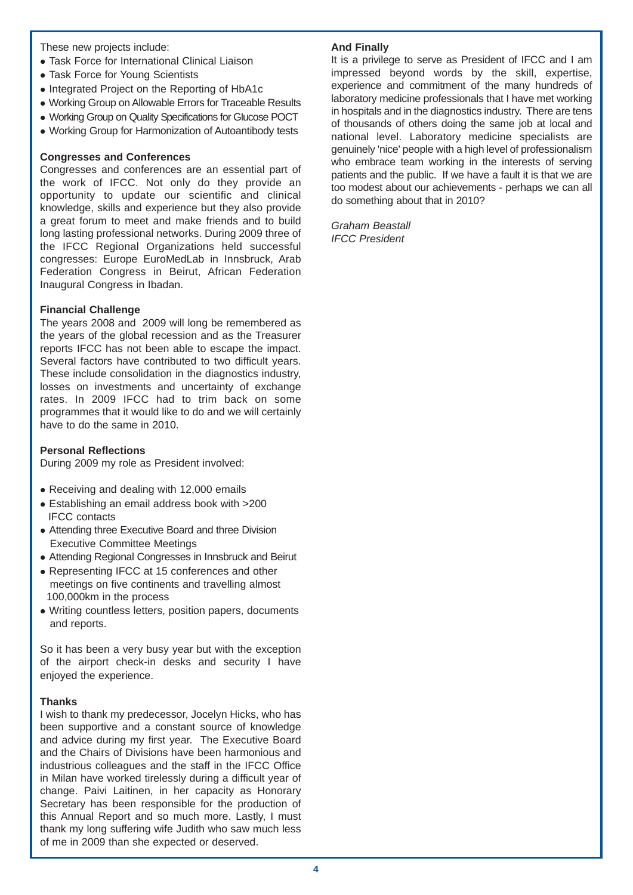These new projects include:

- Task Force for International Clinical Liaison
- Task Force for Young Scientists
- Integrated Project on the Reporting of HbA1c
- Working Group on Allowable Errors for Traceable Results
- Working Group on Quality Specifications for Glucose POCT
- Working Group for Harmonization of Autoantibody tests

## **Congresses and Conferences**

Congresses and conferences are an essential part of the work of IFCC. Not only do they provide an opportunity to update our scientific and clinical knowledge, skills and experience but they also provide a great forum to meet and make friends and to build long lasting professional networks. During 2009 three of the IFCC Regional Organizations held successful congresses: Europe EuroMedLab in Innsbruck, Arab Federation Congress in Beirut, African Federation Inaugural Congress in Ibadan.

## **Financial Challenge**

The years 2008 and 2009 will long be remembered as the years of the global recession and as the Treasurer reports IFCC has not been able to escape the impact. Several factors have contributed to two difficult years. These include consolidation in the diagnostics industry, losses on investments and uncertainty of exchange rates. In 2009 IFCC had to trim back on some programmes that it would like to do and we will certainly have to do the same in 2010.

## **Personal Reflections**

During 2009 my role as President involved:

- $\bullet$  Receiving and dealing with 12,000 emails
- Establishing an email address book with >200 IFCC contacts
- Attending three Executive Board and three Division Executive Committee Meetings
- Attending Regional Congresses in Innsbruck and Beirut
- Representing IFCC at 15 conferences and other meetings on five continents and travelling almost 100,000km in the process
- Writing countless letters, position papers, documents and reports.

So it has been a very busy year but with the exception of the airport check-in desks and security I have enjoyed the experience.

## **Thanks**

I wish to thank my predecessor, Jocelyn Hicks, who has been supportive and a constant source of knowledge and advice during my first year. The Executive Board and the Chairs of Divisions have been harmonious and industrious colleagues and the staff in the IFCC Office in Milan have worked tirelessly during a difficult year of change. Paivi Laitinen, in her capacity as Honorary Secretary has been responsible for the production of this Annual Report and so much more. Lastly, I must thank my long suffering wife Judith who saw much less of me in 2009 than she expected or deserved.

## **And Finally**

It is a privilege to serve as President of IFCC and I am impressed beyond words by the skill, expertise, experience and commitment of the many hundreds of laboratory medicine professionals that I have met working in hospitals and in the diagnostics industry. There are tens of thousands of others doing the same job at local and national level. Laboratory medicine specialists are genuinely 'nice' people with a high level of professionalism who embrace team working in the interests of serving patients and the public. If we have a fault it is that we are too modest about our achievements - perhaps we can all do something about that in 2010?

*Graham Beastall IFCC President*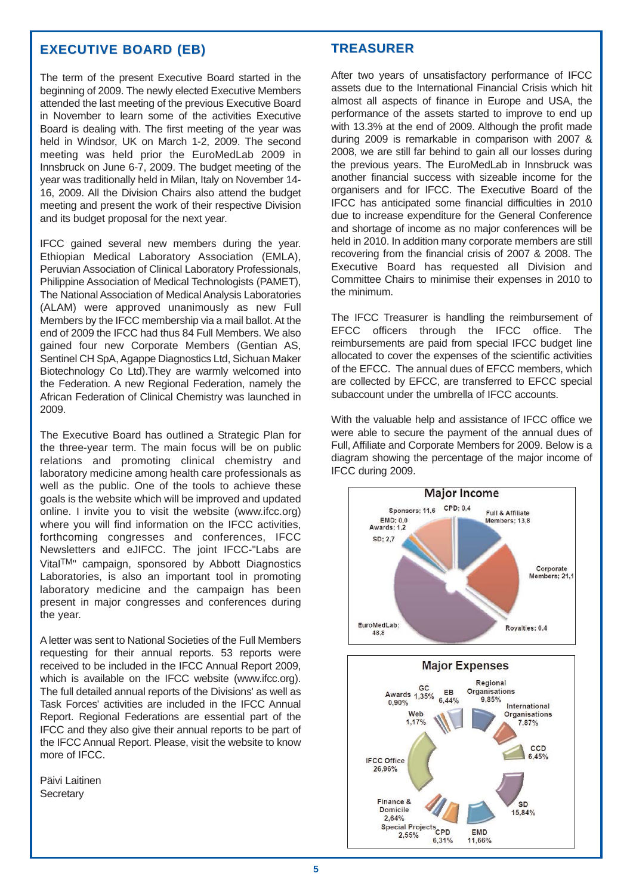## **EXECUTIVE BOARD (EB) EXECUTIVE BOARD (EB)**

The term of the present Executive Board started in the beginning of 2009. The newly elected Executive Members attended the last meeting of the previous Executive Board in November to learn some of the activities Executive Board is dealing with. The first meeting of the year was held in Windsor, UK on March 1-2, 2009. The second meeting was held prior the EuroMedLab 2009 in Innsbruck on June 6-7, 2009. The budget meeting of the year was traditionally held in Milan, Italy on November 14- 16, 2009. All the Division Chairs also attend the budget meeting and present the work of their respective Division and its budget proposal for the next year.

IFCC gained several new members during the year. Ethiopian Medical Laboratory Association (EMLA), Peruvian Association of Clinical Laboratory Professionals, Philippine Association of Medical Technologists (PAMET), The National Association of Medical Analysis Laboratories (ALAM) were approved unanimously as new Full Members by the IFCC membership via a mail ballot. At the end of 2009 the IFCC had thus 84 Full Members. We also gained four new Corporate Members (Gentian AS, Sentinel CH SpA, Agappe Diagnostics Ltd, Sichuan Maker Biotechnology Co Ltd).They are warmly welcomed into the Federation. A new Regional Federation, namely the African Federation of Clinical Chemistry was launched in 2009.

The Executive Board has outlined a Strategic Plan for the three-year term. The main focus will be on public relations and promoting clinical chemistry and laboratory medicine among health care professionals as well as the public. One of the tools to achieve these goals is the website which will be improved and updated online. I invite you to visit the website (www.ifcc.org) where you will find information on the IFCC activities, forthcoming congresses and conferences, IFCC Newsletters and eJIFCC. The joint IFCC-"Labs are VitalTM" campaign, sponsored by Abbott Diagnostics Laboratories, is also an important tool in promoting laboratory medicine and the campaign has been present in major congresses and conferences during the year.

A letter was sent to National Societies of the Full Members requesting for their annual reports. 53 reports were received to be included in the IFCC Annual Report 2009, which is available on the IFCC website (www.ifcc.org). The full detailed annual reports of the Divisions' as well as Task Forces' activities are included in the IFCC Annual Report. Regional Federations are essential part of the IFCC and they also give their annual reports to be part of the IFCC Annual Report. Please, visit the website to know more of IFCC.

Päivi Laitinen **Secretary** 

## **TREASURER**

After two years of unsatisfactory performance of IFCC assets due to the International Financial Crisis which hit almost all aspects of finance in Europe and USA, the performance of the assets started to improve to end up with 13.3% at the end of 2009. Although the profit made during 2009 is remarkable in comparison with 2007 & 2008, we are still far behind to gain all our losses during the previous years. The EuroMedLab in Innsbruck was another financial success with sizeable income for the organisers and for IFCC. The Executive Board of the IFCC has anticipated some financial difficulties in 2010 due to increase expenditure for the General Conference and shortage of income as no major conferences will be held in 2010. In addition many corporate members are still recovering from the financial crisis of 2007 & 2008. The Executive Board has requested all Division and Committee Chairs to minimise their expenses in 2010 to the minimum.

The IFCC Treasurer is handling the reimbursement of EFCC officers through the IFCC office. The reimbursements are paid from special IFCC budget line allocated to cover the expenses of the scientific activities of the EFCC. The annual dues of EFCC members, which are collected by EFCC, are transferred to EFCC special subaccount under the umbrella of IFCC accounts.

With the valuable help and assistance of IFCC office we were able to secure the payment of the annual dues of Full, Affiliate and Corporate Members for 2009. Below is a diagram showing the percentage of the major income of IFCC during 2009.

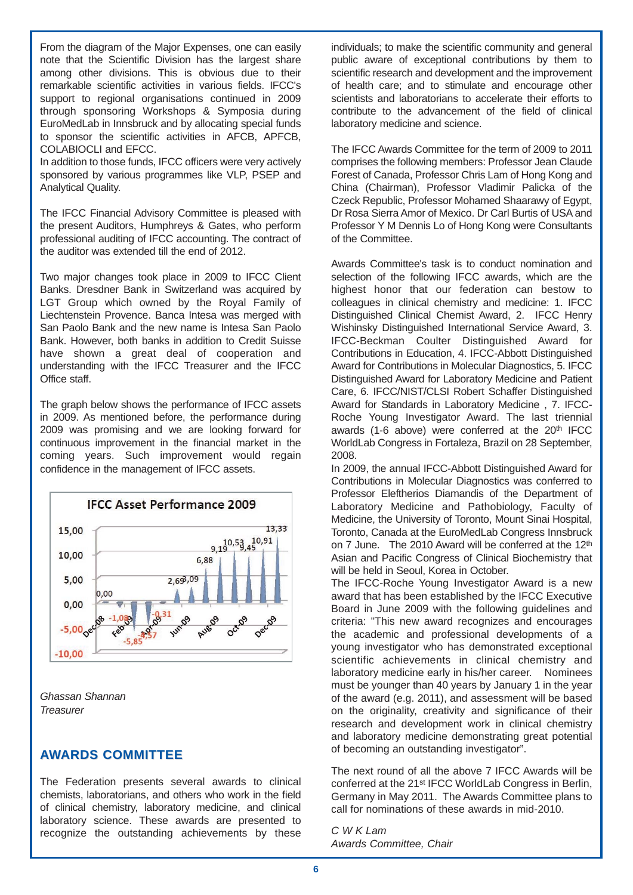From the diagram of the Major Expenses, one can easily note that the Scientific Division has the largest share among other divisions. This is obvious due to their remarkable scientific activities in various fields. IFCC's support to regional organisations continued in 2009 through sponsoring Workshops & Symposia during EuroMedLab in Innsbruck and by allocating special funds to sponsor the scientific activities in AFCB, APFCB, COLABIOCLI and EFCC.

In addition to those funds, IFCC officers were very actively sponsored by various programmes like VLP, PSEP and Analytical Quality.

The IFCC Financial Advisory Committee is pleased with the present Auditors, Humphreys & Gates, who perform professional auditing of IFCC accounting. The contract of the auditor was extended till the end of 2012.

Two major changes took place in 2009 to IFCC Client Banks. Dresdner Bank in Switzerland was acquired by LGT Group which owned by the Royal Family of Liechtenstein Provence. Banca Intesa was merged with San Paolo Bank and the new name is Intesa San Paolo Bank. However, both banks in addition to Credit Suisse have shown a great deal of cooperation and understanding with the IFCC Treasurer and the IFCC Office staff.

The graph below shows the performance of IFCC assets in 2009. As mentioned before, the performance during 2009 was promising and we are looking forward for continuous improvement in the financial market in the coming years. Such improvement would regain confidence in the management of IFCC assets.



*Ghassan Shannan Treasurer* 

## **AWARDS COMMITTEE**

The Federation presents several awards to clinical chemists, laboratorians, and others who work in the field of clinical chemistry, laboratory medicine, and clinical laboratory science. These awards are presented to recognize the outstanding achievements by these individuals; to make the scientific community and general public aware of exceptional contributions by them to scientific research and development and the improvement of health care; and to stimulate and encourage other scientists and laboratorians to accelerate their efforts to contribute to the advancement of the field of clinical laboratory medicine and science.

The IFCC Awards Committee for the term of 2009 to 2011 comprises the following members: Professor Jean Claude Forest of Canada, Professor Chris Lam of Hong Kong and China (Chairman), Professor Vladimir Palicka of the Czeck Republic, Professor Mohamed Shaarawy of Egypt, Dr Rosa Sierra Amor of Mexico. Dr Carl Burtis of USA and Professor Y M Dennis Lo of Hong Kong were Consultants of the Committee.

Awards Committee's task is to conduct nomination and selection of the following IFCC awards, which are the highest honor that our federation can bestow to colleagues in clinical chemistry and medicine: 1. IFCC Distinguished Clinical Chemist Award, 2. IFCC Henry Wishinsky Distinguished International Service Award, 3. IFCC-Beckman Coulter Distinguished Award for Contributions in Education, 4. IFCC-Abbott Distinguished Award for Contributions in Molecular Diagnostics, 5. IFCC Distinguished Award for Laboratory Medicine and Patient Care, 6. IFCC/NIST/CLSI Robert Schaffer Distinguished Award for Standards in Laboratory Medicine , 7. IFCC-Roche Young Investigator Award. The last triennial awards (1-6 above) were conferred at the 20th IFCC WorldLab Congress in Fortaleza, Brazil on 28 September, 2008.

In 2009, the annual IFCC-Abbott Distinguished Award for Contributions in Molecular Diagnostics was conferred to Professor Eleftherios Diamandis of the Department of Laboratory Medicine and Pathobiology, Faculty of Medicine, the University of Toronto, Mount Sinai Hospital, Toronto, Canada at the EuroMedLab Congress Innsbruck on 7 June. The 2010 Award will be conferred at the 12th Asian and Pacific Congress of Clinical Biochemistry that will be held in Seoul, Korea in October.

The IFCC-Roche Young Investigator Award is a new award that has been established by the IFCC Executive Board in June 2009 with the following guidelines and criteria: "This new award recognizes and encourages the academic and professional developments of a young investigator who has demonstrated exceptional scientific achievements in clinical chemistry and laboratory medicine early in his/her career. Nominees must be younger than 40 years by January 1 in the year of the award (e.g. 2011), and assessment will be based on the originality, creativity and significance of their research and development work in clinical chemistry and laboratory medicine demonstrating great potential of becoming an outstanding investigator".

The next round of all the above 7 IFCC Awards will be conferred at the 21st IFCC WorldLab Congress in Berlin, Germany in May 2011. The Awards Committee plans to call for nominations of these awards in mid-2010.

*C W K Lam Awards Committee, Chair*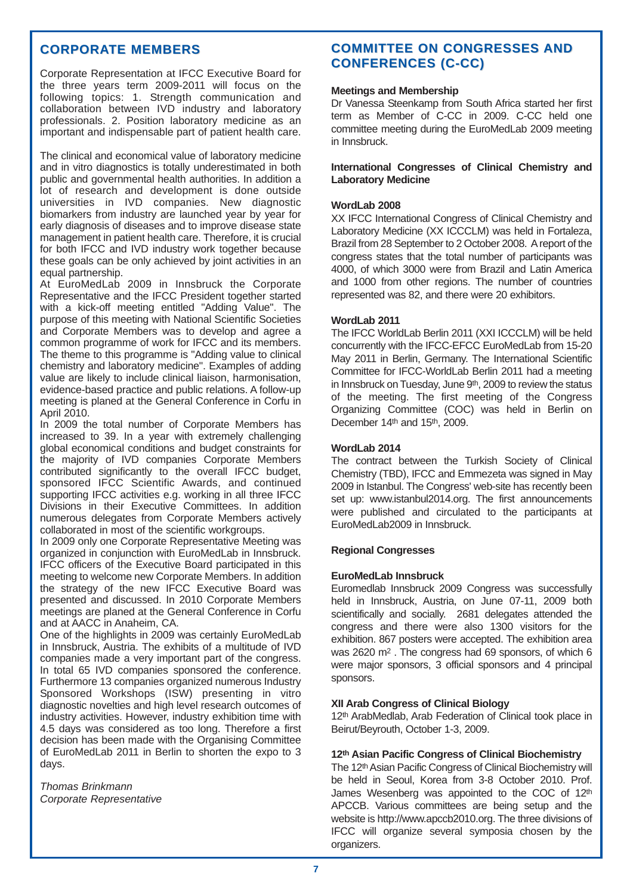## **CORPORATE MEMBERS**

Corporate Representation at IFCC Executive Board for the three years term 2009-2011 will focus on the following topics: 1. Strength communication and collaboration between IVD industry and laboratory professionals. 2. Position laboratory medicine as an important and indispensable part of patient health care.

The clinical and economical value of laboratory medicine and in vitro diagnostics is totally underestimated in both public and governmental health authorities. In addition a lot of research and development is done outside universities in IVD companies. New diagnostic biomarkers from industry are launched year by year for early diagnosis of diseases and to improve disease state management in patient health care. Therefore, it is crucial for both IFCC and IVD industry work together because these goals can be only achieved by joint activities in an equal partnership.

At EuroMedLab 2009 in Innsbruck the Corporate Representative and the IFCC President together started with a kick-off meeting entitled "Adding Value". The purpose of this meeting with National Scientific Societies and Corporate Members was to develop and agree a common programme of work for IFCC and its members. The theme to this programme is "Adding value to clinical chemistry and laboratory medicine". Examples of adding value are likely to include clinical liaison, harmonisation, evidence-based practice and public relations. A follow-up meeting is planed at the General Conference in Corfu in April 2010.

In 2009 the total number of Corporate Members has increased to 39. In a year with extremely challenging global economical conditions and budget constraints for the majority of IVD companies Corporate Members contributed significantly to the overall IFCC budget, sponsored IFCC Scientific Awards, and continued supporting IFCC activities e.g. working in all three IFCC Divisions in their Executive Committees. In addition numerous delegates from Corporate Members actively collaborated in most of the scientific workgroups.

In 2009 only one Corporate Representative Meeting was organized in conjunction with EuroMedLab in Innsbruck. IFCC officers of the Executive Board participated in this meeting to welcome new Corporate Members. In addition the strategy of the new IFCC Executive Board was presented and discussed. In 2010 Corporate Members meetings are planed at the General Conference in Corfu and at AACC in Anaheim, CA.

One of the highlights in 2009 was certainly EuroMedLab in Innsbruck, Austria. The exhibits of a multitude of IVD companies made a very important part of the congress. In total 65 IVD companies sponsored the conference. Furthermore 13 companies organized numerous Industry Sponsored Workshops (ISW) presenting in vitro diagnostic novelties and high level research outcomes of industry activities. However, industry exhibition time with 4.5 days was considered as too long. Therefore a first decision has been made with the Organising Committee of EuroMedLab 2011 in Berlin to shorten the expo to 3 days.

*Thomas Brinkmann Corporate Representative*

## **COMMITTEE ON CONGRESSES AND CONFERENCES (C-CC) CONFERENCES (C-CC)**

## **Meetings and Membership**

Dr Vanessa Steenkamp from South Africa started her first term as Member of C-CC in 2009. C-CC held one committee meeting during the EuroMedLab 2009 meeting in Innsbruck.

## **International Congresses of Clinical Chemistry and Laboratory Medicine**

## **WordLab 2008**

XX IFCC International Congress of Clinical Chemistry and Laboratory Medicine (XX ICCCLM) was held in Fortaleza, Brazil from 28 September to 2 October 2008. Areport of the congress states that the total number of participants was 4000, of which 3000 were from Brazil and Latin America and 1000 from other regions. The number of countries represented was 82, and there were 20 exhibitors.

## **WordLab 2011**

The IFCC WorldLab Berlin 2011 (XXI ICCCLM) will be held concurrently with the IFCC-EFCC EuroMedLab from 15-20 May 2011 in Berlin, Germany. The International Scientific Committee for IFCC-WorldLab Berlin 2011 had a meeting in Innsbruck on Tuesday, June 9th, 2009 to review the status of the meeting. The first meeting of the Congress Organizing Committee (COC) was held in Berlin on December 14th and 15th, 2009.

## **WordLab 2014**

The contract between the Turkish Society of Clinical Chemistry (TBD), IFCC and Emmezeta was signed in May 2009 in Istanbul. The Congress' web-site has recently been set up: www.istanbul2014.org. The first announcements were published and circulated to the participants at EuroMedLab2009 in Innsbruck.

#### **Regional Congresses**

#### **EuroMedLab Innsbruck**

Euromedlab Innsbruck 2009 Congress was successfully held in Innsbruck, Austria, on June 07-11, 2009 both scientifically and socially. 2681 delegates attended the congress and there were also 1300 visitors for the exhibition. 867 posters were accepted. The exhibition area was 2620 m2 . The congress had 69 sponsors, of which 6 were major sponsors, 3 official sponsors and 4 principal sponsors.

#### **XII Arab Congress of Clinical Biology**

12th ArabMedlab, Arab Federation of Clinical took place in Beirut/Beyrouth, October 1-3, 2009.

#### **12th Asian Pacific Congress of Clinical Biochemistry**

The 12<sup>th</sup> Asian Pacific Congress of Clinical Biochemistry will be held in Seoul, Korea from 3-8 October 2010. Prof. James Wesenberg was appointed to the COC of 12th APCCB. Various committees are being setup and the website is http://www.apccb2010.org. The three divisions of IFCC will organize several symposia chosen by the organizers.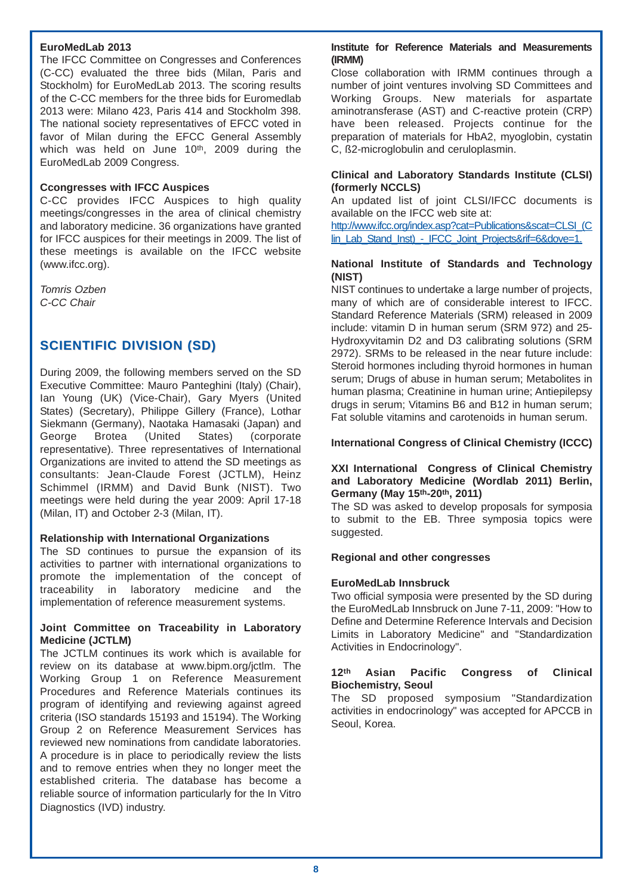## **EuroMedLab 2013**

The IFCC Committee on Congresses and Conferences (C-CC) evaluated the three bids (Milan, Paris and Stockholm) for EuroMedLab 2013. The scoring results of the C-CC members for the three bids for Euromedlab 2013 were: Milano 423, Paris 414 and Stockholm 398. The national society representatives of EFCC voted in favor of Milan during the EFCC General Assembly which was held on June 10<sup>th</sup>, 2009 during the EuroMedLab 2009 Congress.

## **Ccongresses with IFCC Auspices**

C-CC provides IFCC Auspices to high quality meetings/congresses in the area of clinical chemistry and laboratory medicine. 36 organizations have granted for IFCC auspices for their meetings in 2009. The list of these meetings is available on the IFCC website (www.ifcc.org).

*Tomris Ozben C-CC Chair* 

## **SCIENTIFIC DIVISION (SD)**

During 2009, the following members served on the SD Executive Committee: Mauro Panteghini (Italy) (Chair), Ian Young (UK) (Vice-Chair), Gary Myers (United States) (Secretary), Philippe Gillery (France), Lothar Siekmann (Germany), Naotaka Hamasaki (Japan) and George Brotea (United States) (corporate representative). Three representatives of International Organizations are invited to attend the SD meetings as consultants: Jean-Claude Forest (JCTLM), Heinz Schimmel (IRMM) and David Bunk (NIST). Two meetings were held during the year 2009: April 17-18 (Milan, IT) and October 2-3 (Milan, IT).

## **Relationship with International Organizations**

The SD continues to pursue the expansion of its activities to partner with international organizations to promote the implementation of the concept of traceability in laboratory medicine and the implementation of reference measurement systems.

## **Joint Committee on Traceability in Laboratory Medicine (JCTLM)**

The JCTLM continues its work which is available for review on its database at www.bipm.org/jctlm. The Working Group 1 on Reference Measurement Procedures and Reference Materials continues its program of identifying and reviewing against agreed criteria (ISO standards 15193 and 15194). The Working Group 2 on Reference Measurement Services has reviewed new nominations from candidate laboratories. A procedure is in place to periodically review the lists and to remove entries when they no longer meet the established criteria. The database has become a reliable source of information particularly for the In Vitro Diagnostics (IVD) industry.

## **Institute for Reference Materials and Measurements (IRMM)**

Close collaboration with IRMM continues through a number of joint ventures involving SD Committees and Working Groups. New materials for aspartate aminotransferase (AST) and C-reactive protein (CRP) have been released. Projects continue for the preparation of materials for HbA2, myoglobin, cystatin C, ß2-microglobulin and ceruloplasmin.

## **Clinical and Laboratory Standards Institute (CLSI) (formerly NCCLS)**

An updated list of joint CLSI/IFCC documents is available on the IFCC web site at:

http://www.ifcc.org/index.asp?cat=Publications&scat=CLSI\_(C lin\_Lab\_Stand\_Inst) - IFCC\_Joint\_Projects&rif=6&dove=1.

## **National Institute of Standards and Technology (NIST)**

NIST continues to undertake a large number of projects, many of which are of considerable interest to IFCC. Standard Reference Materials (SRM) released in 2009 include: vitamin D in human serum (SRM 972) and 25- Hydroxyvitamin D2 and D3 calibrating solutions (SRM 2972). SRMs to be released in the near future include: Steroid hormones including thyroid hormones in human serum; Drugs of abuse in human serum; Metabolites in human plasma; Creatinine in human urine; Antiepilepsy drugs in serum; Vitamins B6 and B12 in human serum; Fat soluble vitamins and carotenoids in human serum.

## **International Congress of Clinical Chemistry (ICCC)**

## **XXI International Congress of Clinical Chemistry and Laboratory Medicine (Wordlab 2011) Berlin, Germany (May 15th-20th, 2011)**

The SD was asked to develop proposals for symposia to submit to the EB. Three symposia topics were suggested.

## **Regional and other congresses**

## **EuroMedLab Innsbruck**

Two official symposia were presented by the SD during the EuroMedLab Innsbruck on June 7-11, 2009: "How to Define and Determine Reference Intervals and Decision Limits in Laboratory Medicine" and "Standardization Activities in Endocrinology".

## **12th Asian Pacific Congress of Clinical Biochemistry, Seoul**

The SD proposed symposium "Standardization activities in endocrinology" was accepted for APCCB in Seoul, Korea.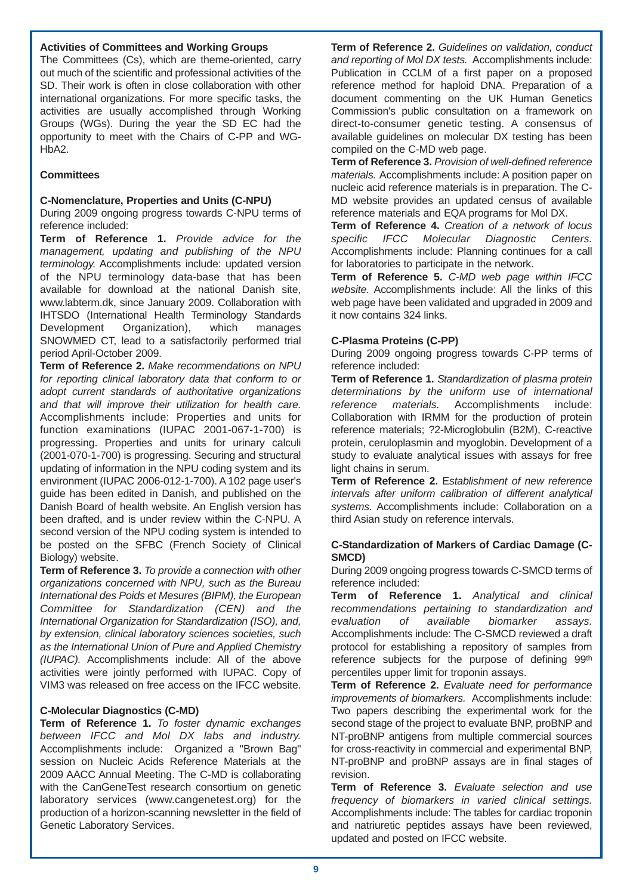## **Activities of Committees and Working Groups**

The Committees (Cs), which are theme-oriented, carry out much of the scientific and professional activities of the SD. Their work is often in close collaboration with other international organizations. For more specific tasks, the activities are usually accomplished through Working Groups (WGs). During the year the SD EC had the opportunity to meet with the Chairs of C-PP and WG-HbA2.

## **Committees**

## **C-Nomenclature, Properties and Units (C-NPU)**

During 2009 ongoing progress towards C-NPU terms of reference included:

**Term of Reference 1.** *Provide advice for the management, updating and publishing of the NPU terminology.* Accomplishments include: updated version of the NPU terminology data-base that has been available for download at the national Danish site, www.labterm.dk, since January 2009. Collaboration with IHTSDO (International Health Terminology Standards Development Organization), which manages SNOWMED CT, lead to a satisfactorily performed trial period April-October 2009.

**Term of Reference 2.** *Make recommendations on NPU for reporting clinical laboratory data that conform to or adopt current standards of authoritative organizations and that will improve their utilization for health care.* Accomplishments include: Properties and units for function examinations (IUPAC 2001-067-1-700) is progressing. Properties and units for urinary calculi (2001-070-1-700) is progressing. Securing and structural updating of information in the NPU coding system and its environment (IUPAC 2006-012-1-700). A 102 page user's guide has been edited in Danish, and published on the Danish Board of health website. An English version has been drafted, and is under review within the C-NPU. A second version of the NPU coding system is intended to be posted on the SFBC (French Society of Clinical Biology) website.

**Term of Reference 3.** *To provide a connection with other organizations concerned with NPU, such as the Bureau International des Poids et Mesures (BIPM), the European Committee for Standardization (CEN) and the International Organization for Standardization (ISO), and, by extension, clinical laboratory sciences societies, such as the International Union of Pure and Applied Chemistry (IUPAC).* Accomplishments include: All of the above activities were jointly performed with IUPAC. Copy of VIM3 was released on free access on the IFCC website.

## **C-Molecular Diagnostics (C-MD)**

**Term of Reference 1.** *To foster dynamic exchanges between IFCC and Mol DX labs and industry.* Accomplishments include: Organized a "Brown Bag" session on Nucleic Acids Reference Materials at the 2009 AACC Annual Meeting. The C-MD is collaborating with the CanGeneTest research consortium on genetic laboratory services (www.cangenetest.org) for the production of a horizon-scanning newsletter in the field of Genetic Laboratory Services.

**Term of Reference 2.** *Guidelines on validation, conduct and reporting of Mol DX tests.* Accomplishments include: Publication in CCLM of a first paper on a proposed reference method for haploid DNA. Preparation of a document commenting on the UK Human Genetics Commission's public consultation on a framework on direct-to-consumer genetic testing. A consensus of available guidelines on molecular DX testing has been compiled on the C-MD web page.

**Term of Reference 3.** *Provision of well-defined reference materials.* Accomplishments include: A position paper on nucleic acid reference materials is in preparation. The C-MD website provides an updated census of available reference materials and EQA programs for Mol DX.

**Term of Reference 4.** *Creation of a network of locus specific IFCC Molecular Diagnostic Centers.* Accomplishments include: Planning continues for a call for laboratories to participate in the network.

**Term of Reference 5.** *C-MD web page within IFCC website.* Accomplishments include: All the links of this web page have been validated and upgraded in 2009 and it now contains 324 links.

## **C-Plasma Proteins (C-PP)**

During 2009 ongoing progress towards C-PP terms of reference included:

**Term of Reference 1.** *Standardization of plasma protein determinations by the uniform use of international reference materials.* Accomplishments include: Collaboration with IRMM for the production of protein reference materials; ?2-Microglobulin (B2M), C-reactive protein, ceruloplasmin and myoglobin. Development of a study to evaluate analytical issues with assays for free light chains in serum.

**Term of Reference 2.** E*stablishment of new reference intervals after uniform calibration of different analytical systems.* Accomplishments include: Collaboration on a third Asian study on reference intervals.

## **C-Standardization of Markers of Cardiac Damage (C-SMCD)**

During 2009 ongoing progress towards C-SMCD terms of reference included:

**Term of Reference 1.** *Analytical and clinical recommendations pertaining to standardization and evaluation of available biomarker assays.* Accomplishments include: The C-SMCD reviewed a draft protocol for establishing a repository of samples from reference subjects for the purpose of defining 99th percentiles upper limit for troponin assays.

**Term of Reference 2.** *Evaluate need for performance improvements of biomarkers.* Accomplishments include: Two papers describing the experimental work for the second stage of the project to evaluate BNP, proBNP and NT-proBNP antigens from multiple commercial sources for cross-reactivity in commercial and experimental BNP, NT-proBNP and proBNP assays are in final stages of revision.

**Term of Reference 3.** *Evaluate selection and use frequency of biomarkers in varied clinical settings.* Accomplishments include: The tables for cardiac troponin and natriuretic peptides assays have been reviewed, updated and posted on IFCC website.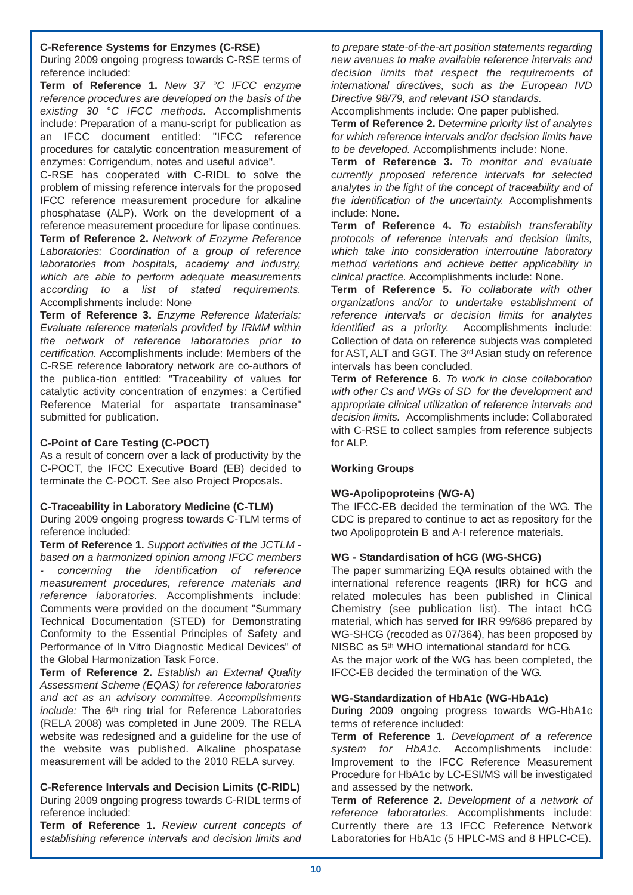## **C-Reference Systems for Enzymes (C-RSE)**

During 2009 ongoing progress towards C-RSE terms of reference included:

**Term of Reference 1.** *New 37 °C IFCC enzyme reference procedures are developed on the basis of the existing 30 °C IFCC methods.* Accomplishments include: Preparation of a manu-script for publication as an IFCC document entitled: "IFCC reference procedures for catalytic concentration measurement of enzymes: Corrigendum, notes and useful advice".

C-RSE has cooperated with C-RIDL to solve the problem of missing reference intervals for the proposed IFCC reference measurement procedure for alkaline phosphatase (ALP). Work on the development of a reference measurement procedure for lipase continues. **Term of Reference 2.** *Network of Enzyme Reference Laboratories: Coordination of a group of reference laboratories from hospitals, academy and industry, which are able to perform adequate measurements according to a list of stated requirements.* Accomplishments include: None

**Term of Reference 3.** *Enzyme Reference Materials: Evaluate reference materials provided by IRMM within the network of reference laboratories prior to certification.* Accomplishments include: Members of the C-RSE reference laboratory network are co-authors of the publica-tion entitled: "Traceability of values for catalytic activity concentration of enzymes: a Certified Reference Material for aspartate transaminase" submitted for publication.

## **C-Point of Care Testing (C-POCT)**

As a result of concern over a lack of productivity by the C-POCT, the IFCC Executive Board (EB) decided to terminate the C-POCT. See also Project Proposals.

## **C-Traceability in Laboratory Medicine (C-TLM)**

During 2009 ongoing progress towards C-TLM terms of reference included:

**Term of Reference 1.** *Support activities of the JCTLM based on a harmonized opinion among IFCC members - concerning the identification of reference measurement procedures, reference materials and reference laboratories.* Accomplishments include: Comments were provided on the document "Summary Technical Documentation (STED) for Demonstrating Conformity to the Essential Principles of Safety and Performance of In Vitro Diagnostic Medical Devices" of the Global Harmonization Task Force.

**Term of Reference 2.** *Establish an External Quality Assessment Scheme (EQAS) for reference laboratories and act as an advisory committee. Accomplishments include:* The 6<sup>th</sup> ring trial for Reference Laboratories (RELA 2008) was completed in June 2009. The RELA website was redesigned and a guideline for the use of the website was published. Alkaline phospatase measurement will be added to the 2010 RELA survey.

## **C-Reference Intervals and Decision Limits (C-RIDL)** During 2009 ongoing progress towards C-RIDL terms of reference included:

**Term of Reference 1.** *Review current concepts of establishing reference intervals and decision limits and*

*to prepare state-of-the-art position statements regarding new avenues to make available reference intervals and decision limits that respect the requirements of international directives, such as the European IVD Directive 98/79, and relevant ISO standards.*

Accomplishments include: One paper published.

**Term of Reference 2.** D*etermine priority list of analytes for which reference intervals and/or decision limits have to be developed.* Accomplishments include: None.

**Term of Reference 3.** *To monitor and evaluate currently proposed reference intervals for selected analytes in the light of the concept of traceability and of the identification of the uncertainty.* Accomplishments include: None.

**Term of Reference 4.** *To establish transferabilty protocols of reference intervals and decision limits, which take into consideration interroutine laboratory method variations and achieve better applicability in clinical practice.* Accomplishments include: None.

**Term of Reference 5.** *To collaborate with other organizations and/or to undertake establishment of reference intervals or decision limits for analytes identified as a priority.* Accomplishments include: Collection of data on reference subjects was completed for AST, ALT and GGT. The 3rd Asian study on reference intervals has been concluded.

**Term of Reference 6.** *To work in close collaboration with other Cs and WGs of SD for the development and appropriate clinical utilization of reference intervals and decision limits.* Accomplishments include: Collaborated with C-RSE to collect samples from reference subjects for ALP.

## **Working Groups**

## **WG-Apolipoproteins (WG-A)**

The IFCC-EB decided the termination of the WG. The CDC is prepared to continue to act as repository for the two Apolipoprotein B and A-I reference materials.

## **WG - Standardisation of hCG (WG-SHCG)**

The paper summarizing EQA results obtained with the international reference reagents (IRR) for hCG and related molecules has been published in Clinical Chemistry (see publication list). The intact hCG material, which has served for IRR 99/686 prepared by WG-SHCG (recoded as 07/364), has been proposed by NISBC as 5th WHO international standard for hCG. As the major work of the WG has been completed, the IFCC-EB decided the termination of the WG.

## **WG-Standardization of HbA1c (WG-HbA1c)**

During 2009 ongoing progress towards WG-HbA1c terms of reference included:

**Term of Reference 1.** *Development of a reference system for HbA1c.* Accomplishments include: Improvement to the IFCC Reference Measurement Procedure for HbA1c by LC-ESI/MS will be investigated and assessed by the network.

**Term of Reference 2.** *Development of a network of reference laboratories.* Accomplishments include: Currently there are 13 IFCC Reference Network Laboratories for HbA1c (5 HPLC-MS and 8 HPLC-CE).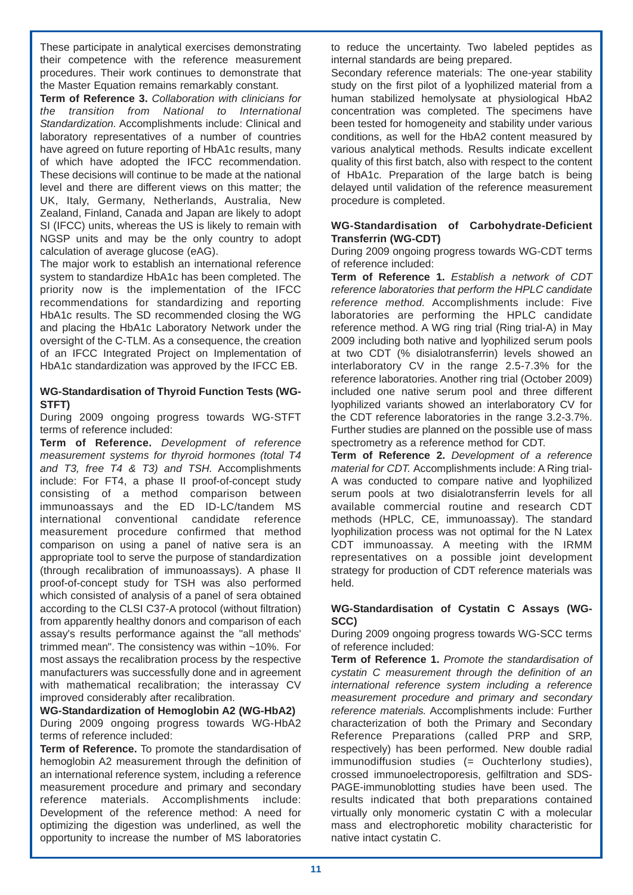These participate in analytical exercises demonstrating their competence with the reference measurement procedures. Their work continues to demonstrate that the Master Equation remains remarkably constant.

**Term of Reference 3.** *Collaboration with clinicians for the transition from National to International Standardization.* Accomplishments include: Clinical and laboratory representatives of a number of countries have agreed on future reporting of HbA1c results, many of which have adopted the IFCC recommendation. These decisions will continue to be made at the national level and there are different views on this matter; the UK, Italy, Germany, Netherlands, Australia, New Zealand, Finland, Canada and Japan are likely to adopt SI (IFCC) units, whereas the US is likely to remain with NGSP units and may be the only country to adopt calculation of average glucose (eAG).

The major work to establish an international reference system to standardize HbA1c has been completed. The priority now is the implementation of the IFCC recommendations for standardizing and reporting HbA1c results. The SD recommended closing the WG and placing the HbA1c Laboratory Network under the oversight of the C-TLM. As a consequence, the creation of an IFCC Integrated Project on Implementation of HbA1c standardization was approved by the IFCC EB.

## **WG-Standardisation of Thyroid Function Tests (WG-STFT)**

During 2009 ongoing progress towards WG-STFT terms of reference included:

**Term of Reference.** *Development of reference measurement systems for thyroid hormones (total T4 and T3, free T4 & T3) and TSH.* Accomplishments include: For FT4, a phase II proof-of-concept study consisting of a method comparison between immunoassays and the ED ID-LC/tandem MS international conventional candidate reference measurement procedure confirmed that method comparison on using a panel of native sera is an appropriate tool to serve the purpose of standardization (through recalibration of immunoassays). A phase II proof-of-concept study for TSH was also performed which consisted of analysis of a panel of sera obtained according to the CLSI C37-A protocol (without filtration) from apparently healthy donors and comparison of each assay's results performance against the "all methods' trimmed mean". The consistency was within ~10%. For most assays the recalibration process by the respective manufacturers was successfully done and in agreement with mathematical recalibration; the interassay CV improved considerably after recalibration.

#### **WG-Standardization of Hemoglobin A2 (WG-HbA2)** During 2009 ongoing progress towards WG-HbA2 terms of reference included:

**Term of Reference.** To promote the standardisation of hemoglobin A2 measurement through the definition of an international reference system, including a reference measurement procedure and primary and secondary reference materials. Accomplishments include: Development of the reference method: A need for optimizing the digestion was underlined, as well the opportunity to increase the number of MS laboratories to reduce the uncertainty. Two labeled peptides as internal standards are being prepared.

Secondary reference materials: The one-year stability study on the first pilot of a lyophilized material from a human stabilized hemolysate at physiological HbA2 concentration was completed. The specimens have been tested for homogeneity and stability under various conditions, as well for the HbA2 content measured by various analytical methods. Results indicate excellent quality of this first batch, also with respect to the content of HbA1c. Preparation of the large batch is being delayed until validation of the reference measurement procedure is completed.

## **WG-Standardisation of Carbohydrate-Deficient Transferrin (WG-CDT)**

During 2009 ongoing progress towards WG-CDT terms of reference included:

**Term of Reference 1.** *Establish a network of CDT reference laboratories that perform the HPLC candidate reference method.* Accomplishments include: Five laboratories are performing the HPLC candidate reference method. A WG ring trial (Ring trial-A) in May 2009 including both native and lyophilized serum pools at two CDT (% disialotransferrin) levels showed an interlaboratory CV in the range 2.5-7.3% for the reference laboratories. Another ring trial (October 2009) included one native serum pool and three different lyophilized variants showed an interlaboratory CV for the CDT reference laboratories in the range 3.2-3.7%. Further studies are planned on the possible use of mass spectrometry as a reference method for CDT.

**Term of Reference 2.** *Development of a reference material for CDT.* Accomplishments include: A Ring trial-A was conducted to compare native and lyophilized serum pools at two disialotransferrin levels for all available commercial routine and research CDT methods (HPLC, CE, immunoassay). The standard lyophilization process was not optimal for the N Latex CDT immunoassay. A meeting with the IRMM representatives on a possible joint development strategy for production of CDT reference materials was held.

## **WG-Standardisation of Cystatin C Assays (WG-SCC)**

During 2009 ongoing progress towards WG-SCC terms of reference included:

**Term of Reference 1.** *Promote the standardisation of cystatin C measurement through the definition of an international reference system including a reference measurement procedure and primary and secondary reference materials.* Accomplishments include: Further characterization of both the Primary and Secondary Reference Preparations (called PRP and SRP, respectively) has been performed. New double radial immunodiffusion studies (= Ouchterlony studies), crossed immunoelectroporesis, gelfiltration and SDS-PAGE-immunoblotting studies have been used. The results indicated that both preparations contained virtually only monomeric cystatin C with a molecular mass and electrophoretic mobility characteristic for native intact cystatin C.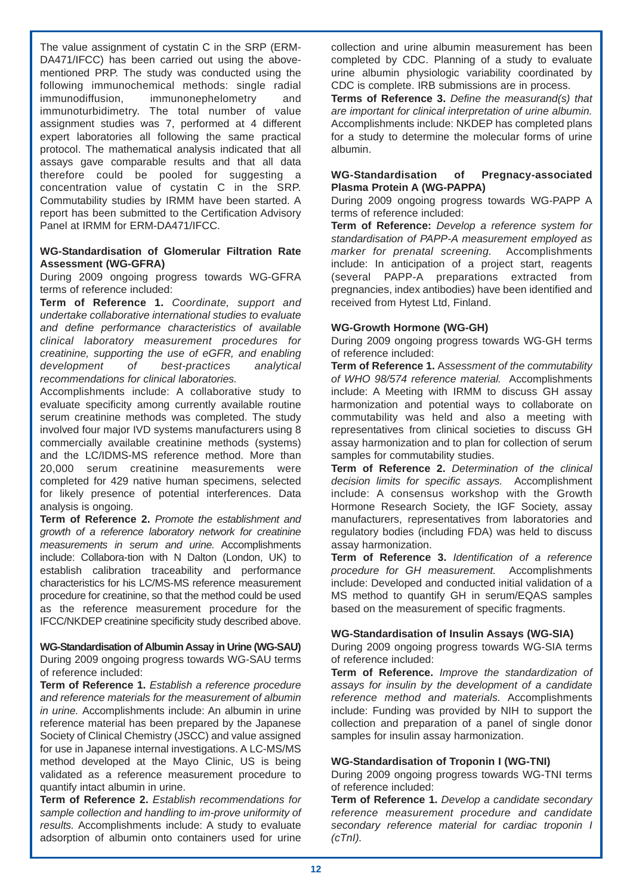The value assignment of cystatin C in the SRP (ERM-DA471/IFCC) has been carried out using the abovementioned PRP. The study was conducted using the following immunochemical methods: single radial immunodiffusion, immunonephelometry and immunoturbidimetry. The total number of value assignment studies was 7, performed at 4 different expert laboratories all following the same practical protocol. The mathematical analysis indicated that all assays gave comparable results and that all data therefore could be pooled for suggesting a concentration value of cystatin C in the SRP. Commutability studies by IRMM have been started. A report has been submitted to the Certification Advisory Panel at IRMM for ERM-DA471/IFCC.

## **WG-Standardisation of Glomerular Filtration Rate Assessment (WG-GFRA)**

During 2009 ongoing progress towards WG-GFRA terms of reference included:

**Term of Reference 1.** *Coordinate, support and undertake collaborative international studies to evaluate and define performance characteristics of available clinical laboratory measurement procedures for creatinine, supporting the use of eGFR, and enabling development of best-practices analytical recommendations for clinical laboratories.*

Accomplishments include: A collaborative study to evaluate specificity among currently available routine serum creatinine methods was completed. The study involved four major IVD systems manufacturers using 8 commercially available creatinine methods (systems) and the LC/IDMS-MS reference method. More than 20,000 serum creatinine measurements were completed for 429 native human specimens, selected for likely presence of potential interferences. Data analysis is ongoing.

**Term of Reference 2.** *Promote the establishment and growth of a reference laboratory network for creatinine measurements in serum and urine.* Accomplishments include: Collabora-tion with N Dalton (London, UK) to establish calibration traceability and performance characteristics for his LC/MS-MS reference measurement procedure for creatinine, so that the method could be used as the reference measurement procedure for the IFCC/NKDEP creatinine specificity study described above.

## **WG-Standardisation of Albumin Assay in Urine (WG-SAU)**

During 2009 ongoing progress towards WG-SAU terms of reference included:

**Term of Reference 1.** *Establish a reference procedure and reference materials for the measurement of albumin in urine.* Accomplishments include: An albumin in urine reference material has been prepared by the Japanese Society of Clinical Chemistry (JSCC) and value assigned for use in Japanese internal investigations. A LC-MS/MS method developed at the Mayo Clinic, US is being validated as a reference measurement procedure to quantify intact albumin in urine.

**Term of Reference 2.** *Establish recommendations for sample collection and handling to im-prove uniformity of results.* Accomplishments include: A study to evaluate adsorption of albumin onto containers used for urine

collection and urine albumin measurement has been completed by CDC. Planning of a study to evaluate urine albumin physiologic variability coordinated by CDC is complete. IRB submissions are in process.

**Terms of Reference 3.** *Define the measurand(s) that are important for clinical interpretation of urine albumin.* Accomplishments include: NKDEP has completed plans for a study to determine the molecular forms of urine albumin.

## **WG-Standardisation of Pregnacy-associated Plasma Protein A (WG-PAPPA)**

During 2009 ongoing progress towards WG-PAPP A terms of reference included:

**Term of Reference:** *Develop a reference system for standardisation of PAPP-A measurement employed as marker for prenatal screening.* include: In anticipation of a project start, reagents (several PAPP-A preparations extracted from pregnancies, index antibodies) have been identified and received from Hytest Ltd, Finland.

## **WG-Growth Hormone (WG-GH)**

During 2009 ongoing progress towards WG-GH terms of reference included:

**Term of Reference 1.** A*ssessment of the commutability of WHO 98/574 reference material.* Accomplishments include: A Meeting with IRMM to discuss GH assay harmonization and potential ways to collaborate on commutability was held and also a meeting with representatives from clinical societies to discuss GH assay harmonization and to plan for collection of serum samples for commutability studies.

**Term of Reference 2.** *Determination of the clinical decision limits for specific assays.* Accomplishment include: A consensus workshop with the Growth Hormone Research Society, the IGF Society, assay manufacturers, representatives from laboratories and regulatory bodies (including FDA) was held to discuss assay harmonization.

**Term of Reference 3.** *Identification of a reference procedure for GH measurement.* Accomplishments include: Developed and conducted initial validation of a MS method to quantify GH in serum/EQAS samples based on the measurement of specific fragments.

## **WG-Standardisation of Insulin Assays (WG-SIA)**

During 2009 ongoing progress towards WG-SIA terms of reference included:

**Term of Reference.** *Improve the standardization of assays for insulin by the development of a candidate reference method and materials.* Accomplishments include: Funding was provided by NIH to support the collection and preparation of a panel of single donor samples for insulin assay harmonization.

## **WG-Standardisation of Troponin I (WG-TNI)**

During 2009 ongoing progress towards WG-TNI terms of reference included:

**Term of Reference 1.** *Develop a candidate secondary reference measurement procedure and candidate secondary reference material for cardiac troponin I (cTnI).*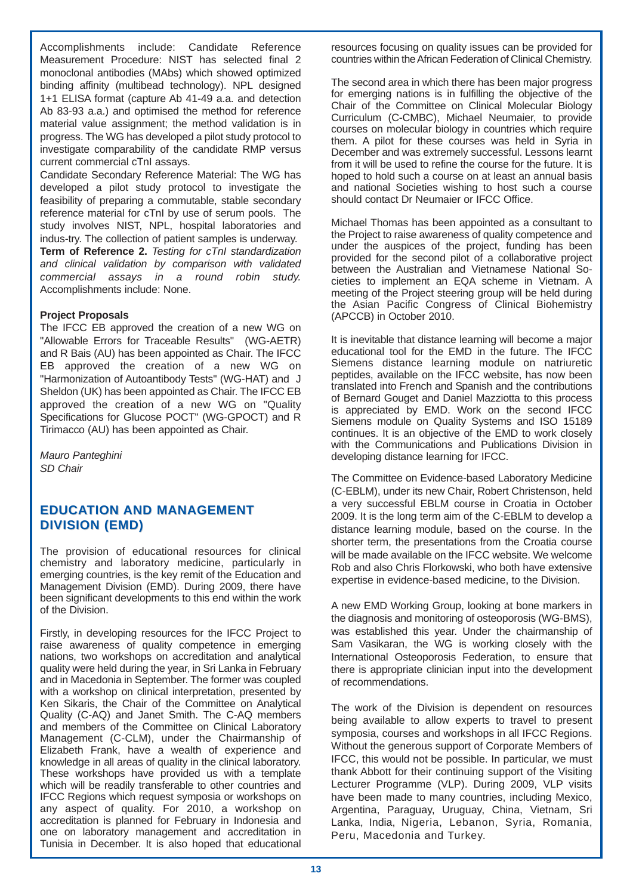Accomplishments include: Candidate Reference Measurement Procedure: NIST has selected final 2 monoclonal antibodies (MAbs) which showed optimized binding affinity (multibead technology). NPL designed 1+1 ELISA format (capture Ab 41-49 a.a. and detection Ab 83-93 a.a.) and optimised the method for reference material value assignment; the method validation is in progress. The WG has developed a pilot study protocol to investigate comparability of the candidate RMP versus current commercial cTnI assays.

Candidate Secondary Reference Material: The WG has developed a pilot study protocol to investigate the feasibility of preparing a commutable, stable secondary reference material for cTnI by use of serum pools. The study involves NIST, NPL, hospital laboratories and indus-try. The collection of patient samples is underway. **Term of Reference 2.** *Testing for cTnI standardization and clinical validation by comparison with validated commercial assays in a round robin study.* Accomplishments include: None.

## **Project Proposals**

The IFCC EB approved the creation of a new WG on "Allowable Errors for Traceable Results" (WG-AETR) and R Bais (AU) has been appointed as Chair. The IFCC EB approved the creation of a new WG on "Harmonization of Autoantibody Tests" (WG-HAT) and J Sheldon (UK) has been appointed as Chair. The IFCC EB approved the creation of a new WG on "Quality Specifications for Glucose POCT" (WG-GPOCT) and R Tirimacco (AU) has been appointed as Chair.

*Mauro Panteghini SD Chair*

## **EDUCATION AND MANAGEMENT DIVISION (EMD) DIVISION (EMD)**

The provision of educational resources for clinical chemistry and laboratory medicine, particularly in emerging countries, is the key remit of the Education and Management Division (EMD). During 2009, there have been significant developments to this end within the work of the Division.

Firstly, in developing resources for the IFCC Project to raise awareness of quality competence in emerging nations, two workshops on accreditation and analytical quality were held during the year, in Sri Lanka in February and in Macedonia in September. The former was coupled with a workshop on clinical interpretation, presented by Ken Sikaris, the Chair of the Committee on Analytical Quality (C-AQ) and Janet Smith. The C-AQ members and members of the Committee on Clinical Laboratory Management (C-CLM), under the Chairmanship of Elizabeth Frank, have a wealth of experience and knowledge in all areas of quality in the clinical laboratory. These workshops have provided us with a template which will be readily transferable to other countries and IFCC Regions which request symposia or workshops on any aspect of quality. For 2010, a workshop on accreditation is planned for February in Indonesia and one on laboratory management and accreditation in Tunisia in December. It is also hoped that educational resources focusing on quality issues can be provided for countries within the African Federation of Clinical Chemistry.

The second area in which there has been major progress for emerging nations is in fulfilling the objective of the Chair of the Committee on Clinical Molecular Biology Curriculum (C-CMBC), Michael Neumaier, to provide courses on molecular biology in countries which require them. A pilot for these courses was held in Syria in December and was extremely successful. Lessons learnt from it will be used to refine the course for the future. It is hoped to hold such a course on at least an annual basis and national Societies wishing to host such a course should contact Dr Neumaier or IFCC Office.

Michael Thomas has been appointed as a consultant to the Project to raise awareness of quality competence and under the auspices of the project, funding has been provided for the second pilot of a collaborative project between the Australian and Vietnamese National Societies to implement an EQA scheme in Vietnam. A meeting of the Project steering group will be held during the Asian Pacific Congress of Clinical Biohemistry (APCCB) in October 2010.

It is inevitable that distance learning will become a major educational tool for the EMD in the future. The IFCC Siemens distance learning module on natriuretic peptides, available on the IFCC website, has now been translated into French and Spanish and the contributions of Bernard Gouget and Daniel Mazziotta to this process is appreciated by EMD. Work on the second IFCC Siemens module on Quality Systems and ISO 15189 continues. It is an objective of the EMD to work closely with the Communications and Publications Division in developing distance learning for IFCC.

The Committee on Evidence-based Laboratory Medicine (C-EBLM), under its new Chair, Robert Christenson, held a very successful EBLM course in Croatia in October 2009. It is the long term aim of the C-EBLM to develop a distance learning module, based on the course. In the shorter term, the presentations from the Croatia course will be made available on the IFCC website. We welcome Rob and also Chris Florkowski, who both have extensive expertise in evidence-based medicine, to the Division.

A new EMD Working Group, looking at bone markers in the diagnosis and monitoring of osteoporosis (WG-BMS), was established this year. Under the chairmanship of Sam Vasikaran, the WG is working closely with the International Osteoporosis Federation, to ensure that there is appropriate clinician input into the development of recommendations.

The work of the Division is dependent on resources being available to allow experts to travel to present symposia, courses and workshops in all IFCC Regions. Without the generous support of Corporate Members of IFCC, this would not be possible. In particular, we must thank Abbott for their continuing support of the Visiting Lecturer Programme (VLP). During 2009, VLP visits have been made to many countries, including Mexico, Argentina, Paraguay, Uruguay, China, Vietnam, Sri Lanka, India, Nigeria, Lebanon, Syria, Romania, Peru, Macedonia and Turkey.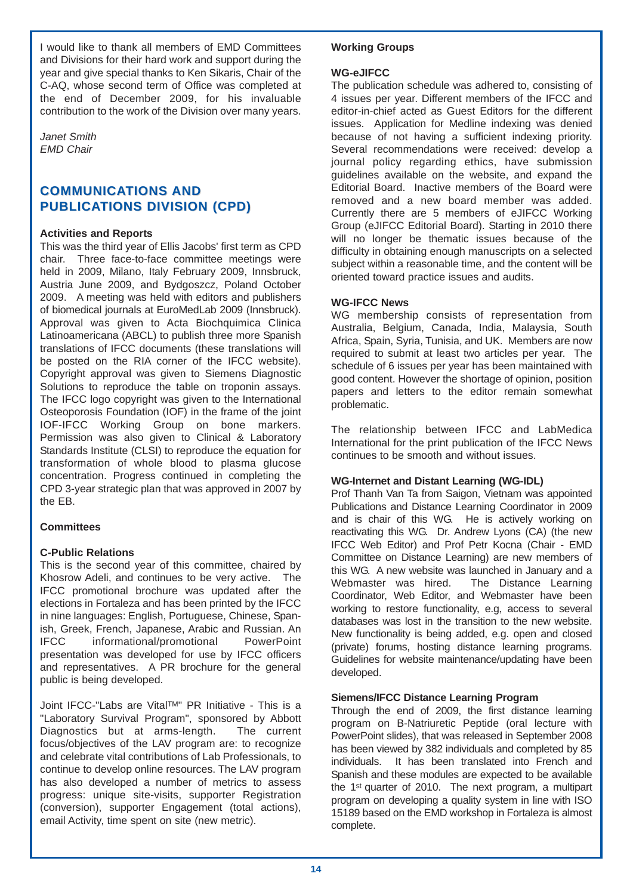I would like to thank all members of EMD Committees and Divisions for their hard work and support during the year and give special thanks to Ken Sikaris, Chair of the C-AQ, whose second term of Office was completed at the end of December 2009, for his invaluable contribution to the work of the Division over many years.

*Janet Smith EMD Chair*

## **COMMUNICATIONS AND PUBLICATIONS DIVISION (CPD)**

## **Activities and Reports**

This was the third year of Ellis Jacobs' first term as CPD chair. Three face-to-face committee meetings were held in 2009, Milano, Italy February 2009, Innsbruck, Austria June 2009, and Bydgoszcz, Poland October 2009. A meeting was held with editors and publishers of biomedical journals at EuroMedLab 2009 (Innsbruck). Approval was given to Acta Biochquimica Clinica Latinoamericana (ABCL) to publish three more Spanish translations of IFCC documents (these translations will be posted on the RIA corner of the IFCC website). Copyright approval was given to Siemens Diagnostic Solutions to reproduce the table on troponin assays. The IFCC logo copyright was given to the International Osteoporosis Foundation (IOF) in the frame of the joint IOF-IFCC Working Group on bone markers. Permission was also given to Clinical & Laboratory Standards Institute (CLSI) to reproduce the equation for transformation of whole blood to plasma glucose concentration. Progress continued in completing the CPD 3-year strategic plan that was approved in 2007 by the EB.

## **Committees**

## **C-Public Relations**

This is the second year of this committee, chaired by Khosrow Adeli, and continues to be very active. The IFCC promotional brochure was updated after the elections in Fortaleza and has been printed by the IFCC in nine languages: English, Portuguese, Chinese, Spanish, Greek, French, Japanese, Arabic and Russian. An IFCC informational/promotional PowerPoint presentation was developed for use by IFCC officers and representatives. A PR brochure for the general public is being developed.

Joint IFCC-"Labs are VitalTM" PR Initiative - This is a "Laboratory Survival Program", sponsored by Abbott Diagnostics but at arms-length. The current focus/objectives of the LAV program are: to recognize and celebrate vital contributions of Lab Professionals, to continue to develop online resources. The LAV program has also developed a number of metrics to assess progress: unique site-visits, supporter Registration (conversion), supporter Engagement (total actions), email Activity, time spent on site (new metric).

## **Working Groups**

## **WG-eJIFCC**

The publication schedule was adhered to, consisting of 4 issues per year. Different members of the IFCC and editor-in-chief acted as Guest Editors for the different issues. Application for Medline indexing was denied because of not having a sufficient indexing priority. Several recommendations were received: develop a journal policy regarding ethics, have submission guidelines available on the website, and expand the Editorial Board. Inactive members of the Board were removed and a new board member was added. Currently there are 5 members of eJIFCC Working Group (eJIFCC Editorial Board). Starting in 2010 there will no longer be thematic issues because of the difficulty in obtaining enough manuscripts on a selected subject within a reasonable time, and the content will be oriented toward practice issues and audits.

## **WG-IFCC News**

WG membership consists of representation from Australia, Belgium, Canada, India, Malaysia, South Africa, Spain, Syria, Tunisia, and UK. Members are now required to submit at least two articles per year. The schedule of 6 issues per year has been maintained with good content. However the shortage of opinion, position papers and letters to the editor remain somewhat problematic.

The relationship between IFCC and LabMedica International for the print publication of the IFCC News continues to be smooth and without issues.

## **WG-Internet and Distant Learning (WG-IDL)**

Prof Thanh Van Ta from Saigon, Vietnam was appointed Publications and Distance Learning Coordinator in 2009 and is chair of this WG. He is actively working on reactivating this WG. Dr. Andrew Lyons (CA) (the new IFCC Web Editor) and Prof Petr Kocna (Chair - EMD Committee on Distance Learning) are new members of this WG. A new website was launched in January and a Webmaster was hired. The Distance Learning Coordinator, Web Editor, and Webmaster have been working to restore functionality, e.g, access to several databases was lost in the transition to the new website. New functionality is being added, e.g. open and closed (private) forums, hosting distance learning programs. Guidelines for website maintenance/updating have been developed.

## **Siemens/IFCC Distance Learning Program**

Through the end of 2009, the first distance learning program on B-Natriuretic Peptide (oral lecture with PowerPoint slides), that was released in September 2008 has been viewed by 382 individuals and completed by 85 individuals. It has been translated into French and Spanish and these modules are expected to be available the 1st quarter of 2010. The next program, a multipart program on developing a quality system in line with ISO 15189 based on the EMD workshop in Fortaleza is almost complete.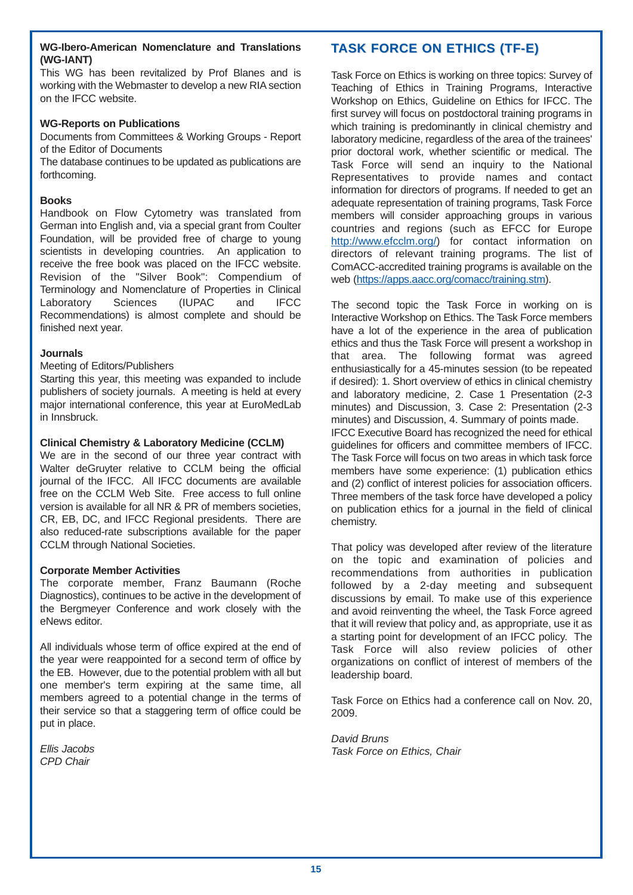## **WG-Ibero-American Nomenclature and Translations (WG-IANT)**

This WG has been revitalized by Prof Blanes and is working with the Webmaster to develop a new RIA section on the IFCC website.

## **WG-Reports on Publications**

Documents from Committees & Working Groups - Report of the Editor of Documents

The database continues to be updated as publications are forthcoming.

## **Books**

Handbook on Flow Cytometry was translated from German into English and, via a special grant from Coulter Foundation, will be provided free of charge to young scientists in developing countries. An application to receive the free book was placed on the IFCC website. Revision of the "Silver Book": Compendium of Terminology and Nomenclature of Properties in Clinical Laboratory Sciences (IUPAC and IFCC Recommendations) is almost complete and should be finished next year.

## **Journals**

## Meeting of Editors/Publishers

Starting this year, this meeting was expanded to include publishers of society journals. A meeting is held at every major international conference, this year at EuroMedLab in Innsbruck.

## **Clinical Chemistry & Laboratory Medicine (CCLM)**

We are in the second of our three year contract with Walter deGruyter relative to CCLM being the official journal of the IFCC. All IFCC documents are available free on the CCLM Web Site. Free access to full online version is available for all NR & PR of members societies, CR, EB, DC, and IFCC Regional presidents. There are also reduced-rate subscriptions available for the paper CCLM through National Societies.

## **Corporate Member Activities**

The corporate member, Franz Baumann (Roche Diagnostics), continues to be active in the development of the Bergmeyer Conference and work closely with the eNews editor.

All individuals whose term of office expired at the end of the year were reappointed for a second term of office by the EB. However, due to the potential problem with all but one member's term expiring at the same time, all members agreed to a potential change in the terms of their service so that a staggering term of office could be put in place.

*Ellis Jacobs CPD Chair*

## **TASK FORCE ON ETHICS (TF-E)**

Task Force on Ethics is working on three topics: Survey of Teaching of Ethics in Training Programs, Interactive Workshop on Ethics, Guideline on Ethics for IFCC. The first survey will focus on postdoctoral training programs in which training is predominantly in clinical chemistry and laboratory medicine, regardless of the area of the trainees' prior doctoral work, whether scientific or medical. The Task Force will send an inquiry to the National Representatives to provide names and contact information for directors of programs. If needed to get an adequate representation of training programs, Task Force members will consider approaching groups in various countries and regions (such as EFCC for Europe http://www.efcclm.org/) for contact information on directors of relevant training programs. The list of ComACC-accredited training programs is available on the web (https://apps.aacc.org/comacc/training.stm).

The second topic the Task Force in working on is Interactive Workshop on Ethics. The Task Force members have a lot of the experience in the area of publication ethics and thus the Task Force will present a workshop in that area. The following format was agreed enthusiastically for a 45-minutes session (to be repeated if desired): 1. Short overview of ethics in clinical chemistry and laboratory medicine, 2. Case 1 Presentation (2-3 minutes) and Discussion, 3. Case 2: Presentation (2-3 minutes) and Discussion, 4. Summary of points made. IFCC Executive Board has recognized the need for ethical guidelines for officers and committee members of IFCC. The Task Force will focus on two areas in which task force members have some experience: (1) publication ethics and (2) conflict of interest policies for association officers. Three members of the task force have developed a policy on publication ethics for a journal in the field of clinical chemistry.

That policy was developed after review of the literature on the topic and examination of policies and recommendations from authorities in publication followed by a 2-day meeting and subsequent discussions by email. To make use of this experience and avoid reinventing the wheel, the Task Force agreed that it will review that policy and, as appropriate, use it as a starting point for development of an IFCC policy. The Task Force will also review policies of other organizations on conflict of interest of members of the leadership board.

Task Force on Ethics had a conference call on Nov. 20, 2009.

*David Bruns Task Force on Ethics, Chair*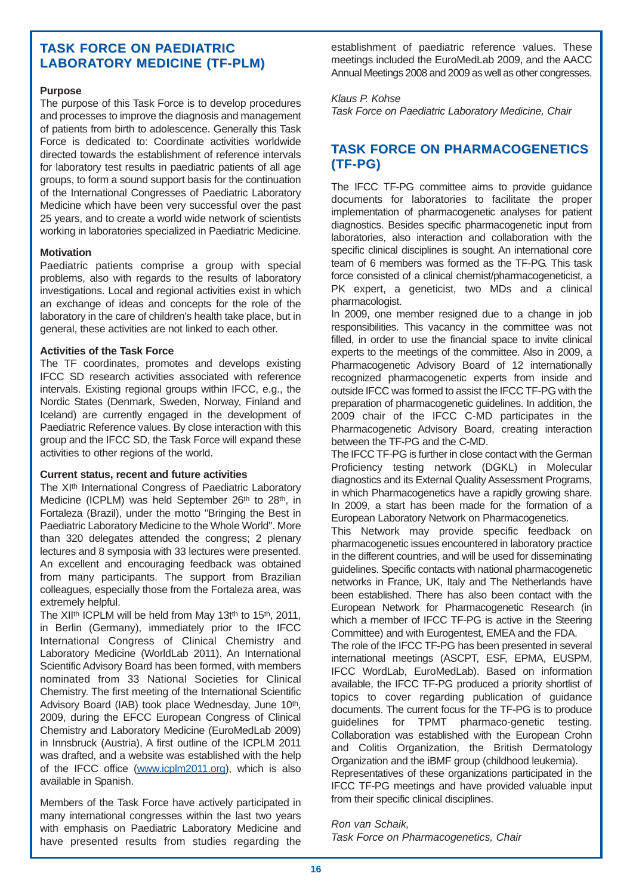## **TASK FORCE ON PAEDIATRIC LABORATORY MEDICINE (TF-PLM)**

## **Purpose**

The purpose of this Task Force is to develop procedures and processes to improve the diagnosis and management of patients from birth to adolescence. Generally this Task Force is dedicated to: Coordinate activities worldwide directed towards the establishment of reference intervals for laboratory test results in paediatric patients of all age groups, to form a sound support basis for the continuation of the International Congresses of Paediatric Laboratory Medicine which have been very successful over the past 25 years, and to create a world wide network of scientists working in laboratories specialized in Paediatric Medicine.

## **Motivation**

Paediatric patients comprise a group with special problems, also with regards to the results of laboratory investigations. Local and regional activities exist in which an exchange of ideas and concepts for the role of the laboratory in the care of children's health take place, but in general, these activities are not linked to each other.

## **Activities of the Task Force**

The TF coordinates, promotes and develops existing IFCC SD research activities associated with reference intervals. Existing regional groups within IFCC, e.g., the Nordic States (Denmark, Sweden, Norway, Finland and Iceland) are currently engaged in the development of Paediatric Reference values. By close interaction with this group and the IFCC SD, the Task Force will expand these activities to other regions of the world.

## **Current status, recent and future activities**

The XI<sup>th</sup> International Congress of Paediatric Laboratory Medicine (ICPLM) was held September 26th to 28th, in Fortaleza (Brazil), under the motto "Bringing the Best in Paediatric Laboratory Medicine to the Whole World". More than 320 delegates attended the congress; 2 plenary lectures and 8 symposia with 33 lectures were presented. An excellent and encouraging feedback was obtained from many participants. The support from Brazilian colleagues, especially those from the Fortaleza area, was extremely helpful.

The XII<sup>th</sup> ICPLM will be held from May 13t<sup>th</sup> to 15<sup>th</sup>, 2011, in Berlin (Germany), immediately prior to the IFCC International Congress of Clinical Chemistry and Laboratory Medicine (WorldLab 2011). An International Scientific Advisory Board has been formed, with members nominated from 33 National Societies for Clinical Chemistry. The first meeting of the International Scientific Advisory Board (IAB) took place Wednesday, June 10th, 2009, during the EFCC European Congress of Clinical Chemistry and Laboratory Medicine (EuroMedLab 2009) in Innsbruck (Austria), A first outline of the ICPLM 2011 was drafted, and a website was established with the help of the IFCC office (www.icplm2011.org), which is also available in Spanish.

Members of the Task Force have actively participated in many international congresses within the last two years with emphasis on Paediatric Laboratory Medicine and have presented results from studies regarding the establishment of paediatric reference values. These meetings included the EuroMedLab 2009, and the AACC Annual Meetings 2008 and 2009 as well as other congresses.

## *Klaus P. Kohse*

*Task Force on Paediatric Laboratory Medicine, Chair*

## **TASK FORCE ON PHARMACOGENETICS (TF-PG) (TF-PG)**

The IFCC TF-PG committee aims to provide guidance documents for laboratories to facilitate the proper implementation of pharmacogenetic analyses for patient diagnostics. Besides specific pharmacogenetic input from laboratories, also interaction and collaboration with the specific clinical disciplines is sought. An international core team of 6 members was formed as the TF-PG. This task force consisted of a clinical chemist/pharmacogeneticist, a PK expert, a geneticist, two MDs and a clinical pharmacologist.

In 2009, one member resigned due to a change in job responsibilities. This vacancy in the committee was not filled, in order to use the financial space to invite clinical experts to the meetings of the committee. Also in 2009, a Pharmacogenetic Advisory Board of 12 internationally recognized pharmacogenetic experts from inside and outside IFCC was formed to assist the IFCC TF-PG with the preparation of pharmacogenetic guidelines. In addition, the 2009 chair of the IFCC C-MD participates in the Pharmacogenetic Advisory Board, creating interaction between the TF-PG and the C-MD.

The IFCC TF-PG is further in close contact with the German Proficiency testing network (DGKL) in Molecular diagnostics and its External Quality Assessment Programs, in which Pharmacogenetics have a rapidly growing share. In 2009, a start has been made for the formation of a European Laboratory Network on Pharmacogenetics.

This Network may provide specific feedback on pharmacogenetic issues encountered in laboratory practice in the different countries, and will be used for disseminating guidelines. Specific contacts with national pharmacogenetic networks in France, UK, Italy and The Netherlands have been established. There has also been contact with the European Network for Pharmacogenetic Research (in which a member of IFCC TF-PG is active in the Steering Committee) and with Eurogentest, EMEA and the FDA.

The role of the IFCC TF-PG has been presented in several international meetings (ASCPT, ESF, EPMA, EUSPM, IFCC WordLab, EuroMedLab). Based on information available, the IFCC TF-PG produced a priority shortlist of topics to cover regarding publication of guidance documents. The current focus for the TF-PG is to produce guidelines for TPMT pharmaco-genetic testing. Collaboration was established with the European Crohn and Colitis Organization, the British Dermatology Organization and the iBMF group (childhood leukemia). Representatives of these organizations participated in the IFCC TF-PG meetings and have provided valuable input from their specific clinical disciplines.

*Ron van Schaik, Task Force on Pharmacogenetics, Chair*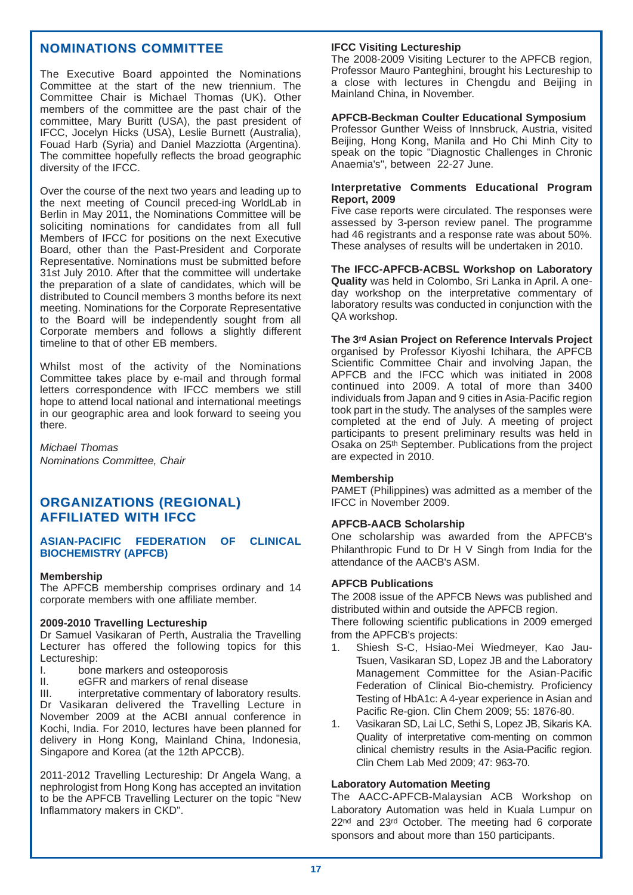## **NOMINATIONS COMMITTEE**

The Executive Board appointed the Nominations Committee at the start of the new triennium. The Committee Chair is Michael Thomas (UK). Other members of the committee are the past chair of the committee, Mary Buritt (USA), the past president of IFCC, Jocelyn Hicks (USA), Leslie Burnett (Australia), Fouad Harb (Syria) and Daniel Mazziotta (Argentina). The committee hopefully reflects the broad geographic diversity of the IFCC.

Over the course of the next two years and leading up to the next meeting of Council preced-ing WorldLab in Berlin in May 2011, the Nominations Committee will be soliciting nominations for candidates from all full Members of IFCC for positions on the next Executive Board, other than the Past-President and Corporate Representative. Nominations must be submitted before 31st July 2010. After that the committee will undertake the preparation of a slate of candidates, which will be distributed to Council members 3 months before its next meeting. Nominations for the Corporate Representative to the Board will be independently sought from all Corporate members and follows a slightly different timeline to that of other EB members.

Whilst most of the activity of the Nominations Committee takes place by e-mail and through formal letters correspondence with IFCC members we still hope to attend local national and international meetings in our geographic area and look forward to seeing you there.

*Michael Thomas Nominations Committee, Chair*

## **ORGANIZATIONS (REGIONAL) TIONS (REGIONAL) AFFILIATED WITH IFCC**

#### **ASIAN-PACIFIC FEDERATION OF CLINICAL BIOCHEMISTRY (APFCB)**

#### **Membership**

The APFCB membership comprises ordinary and 14 corporate members with one affiliate member.

#### **2009-2010 Travelling Lectureship**

Dr Samuel Vasikaran of Perth, Australia the Travelling Lecturer has offered the following topics for this Lectureship:<br>I bone

- bone markers and osteoporosis
- II. eGFR and markers of renal disease

III. interpretative commentary of laboratory results. Dr Vasikaran delivered the Travelling Lecture in November 2009 at the ACBI annual conference in Kochi, India. For 2010, lectures have been planned for delivery in Hong Kong, Mainland China, Indonesia, Singapore and Korea (at the 12th APCCB).

2011-2012 Travelling Lectureship: Dr Angela Wang, a nephrologist from Hong Kong has accepted an invitation to be the APFCB Travelling Lecturer on the topic "New Inflammatory makers in CKD".

#### **IFCC Visiting Lectureship**

The 2008-2009 Visiting Lecturer to the APFCB region, Professor Mauro Panteghini, brought his Lectureship to a close with lectures in Chengdu and Beijing in Mainland China, in November.

#### **APFCB-Beckman Coulter Educational Symposium**

Professor Gunther Weiss of Innsbruck, Austria, visited Beijing, Hong Kong, Manila and Ho Chi Minh City to speak on the topic "Diagnostic Challenges in Chronic Anaemia's", between 22-27 June.

#### **Interpretative Comments Educational Program Report, 2009**

Five case reports were circulated. The responses were assessed by 3-person review panel. The programme had 46 registrants and a response rate was about 50%. These analyses of results will be undertaken in 2010.

**The IFCC-APFCB-ACBSL Workshop on Laboratory Quality** was held in Colombo, Sri Lanka in April. A oneday workshop on the interpretative commentary of laboratory results was conducted in conjunction with the QA workshop.

#### **The 3rd Asian Project on Reference Intervals Project**

organised by Professor Kiyoshi Ichihara, the APFCB Scientific Committee Chair and involving Japan, the APFCB and the IFCC which was initiated in 2008 continued into 2009. A total of more than 3400 individuals from Japan and 9 cities in Asia-Pacific region took part in the study. The analyses of the samples were completed at the end of July. A meeting of project participants to present preliminary results was held in Osaka on 25th September. Publications from the project are expected in 2010.

#### **Membership**

PAMET (Philippines) was admitted as a member of the IFCC in November 2009.

#### **APFCB-AACB Scholarship**

One scholarship was awarded from the APFCB's Philanthropic Fund to Dr H V Singh from India for the attendance of the AACB's ASM.

#### **APFCB Publications**

The 2008 issue of the APFCB News was published and distributed within and outside the APFCB region.

There following scientific publications in 2009 emerged from the APFCB's projects:

- 1. Shiesh S-C, Hsiao-Mei Wiedmeyer, Kao Jau-Tsuen, Vasikaran SD, Lopez JB and the Laboratory Management Committee for the Asian-Pacific Federation of Clinical Bio-chemistry. Proficiency Testing of HbA1c: A 4-year experience in Asian and Pacific Re-gion. Clin Chem 2009; 55: 1876-80.
- 1. Vasikaran SD, Lai LC, Sethi S, Lopez JB, Sikaris KA. Quality of interpretative com-menting on common clinical chemistry results in the Asia-Pacific region. Clin Chem Lab Med 2009; 47: 963-70.

#### **Laboratory Automation Meeting**

The AACC-APFCB-Malaysian ACB Workshop on Laboratory Automation was held in Kuala Lumpur on 22<sup>nd</sup> and 23<sup>rd</sup> October. The meeting had 6 corporate sponsors and about more than 150 participants.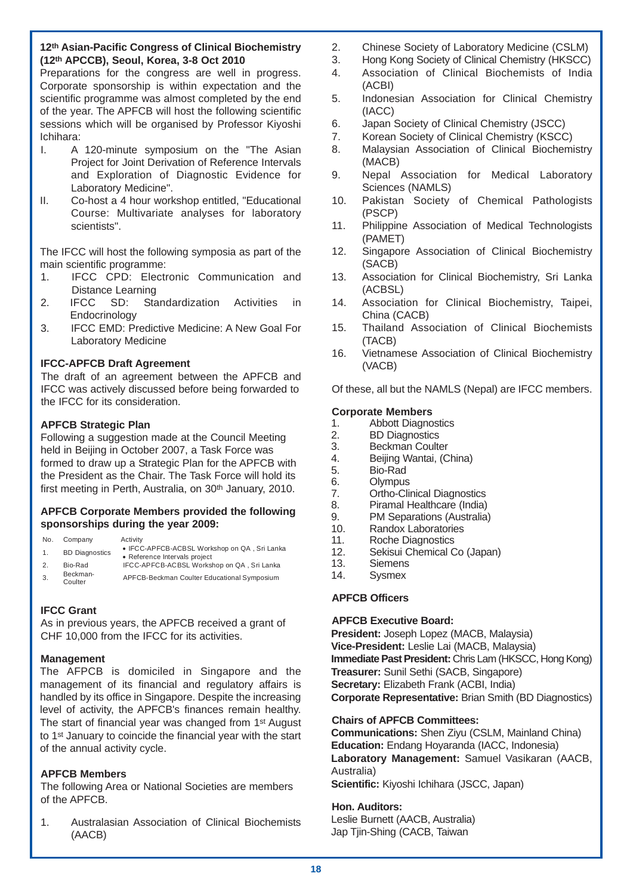## **12th Asian-Pacific Congress of Clinical Biochemistry (12th APCCB), Seoul, Korea, 3-8 Oct 2010**

Preparations for the congress are well in progress. Corporate sponsorship is within expectation and the scientific programme was almost completed by the end of the year. The APFCB will host the following scientific sessions which will be organised by Professor Kivoshi Ichihara:

- I. A 120-minute symposium on the "The Asian Project for Joint Derivation of Reference Intervals and Exploration of Diagnostic Evidence for Laboratory Medicine".
- II. Co-host a 4 hour workshop entitled, "Educational Course: Multivariate analyses for laboratory scientists".

The IFCC will host the following symposia as part of the main scientific programme:

- 1. IFCC CPD: Electronic Communication and Distance Learning
- 2. IFCC SD: Standardization Activities in **Endocrinology**
- 3. IFCC EMD: Predictive Medicine: A New Goal For Laboratory Medicine

## **IFCC-APFCB Draft Agreement**

The draft of an agreement between the APFCB and IFCC was actively discussed before being forwarded to the IFCC for its consideration.

## **APFCB Strategic Plan**

Following a suggestion made at the Council Meeting held in Beijing in October 2007, a Task Force was formed to draw up a Strategic Plan for the APFCB with the President as the Chair. The Task Force will hold its first meeting in Perth, Australia, on 30<sup>th</sup> January, 2010.

## **APFCB Corporate Members provided the following sponsorships during the year 2009:**

| No. | Company | Activity |
|-----|---------|----------|
|     |         |          |

- 1. BD Diagnostics IFCC-APFCB-ACBSL Workshop on QA , Sri Lanka
- erence Intervals project<br>2. Bio-Rad IFCC-APFCB-ACBSL Workshop on QA, Sri Lanka
- 3. Beckman-APFCB-Beckman Coulter Educational Symposium

## **IFCC Grant**

As in previous years, the APFCB received a grant of CHF 10,000 from the IFCC for its activities.

## **Management**

The AFPCB is domiciled in Singapore and the management of its financial and regulatory affairs is handled by its office in Singapore. Despite the increasing level of activity, the APFCB's finances remain healthy. The start of financial year was changed from 1st August to 1st January to coincide the financial year with the start of the annual activity cycle.

## **APFCB Members**

The following Area or National Societies are members of the APFCB.

1. Australasian Association of Clinical Biochemists (AACB)

- 2. Chinese Society of Laboratory Medicine (CSLM)
- 3. Hong Kong Society of Clinical Chemistry (HKSCC)
- 4. Association of Clinical Biochemists of India (ACBI)
- 5. Indonesian Association for Clinical Chemistry (IACC)
- 6. Japan Society of Clinical Chemistry (JSCC)
- 7. Korean Society of Clinical Chemistry (KSCC)
- 8. Malaysian Association of Clinical Biochemistry (MACB)
- 9. Nepal Association for Medical Laboratory Sciences (NAMLS)
- 10. Pakistan Society of Chemical Pathologists (PSCP)
- 11. Philippine Association of Medical Technologists (PAMET)
- 12. Singapore Association of Clinical Biochemistry (SACB)
- 13. Association for Clinical Biochemistry, Sri Lanka (ACBSL)
- 14. Association for Clinical Biochemistry, Taipei, China (CACB)
- 15. Thailand Association of Clinical Biochemists (TACB)
- 16. Vietnamese Association of Clinical Biochemistry (VACB)

Of these, all but the NAMLS (Nepal) are IFCC members.

## **Corporate Members**

- 1. Abbott Diagnostics
- 2. BD Diagnostics<br>3. Beckman Coulte
- Beckman Coulter
- 4. Beijing Wantai, (China)
- 5. Bio-Rad<br>6. Olympus
- **Olympus**
- 7. Ortho-Clinical Diagnostics
- 8. Piramal Healthcare (India)<br>9. PM Separations (Australia)
- PM Separations (Australia)
- 10. Randox Laboratories
- 11. Roche Diagnostics<br>12. Sekisui Chemical C
- Sekisui Chemical Co (Japan)
- 13. Siemens 14. Sysmex

## **APFCB Officers**

## **APFCB Executive Board:**

**President:** Joseph Lopez (MACB, Malaysia) **Vice-President:** Leslie Lai (MACB, Malaysia) **Immediate Past President:** Chris Lam (HKSCC, Hong Kong) **Treasurer:** Sunil Sethi (SACB, Singapore) **Secretary:** Elizabeth Frank (ACBI, India) **Corporate Representative:** Brian Smith (BD Diagnostics)

## **Chairs of APFCB Committees:**

**Communications:** Shen Ziyu (CSLM, Mainland China) **Education:** Endang Hoyaranda (IACC, Indonesia) **Laboratory Management:** Samuel Vasikaran (AACB, Australia) **Scientific:** Kiyoshi Ichihara (JSCC, Japan)

**Hon. Auditors:**  Leslie Burnett (AACB, Australia) Jap Tjin-Shing (CACB, Taiwan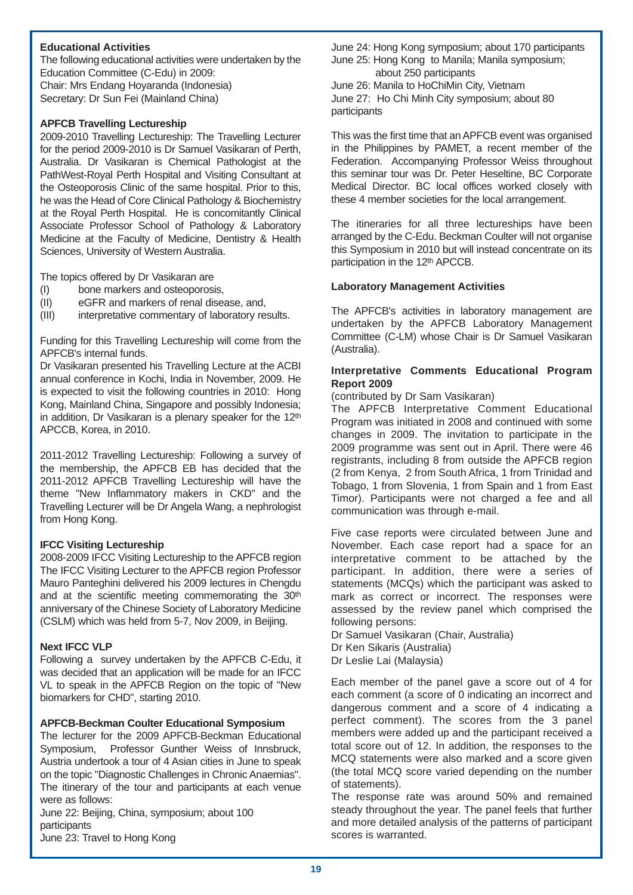## **Educational Activities**

The following educational activities were undertaken by the Education Committee (C-Edu) in 2009: Chair: Mrs Endang Hoyaranda (Indonesia) Secretary: Dr Sun Fei (Mainland China)

## **APFCB Travelling Lectureship**

2009-2010 Travelling Lectureship: The Travelling Lecturer for the period 2009-2010 is Dr Samuel Vasikaran of Perth, Australia. Dr Vasikaran is Chemical Pathologist at the PathWest-Royal Perth Hospital and Visiting Consultant at the Osteoporosis Clinic of the same hospital. Prior to this, he was the Head of Core Clinical Pathology & Biochemistry at the Royal Perth Hospital. He is concomitantly Clinical Associate Professor School of Pathology & Laboratory Medicine at the Faculty of Medicine, Dentistry & Health Sciences, University of Western Australia.

The topics offered by Dr Vasikaran are

- (I) bone markers and osteoporosis,
- (II) eGFR and markers of renal disease, and,
- (III) interpretative commentary of laboratory results.

Funding for this Travelling Lectureship will come from the APFCB's internal funds.

Dr Vasikaran presented his Travelling Lecture at the ACBI annual conference in Kochi, India in November, 2009. He is expected to visit the following countries in 2010: Hong Kong, Mainland China, Singapore and possibly Indonesia; in addition, Dr Vasikaran is a plenary speaker for the 12<sup>th</sup> APCCB, Korea, in 2010.

2011-2012 Travelling Lectureship: Following a survey of the membership, the APFCB EB has decided that the 2011-2012 APFCB Travelling Lectureship will have the theme "New Inflammatory makers in CKD" and the Travelling Lecturer will be Dr Angela Wang, a nephrologist from Hong Kong.

## **IFCC Visiting Lectureship**

2008-2009 IFCC Visiting Lectureship to the APFCB region The IFCC Visiting Lecturer to the APFCB region Professor Mauro Panteghini delivered his 2009 lectures in Chengdu and at the scientific meeting commemorating the 30<sup>th</sup> anniversary of the Chinese Society of Laboratory Medicine (CSLM) which was held from 5-7, Nov 2009, in Beijing.

## **Next IFCC VLP**

Following a survey undertaken by the APFCB C-Edu, it was decided that an application will be made for an IFCC VL to speak in the APFCB Region on the topic of "New biomarkers for CHD", starting 2010.

## **APFCB-Beckman Coulter Educational Symposium**

The lecturer for the 2009 APFCB-Beckman Educational Symposium, Professor Gunther Weiss of Innsbruck, Austria undertook a tour of 4 Asian cities in June to speak on the topic "Diagnostic Challenges in Chronic Anaemias". The itinerary of the tour and participants at each venue were as follows:

June 22: Beijing, China, symposium; about 100 participants June 23: Travel to Hong Kong

June 24: Hong Kong symposium; about 170 participants June 25: Hong Kong to Manila; Manila symposium; about 250 participants

June 26: Manila to HoChiMin City, Vietnam June 27: Ho Chi Minh City symposium; about 80 participants

This was the first time that an APFCB event was organised in the Philippines by PAMET, a recent member of the Federation. Accompanying Professor Weiss throughout this seminar tour was Dr. Peter Heseltine, BC Corporate Medical Director. BC local offices worked closely with these 4 member societies for the local arrangement.

The itineraries for all three lectureships have been arranged by the C-Edu. Beckman Coulter will not organise this Symposium in 2010 but will instead concentrate on its participation in the 12th APCCB.

## **Laboratory Management Activities**

The APFCB's activities in laboratory management are undertaken by the APFCB Laboratory Management Committee (C-LM) whose Chair is Dr Samuel Vasikaran (Australia).

## **Interpretative Comments Educational Program Report 2009**

(contributed by Dr Sam Vasikaran)

The APFCB Interpretative Comment Educational Program was initiated in 2008 and continued with some changes in 2009. The invitation to participate in the 2009 programme was sent out in April. There were 46 registrants, including 8 from outside the APFCB region (2 from Kenya, 2 from South Africa, 1 from Trinidad and Tobago, 1 from Slovenia, 1 from Spain and 1 from East Timor). Participants were not charged a fee and all communication was through e-mail.

Five case reports were circulated between June and November. Each case report had a space for an interpretative comment to be attached by the participant. In addition, there were a series of statements (MCQs) which the participant was asked to mark as correct or incorrect. The responses were assessed by the review panel which comprised the following persons:

Dr Samuel Vasikaran (Chair, Australia) Dr Ken Sikaris (Australia) Dr Leslie Lai (Malaysia)

Each member of the panel gave a score out of 4 for each comment (a score of 0 indicating an incorrect and dangerous comment and a score of 4 indicating a perfect comment). The scores from the 3 panel members were added up and the participant received a total score out of 12. In addition, the responses to the MCQ statements were also marked and a score given (the total MCQ score varied depending on the number of statements).

The response rate was around 50% and remained steady throughout the year. The panel feels that further and more detailed analysis of the patterns of participant scores is warranted.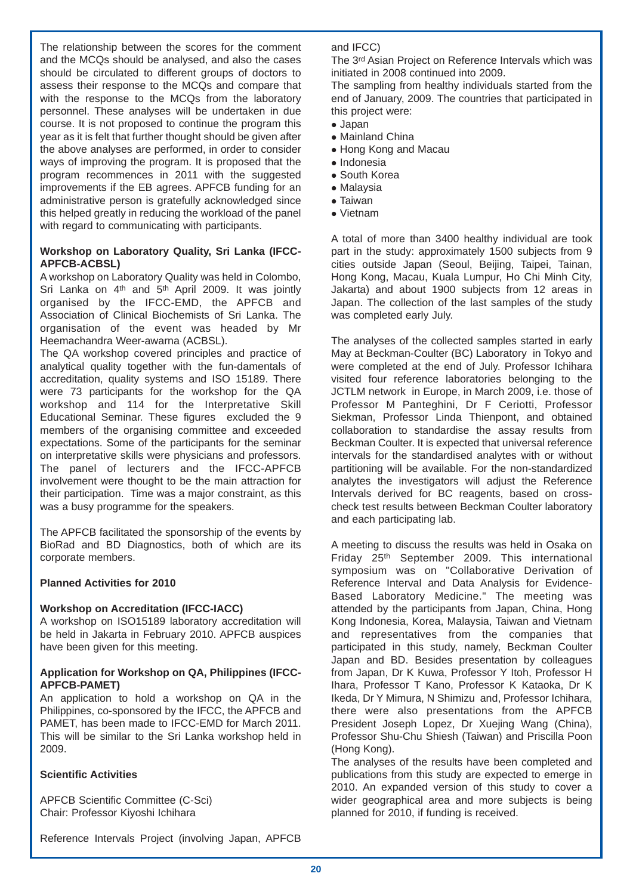The relationship between the scores for the comment and the MCQs should be analysed, and also the cases should be circulated to different groups of doctors to assess their response to the MCQs and compare that with the response to the MCQs from the laboratory personnel. These analyses will be undertaken in due course. It is not proposed to continue the program this year as it is felt that further thought should be given after the above analyses are performed, in order to consider ways of improving the program. It is proposed that the program recommences in 2011 with the suggested improvements if the EB agrees. APFCB funding for an administrative person is gratefully acknowledged since this helped greatly in reducing the workload of the panel with regard to communicating with participants.

## **Workshop on Laboratory Quality, Sri Lanka (IFCC-APFCB-ACBSL)**

A workshop on Laboratory Quality was held in Colombo, Sri Lanka on 4<sup>th</sup> and 5<sup>th</sup> April 2009. It was jointly organised by the IFCC-EMD, the APFCB and Association of Clinical Biochemists of Sri Lanka. The organisation of the event was headed by Mr Heemachandra Weer-awarna (ACBSL).

The QA workshop covered principles and practice of analytical quality together with the fun-damentals of accreditation, quality systems and ISO 15189. There were 73 participants for the workshop for the QA workshop and 114 for the Interpretative Skill Educational Seminar. These figures excluded the 9 members of the organising committee and exceeded expectations. Some of the participants for the seminar on interpretative skills were physicians and professors. The panel of lecturers and the IFCC-APFCB involvement were thought to be the main attraction for their participation. Time was a major constraint, as this was a busy programme for the speakers.

The APFCB facilitated the sponsorship of the events by BioRad and BD Diagnostics, both of which are its corporate members.

## **Planned Activities for 2010**

## **Workshop on Accreditation (IFCC-IACC)**

A workshop on ISO15189 laboratory accreditation will be held in Jakarta in February 2010. APFCB auspices have been given for this meeting.

## **Application for Workshop on QA, Philippines (IFCC-APFCB-PAMET)**

An application to hold a workshop on QA in the Philippines, co-sponsored by the IFCC, the APFCB and PAMET, has been made to IFCC-EMD for March 2011. This will be similar to the Sri Lanka workshop held in 2009.

## **Scientific Activities**

APFCB Scientific Committee (C-Sci) Chair: Professor Kiyoshi Ichihara

Reference Intervals Project (involving Japan, APFCB

## and IFCC)

The 3rd Asian Project on Reference Intervals which was initiated in 2008 continued into 2009.

The sampling from healthy individuals started from the end of January, 2009. The countries that participated in this project were:

- $\bullet$  Japan
- Mainland China
- Hong Kong and Macau
- $\bullet$  Indonesia
- South Korea
- $\bullet$  Malavsia
- $\bullet$  Taiwan
- Vietnam

A total of more than 3400 healthy individual are took part in the study: approximately 1500 subjects from 9 cities outside Japan (Seoul, Beijing, Taipei, Tainan, Hong Kong, Macau, Kuala Lumpur, Ho Chi Minh City, Jakarta) and about 1900 subjects from 12 areas in Japan. The collection of the last samples of the study was completed early July.

The analyses of the collected samples started in early May at Beckman-Coulter (BC) Laboratory in Tokyo and were completed at the end of July. Professor Ichihara visited four reference laboratories belonging to the JCTLM network in Europe, in March 2009, i.e. those of Professor M Panteghini, Dr F Ceriotti, Professor Siekman, Professor Linda Thienpont, and obtained collaboration to standardise the assay results from Beckman Coulter. It is expected that universal reference intervals for the standardised analytes with or without partitioning will be available. For the non-standardized analytes the investigators will adjust the Reference Intervals derived for BC reagents, based on crosscheck test results between Beckman Coulter laboratory and each participating lab.

A meeting to discuss the results was held in Osaka on Friday 25th September 2009. This international symposium was on "Collaborative Derivation of Reference Interval and Data Analysis for Evidence-Based Laboratory Medicine." The meeting was attended by the participants from Japan, China, Hong Kong Indonesia, Korea, Malaysia, Taiwan and Vietnam and representatives from the companies that participated in this study, namely, Beckman Coulter Japan and BD. Besides presentation by colleagues from Japan, Dr K Kuwa, Professor Y Itoh, Professor H Ihara, Professor T Kano, Professor K Kataoka, Dr K Ikeda, Dr Y Mimura, N Shimizu and, Professor Ichihara, there were also presentations from the APFCB President Joseph Lopez, Dr Xuejing Wang (China), Professor Shu-Chu Shiesh (Taiwan) and Priscilla Poon (Hong Kong).

The analyses of the results have been completed and publications from this study are expected to emerge in 2010. An expanded version of this study to cover a wider geographical area and more subjects is being planned for 2010, if funding is received.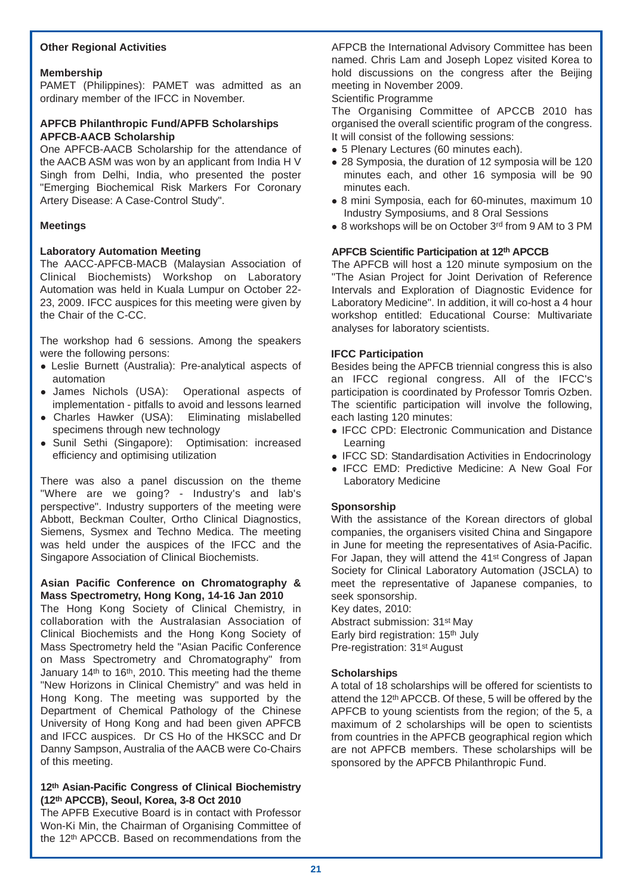## **Other Regional Activities**

## **Membership**

PAMET (Philippines): PAMET was admitted as an ordinary member of the IFCC in November.

## **APFCB Philanthropic Fund/APFB Scholarships APFCB-AACB Scholarship**

One APFCB-AACB Scholarship for the attendance of the AACB ASM was won by an applicant from India H V Singh from Delhi, India, who presented the poster "Emerging Biochemical Risk Markers For Coronary Artery Disease: A Case-Control Study".

## **Meetings**

## **Laboratory Automation Meeting**

The AACC-APFCB-MACB (Malaysian Association of Clinical Biochemists) Workshop on Laboratory Automation was held in Kuala Lumpur on October 22- 23, 2009. IFCC auspices for this meeting were given by the Chair of the C-CC.

The workshop had 6 sessions. Among the speakers were the following persons:

- Leslie Burnett (Australia): Pre-analytical aspects of automation
- James Nichols (USA): Operational aspects of implementation - pitfalls to avoid and lessons learned
- Charles Hawker (USA): Eliminating mislabelled specimens through new technology
- Sunil Sethi (Singapore): Optimisation: increased efficiency and optimising utilization

There was also a panel discussion on the theme "Where are we going? - Industry's and lab's perspective". Industry supporters of the meeting were Abbott, Beckman Coulter, Ortho Clinical Diagnostics, Siemens, Sysmex and Techno Medica. The meeting was held under the auspices of the IFCC and the Singapore Association of Clinical Biochemists.

## **Asian Pacific Conference on Chromatography & Mass Spectrometry, Hong Kong, 14-16 Jan 2010**

The Hong Kong Society of Clinical Chemistry, in collaboration with the Australasian Association of Clinical Biochemists and the Hong Kong Society of Mass Spectrometry held the "Asian Pacific Conference on Mass Spectrometry and Chromatography" from January 14th to 16th, 2010. This meeting had the theme "New Horizons in Clinical Chemistry" and was held in Hong Kong. The meeting was supported by the Department of Chemical Pathology of the Chinese University of Hong Kong and had been given APFCB and IFCC auspices. Dr CS Ho of the HKSCC and Dr Danny Sampson, Australia of the AACB were Co-Chairs of this meeting.

## **12th Asian-Pacific Congress of Clinical Biochemistry (12th APCCB), Seoul, Korea, 3-8 Oct 2010**

The APFB Executive Board is in contact with Professor Won-Ki Min, the Chairman of Organising Committee of the 12<sup>th</sup> APCCB. Based on recommendations from the AFPCB the International Advisory Committee has been named. Chris Lam and Joseph Lopez visited Korea to hold discussions on the congress after the Beijing meeting in November 2009.

#### Scientific Programme

The Organising Committee of APCCB 2010 has organised the overall scientific program of the congress. It will consist of the following sessions:

- 5 Plenary Lectures (60 minutes each).
- 28 Symposia, the duration of 12 symposia will be 120 minutes each, and other 16 symposia will be 90 minutes each.
- 8 mini Symposia, each for 60-minutes, maximum 10 Industry Symposiums, and 8 Oral Sessions
- 8 workshops will be on October 3rd from 9 AM to 3 PM

## **APFCB Scientific Participation at 12th APCCB**

The APFCB will host a 120 minute symposium on the "The Asian Project for Joint Derivation of Reference Intervals and Exploration of Diagnostic Evidence for Laboratory Medicine". In addition, it will co-host a 4 hour workshop entitled: Educational Course: Multivariate analyses for laboratory scientists.

## **IFCC Participation**

Besides being the APFCB triennial congress this is also an IFCC regional congress. All of the IFCC's participation is coordinated by Professor Tomris Ozben. The scientific participation will involve the following, each lasting 120 minutes:

- IFCC CPD: Electronic Communication and Distance Learning
- IFCC SD: Standardisation Activities in Endocrinology
- IFCC EMD: Predictive Medicine: A New Goal For Laboratory Medicine

## **Sponsorship**

With the assistance of the Korean directors of global companies, the organisers visited China and Singapore in June for meeting the representatives of Asia-Pacific. For Japan, they will attend the 41st Congress of Japan Society for Clinical Laboratory Automation (JSCLA) to meet the representative of Japanese companies, to seek sponsorship.

Key dates, 2010: Abstract submission: 31st May Early bird registration: 15th July Pre-registration: 31st August

#### **Scholarships**

A total of 18 scholarships will be offered for scientists to attend the 12th APCCB. Of these, 5 will be offered by the APFCB to young scientists from the region; of the 5, a maximum of 2 scholarships will be open to scientists from countries in the APFCB geographical region which are not APFCB members. These scholarships will be sponsored by the APFCB Philanthropic Fund.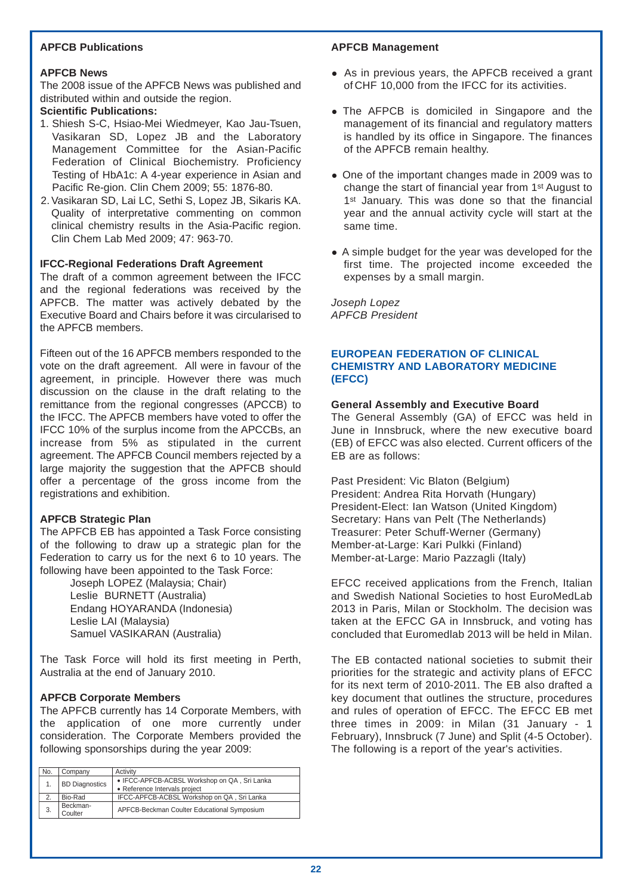## **APFCB Publications**

## **APFCB News**

The 2008 issue of the APFCB News was published and distributed within and outside the region.

## **Scientific Publications:**

- 1. Shiesh S-C, Hsiao-Mei Wiedmeyer, Kao Jau-Tsuen, Vasikaran SD, Lopez JB and the Laboratory Management Committee for the Asian-Pacific Federation of Clinical Biochemistry. Proficiency Testing of HbA1c: A 4-year experience in Asian and Pacific Re-gion. Clin Chem 2009; 55: 1876-80.
- 2. Vasikaran SD, Lai LC, Sethi S, Lopez JB, Sikaris KA. Quality of interpretative commenting on common clinical chemistry results in the Asia-Pacific region. Clin Chem Lab Med 2009; 47: 963-70.

## **IFCC-Regional Federations Draft Agreement**

The draft of a common agreement between the IFCC and the regional federations was received by the APFCB. The matter was actively debated by the Executive Board and Chairs before it was circularised to the APFCB members.

Fifteen out of the 16 APFCB members responded to the vote on the draft agreement. All were in favour of the agreement, in principle. However there was much discussion on the clause in the draft relating to the remittance from the regional congresses (APCCB) to the IFCC. The APFCB members have voted to offer the IFCC 10% of the surplus income from the APCCBs, an increase from 5% as stipulated in the current agreement. The APFCB Council members rejected by a large majority the suggestion that the APFCB should offer a percentage of the gross income from the registrations and exhibition.

## **APFCB Strategic Plan**

The APFCB EB has appointed a Task Force consisting of the following to draw up a strategic plan for the Federation to carry us for the next 6 to 10 years. The following have been appointed to the Task Force:

Joseph LOPEZ (Malaysia; Chair) Leslie BURNETT (Australia) Endang HOYARANDA (Indonesia) Leslie LAI (Malaysia) Samuel VASIKARAN (Australia)

The Task Force will hold its first meeting in Perth, Australia at the end of January 2010.

## **APFCB Corporate Members**

The APFCB currently has 14 Corporate Members, with the application of one more currently under consideration. The Corporate Members provided the following sponsorships during the year 2009:

| No. | Company               | Activity                                     |
|-----|-----------------------|----------------------------------------------|
|     | <b>BD Diagnostics</b> | • IFCC-APFCB-ACBSL Workshop on QA, Sri Lanka |
|     |                       | • Reference Intervals project                |
|     | Bio-Rad               | IFCC-APFCB-ACBSL Workshop on QA, Sri Lanka   |
| 3.  | Beckman-              | APFCB-Beckman Coulter Educational Symposium  |
|     | Coulter               |                                              |

#### **APFCB Management**

- As in previous years, the APFCB received a grant of CHF 10,000 from the IFCC for its activities.
- The AFPCB is domiciled in Singapore and the management of its financial and regulatory matters is handled by its office in Singapore. The finances of the APFCB remain healthy.
- One of the important changes made in 2009 was to change the start of financial year from 1st August to 1<sup>st</sup> January. This was done so that the financial year and the annual activity cycle will start at the same time.
- A simple budget for the year was developed for the first time. The projected income exceeded the expenses by a small margin.

*Joseph Lopez APFCB President*

## **EUROPEAN FEDERATION OF CLINICAL CHEMISTRY AND LABORATORY MEDICINE (EFCC)**

#### **General Assembly and Executive Board**

The General Assembly (GA) of EFCC was held in June in Innsbruck, where the new executive board (EB) of EFCC was also elected. Current officers of the EB are as follows:

Past President: Vic Blaton (Belgium) President: Andrea Rita Horvath (Hungary) President-Elect: Ian Watson (United Kingdom) Secretary: Hans van Pelt (The Netherlands) Treasurer: Peter Schuff-Werner (Germany) Member-at-Large: Kari Pulkki (Finland) Member-at-Large: Mario Pazzagli (Italy)

EFCC received applications from the French, Italian and Swedish National Societies to host EuroMedLab 2013 in Paris, Milan or Stockholm. The decision was taken at the EFCC GA in Innsbruck, and voting has concluded that Euromedlab 2013 will be held in Milan.

The EB contacted national societies to submit their priorities for the strategic and activity plans of EFCC for its next term of 2010-2011. The EB also drafted a key document that outlines the structure, procedures and rules of operation of EFCC. The EFCC EB met three times in 2009: in Milan (31 January - 1 February), Innsbruck (7 June) and Split (4-5 October). The following is a report of the year's activities.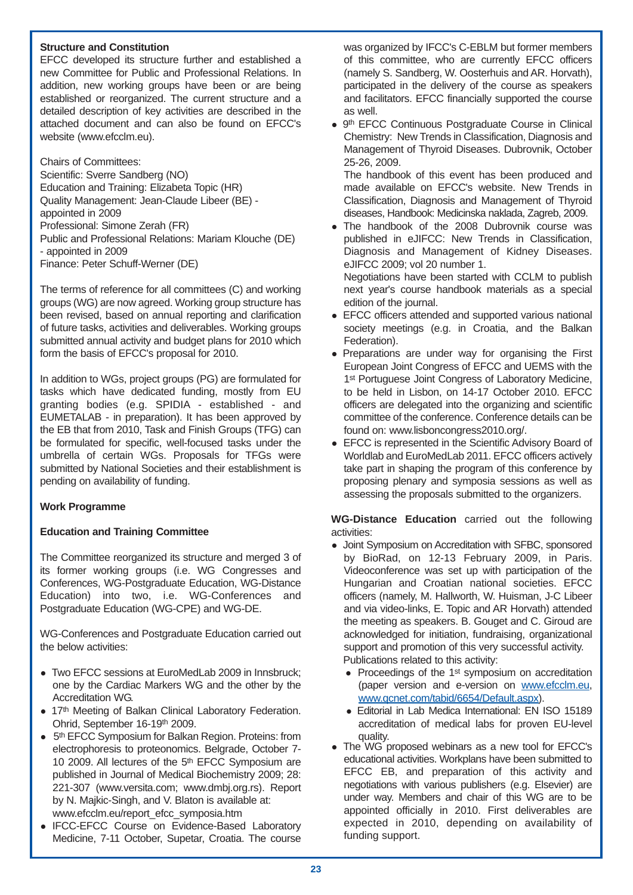## **Structure and Constitution**

EFCC developed its structure further and established a new Committee for Public and Professional Relations. In addition, new working groups have been or are being established or reorganized. The current structure and a detailed description of key activities are described in the attached document and can also be found on EFCC's website (www.efcclm.eu).

Chairs of Committees: Scientific: Sverre Sandberg (NO) Education and Training: Elizabeta Topic (HR) Quality Management: Jean-Claude Libeer (BE) appointed in 2009 Professional: Simone Zerah (FR) Public and Professional Relations: Mariam Klouche (DE) - appointed in 2009 Finance: Peter Schuff-Werner (DE)

The terms of reference for all committees (C) and working groups (WG) are now agreed. Working group structure has been revised, based on annual reporting and clarification of future tasks, activities and deliverables. Working groups submitted annual activity and budget plans for 2010 which form the basis of EFCC's proposal for 2010.

In addition to WGs, project groups (PG) are formulated for tasks which have dedicated funding, mostly from EU granting bodies (e.g. SPIDIA - established - and EUMETALAB - in preparation). It has been approved by the EB that from 2010, Task and Finish Groups (TFG) can be formulated for specific, well-focused tasks under the umbrella of certain WGs. Proposals for TFGs were submitted by National Societies and their establishment is pending on availability of funding.

## **Work Programme**

## **Education and Training Committee**

The Committee reorganized its structure and merged 3 of its former working groups (i.e. WG Congresses and Conferences, WG-Postgraduate Education, WG-Distance Education) into two, i.e. WG-Conferences and Postgraduate Education (WG-CPE) and WG-DE.

WG-Conferences and Postgraduate Education carried out the below activities:

- Two EFCC sessions at EuroMedLab 2009 in Innsbruck: one by the Cardiac Markers WG and the other by the Accreditation WG.
- 17th Meeting of Balkan Clinical Laboratory Federation. Ohrid, September 16-19th 2009.
- 5<sup>th</sup> EFCC Symposium for Balkan Region. Proteins: from electrophoresis to proteonomics. Belgrade, October 7- 10 2009. All lectures of the 5th EFCC Symposium are published in Journal of Medical Biochemistry 2009; 28: 221-307 (www.versita.com; www.dmbj.org.rs). Report by N. Majkic-Singh, and V. Blaton is available at: www.efcclm.eu/report\_efcc\_symposia.htm
- IFCC-EFCC Course on Evidence-Based Laboratory Medicine, 7-11 October, Supetar, Croatia. The course

was organized by IFCC's C-EBLM but former members of this committee, who are currently EFCC officers (namely S. Sandberg, W. Oosterhuis and AR. Horvath), participated in the delivery of the course as speakers and facilitators. EFCC financially supported the course as well.

• 9<sup>th</sup> EFCC Continuous Postgraduate Course in Clinical Chemistry: New Trends in Classification, Diagnosis and Management of Thyroid Diseases. Dubrovnik, October 25-26, 2009.

The handbook of this event has been produced and made available on EFCC's website. New Trends in Classification, Diagnosis and Management of Thyroid diseases, Handbook: Medicinska naklada, Zagreb, 2009.

• The handbook of the 2008 Dubrovnik course was published in eJIFCC: New Trends in Classification, Diagnosis and Management of Kidney Diseases. eJIFCC 2009; vol 20 number 1.

Negotiations have been started with CCLM to publish next year's course handbook materials as a special edition of the journal.

- EFCC officers attended and supported various national society meetings (e.g. in Croatia, and the Balkan Federation).
- Preparations are under way for organising the First European Joint Congress of EFCC and UEMS with the 1<sup>st</sup> Portuguese Joint Congress of Laboratory Medicine, to be held in Lisbon, on 14-17 October 2010. EFCC officers are delegated into the organizing and scientific committee of the conference. Conference details can be found on: www.lisboncongress2010.org/.
- EFCC is represented in the Scientific Advisory Board of Worldlab and EuroMedLab 2011. EFCC officers actively take part in shaping the program of this conference by proposing plenary and symposia sessions as well as assessing the proposals submitted to the organizers.

**WG-Distance Education** carried out the following activities:

- Joint Symposium on Accreditation with SFBC, sponsored by BioRad, on 12-13 February 2009, in Paris. Videoconference was set up with participation of the Hungarian and Croatian national societies. EFCC officers (namely, M. Hallworth, W. Huisman, J-C Libeer and via video-links, E. Topic and AR Horvath) attended the meeting as speakers. B. Gouget and C. Giroud are acknowledged for initiation, fundraising, organizational support and promotion of this very successful activity. Publications related to this activity:
	- Proceedings of the 1<sup>st</sup> symposium on accreditation (paper version and e-version on www.efcclm.eu, www.qcnet.com/tabid/6654/Default.aspx).
	- Editorial in Lab Medica International: EN ISO 15189 accreditation of medical labs for proven EU-level quality.
- The WG proposed webinars as a new tool for EFCC's educational activities. Workplans have been submitted to EFCC EB, and preparation of this activity and negotiations with various publishers (e.g. Elsevier) are under way. Members and chair of this WG are to be appointed officially in 2010. First deliverables are expected in 2010, depending on availability of funding support.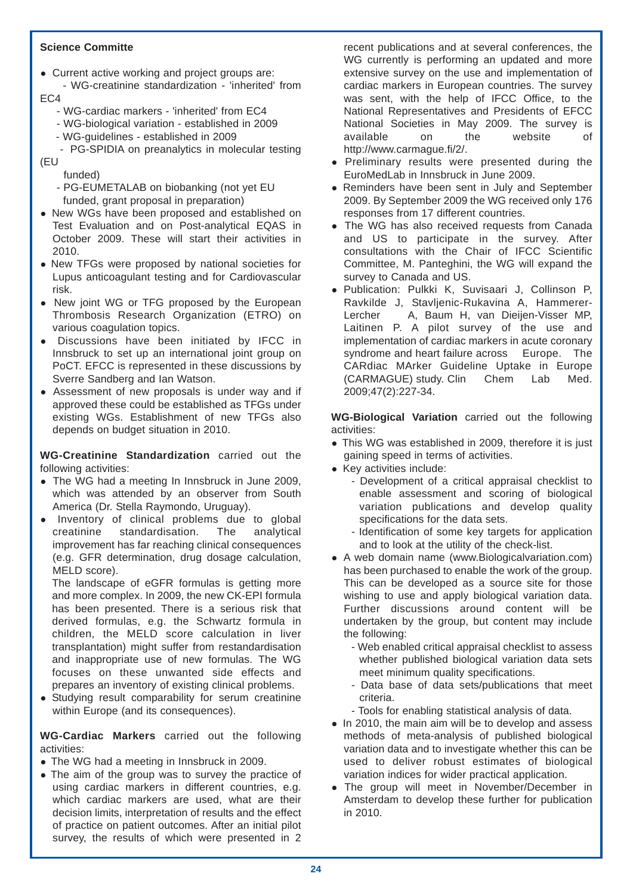## **Science Committe**

• Current active working and project groups are:

- WG-creatinine standardization - 'inherited' from EC4

- WG-cardiac markers 'inherited' from EC4
- WG-biological variation established in 2009
- WG-guidelines established in 2009

- PG-SPIDIA on preanalytics in molecular testing (EU

funded)

- PG-EUMETALAB on biobanking (not yet EU funded, grant proposal in preparation)
- New WGs have been proposed and established on Test Evaluation and on Post-analytical EQAS in October 2009. These will start their activities in 2010.
- New TFGs were proposed by national societies for Lupus anticoagulant testing and for Cardiovascular risk.
- New joint WG or TFG proposed by the European Thrombosis Research Organization (ETRO) on various coagulation topics.
- Discussions have been initiated by IFCC in Innsbruck to set up an international joint group on PoCT. EFCC is represented in these discussions by Sverre Sandberg and Ian Watson.
- Assessment of new proposals is under way and if approved these could be established as TFGs under existing WGs. Establishment of new TFGs also depends on budget situation in 2010.

**WG-Creatinine Standardization** carried out the following activities:

- The WG had a meeting In Innsbruck in June 2009, which was attended by an observer from South America (Dr. Stella Raymondo, Uruguay).
- $\bullet$  Inventory of clinical problems due to global creatinine standardisation. The analytical improvement has far reaching clinical consequences (e.g. GFR determination, drug dosage calculation, MELD score).

The landscape of eGFR formulas is getting more and more complex. In 2009, the new CK-EPI formula has been presented. There is a serious risk that derived formulas, e.g. the Schwartz formula in children, the MELD score calculation in liver transplantation) might suffer from restandardisation and inappropriate use of new formulas. The WG focuses on these unwanted side effects and prepares an inventory of existing clinical problems.

• Studying result comparability for serum creatinine within Europe (and its consequences).

**WG-Cardiac Markers** carried out the following activities:

- The WG had a meeting in Innsbruck in 2009.
- $\bullet$  The aim of the group was to survey the practice of using cardiac markers in different countries, e.g. which cardiac markers are used, what are their decision limits, interpretation of results and the effect of practice on patient outcomes. After an initial pilot survey, the results of which were presented in 2

recent publications and at several conferences, the WG currently is performing an updated and more extensive survey on the use and implementation of cardiac markers in European countries. The survey was sent, with the help of IFCC Office, to the National Representatives and Presidents of EFCC National Societies in May 2009. The survey is available on the website of http://www.carmague.fi/2/.

- Preliminary results were presented during the EuroMedLab in Innsbruck in June 2009.
- Reminders have been sent in July and September 2009. By September 2009 the WG received only 176 responses from 17 different countries.
- The WG has also received requests from Canada and US to participate in the survey. After consultations with the Chair of IFCC Scientific Committee, M. Panteghini, the WG will expand the survey to Canada and US.
- Publication: Pulkki K, Suvisaari J, Collinson P, Ravkilde J, Stavljenic-Rukavina A, Hammerer-Lercher A, Baum H, van Dieijen-Visser MP, Laitinen P. A pilot survey of the use and implementation of cardiac markers in acute coronary syndrome and heart failure across Europe. The CARdiac MArker Guideline Uptake in Europe (CARMAGUE) study. Clin Chem Lab Med. 2009;47(2):227-34.

**WG-Biological Variation** carried out the following activities:

- This WG was established in 2009, therefore it is just gaining speed in terms of activities.
- Key activities include:
	- Development of a critical appraisal checklist to enable assessment and scoring of biological variation publications and develop quality specifications for the data sets.
	- Identification of some key targets for application and to look at the utility of the check-list.
- A web domain name (www.Biologicalvariation.com) has been purchased to enable the work of the group. This can be developed as a source site for those wishing to use and apply biological variation data. Further discussions around content will be undertaken by the group, but content may include the following:
	- Web enabled critical appraisal checklist to assess whether published biological variation data sets meet minimum quality specifications.
	- Data base of data sets/publications that meet criteria.
	- Tools for enabling statistical analysis of data.
- In 2010, the main aim will be to develop and assess methods of meta-analysis of published biological variation data and to investigate whether this can be used to deliver robust estimates of biological variation indices for wider practical application.
- The group will meet in November/December in Amsterdam to develop these further for publication in 2010.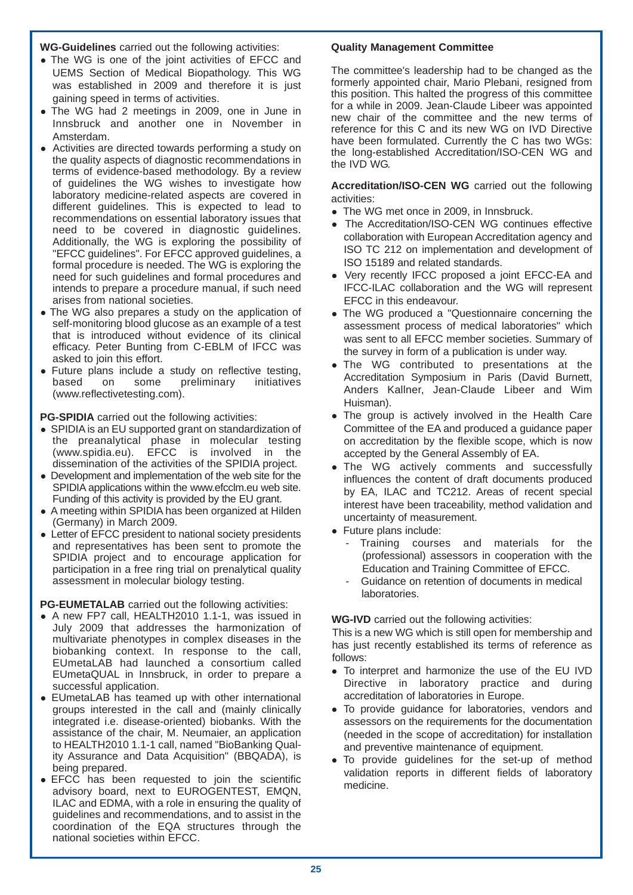**WG-Guidelines** carried out the following activities:

- The WG is one of the joint activities of EFCC and UEMS Section of Medical Biopathology. This WG was established in 2009 and therefore it is just gaining speed in terms of activities.
- The WG had 2 meetings in 2009, one in June in Innsbruck and another one in November in Amsterdam.
- Activities are directed towards performing a study on the quality aspects of diagnostic recommendations in terms of evidence-based methodology. By a review of guidelines the WG wishes to investigate how laboratory medicine-related aspects are covered in different guidelines. This is expected to lead to recommendations on essential laboratory issues that need to be covered in diagnostic quidelines. Additionally, the WG is exploring the possibility of "EFCC guidelines". For EFCC approved guidelines, a formal procedure is needed. The WG is exploring the need for such guidelines and formal procedures and intends to prepare a procedure manual, if such need arises from national societies.
- The WG also prepares a study on the application of self-monitoring blood glucose as an example of a test that is introduced without evidence of its clinical efficacy. Peter Bunting from C-EBLM of IFCC was asked to join this effort.
- Future plans include a study on reflective testing,<br>based on some preliminary initiatives based on some preliminary initiatives (www.reflectivetesting.com).

**PG-SPIDIA** carried out the following activities:

- SPIDIA is an EU supported grant on standardization of the preanalytical phase in molecular testing (www.spidia.eu). EFCC is involved in the dissemination of the activities of the SPIDIA project.
- Development and implementation of the web site for the SPIDIA applications within the www.efcclm.eu web site. Funding of this activity is provided by the EU grant.
- A meeting within SPIDIA has been organized at Hilden (Germany) in March 2009.
- Letter of EFCC president to national society presidents and representatives has been sent to promote the SPIDIA project and to encourage application for participation in a free ring trial on prenalytical quality assessment in molecular biology testing.

**PG-EUMETALAB** carried out the following activities:

- A new FP7 call, HEALTH2010 1.1-1, was issued in July 2009 that addresses the harmonization of multivariate phenotypes in complex diseases in the biobanking context. In response to the call, EUmetaLAB had launched a consortium called EUmetaQUAL in Innsbruck, in order to prepare a successful application.
- EUmetaLAB has teamed up with other international groups interested in the call and (mainly clinically integrated i.e. disease-oriented) biobanks. With the assistance of the chair, M. Neumaier, an application to HEALTH2010 1.1-1 call, named "BioBanking Quality Assurance and Data Acquisition" (BBQADA), is being prepared.
- EFCC has been requested to join the scientific advisory board, next to EUROGENTEST, EMQN, ILAC and EDMA, with a role in ensuring the quality of guidelines and recommendations, and to assist in the coordination of the EQA structures through the national societies within EFCC.

## **Quality Management Committee**

The committee's leadership had to be changed as the formerly appointed chair, Mario Plebani, resigned from this position. This halted the progress of this committee for a while in 2009. Jean-Claude Libeer was appointed new chair of the committee and the new terms of reference for this C and its new WG on IVD Directive have been formulated. Currently the C has two WGs: the long-established Accreditation/ISO-CEN WG and the IVD WG.

**Accreditation/ISO-CEN WG** carried out the following activities:

- The WG met once in 2009, in Innsbruck.
- The Accreditation/ISO-CEN WG continues effective collaboration with European Accreditation agency and ISO TC 212 on implementation and development of ISO 15189 and related standards.
- Very recently IFCC proposed a joint EFCC-EA and IFCC-ILAC collaboration and the WG will represent EFCC in this endeavour.
- The WG produced a "Questionnaire concerning the assessment process of medical laboratories" which was sent to all EFCC member societies. Summary of the survey in form of a publication is under way.
- The WG contributed to presentations at the Accreditation Symposium in Paris (David Burnett, Anders Kallner, Jean-Claude Libeer and Wim Huisman).
- The group is actively involved in the Health Care Committee of the EA and produced a guidance paper on accreditation by the flexible scope, which is now accepted by the General Assembly of EA.
- The WG actively comments and successfully influences the content of draft documents produced by EA, ILAC and TC212. Areas of recent special interest have been traceability, method validation and uncertainty of measurement.
- Future plans include:
	- Training courses and materials for the (professional) assessors in cooperation with the Education and Training Committee of EFCC.
	- Guidance on retention of documents in medical laboratories.

**WG-IVD** carried out the following activities:

This is a new WG which is still open for membership and has just recently established its terms of reference as follows:

- To interpret and harmonize the use of the EU IVD Directive in laboratory practice and during accreditation of laboratories in Europe.
- To provide guidance for laboratories, vendors and assessors on the requirements for the documentation (needed in the scope of accreditation) for installation and preventive maintenance of equipment.
- To provide guidelines for the set-up of method validation reports in different fields of laboratory medicine.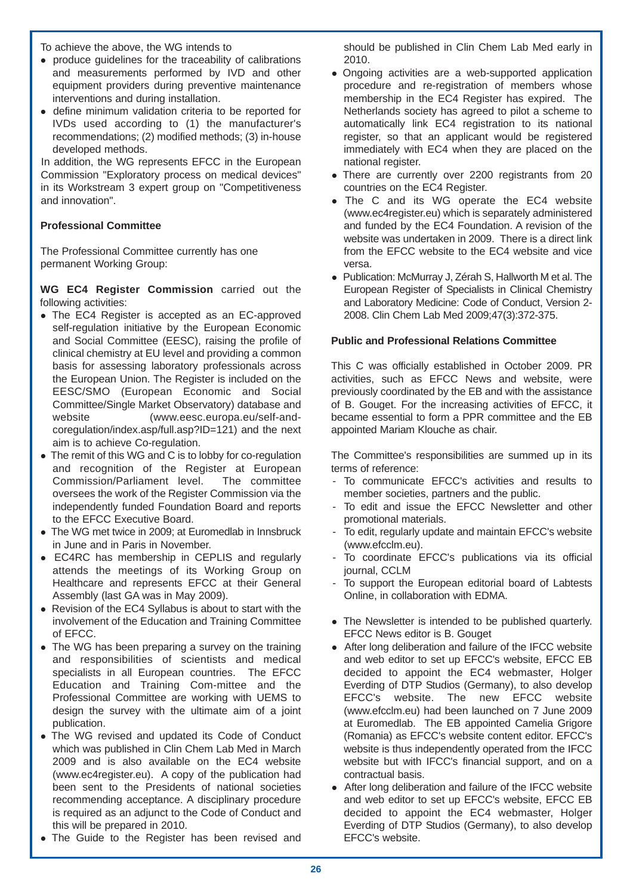To achieve the above, the WG intends to

- produce quidelines for the traceability of calibrations and measurements performed by IVD and other equipment providers during preventive maintenance interventions and during installation.
- define minimum validation criteria to be reported for IVDs used according to (1) the manufacturer's recommendations; (2) modified methods; (3) in-house developed methods.

In addition, the WG represents EFCC in the European Commission "Exploratory process on medical devices" in its Workstream 3 expert group on "Competitiveness and innovation".

## **Professional Committee**

The Professional Committee currently has one permanent Working Group:

**WG EC4 Register Commission** carried out the following activities:

- The EC4 Register is accepted as an EC-approved self-regulation initiative by the European Economic and Social Committee (EESC), raising the profile of clinical chemistry at EU level and providing a common basis for assessing laboratory professionals across the European Union. The Register is included on the EESC/SMO (European Economic and Social Committee/Single Market Observatory) database and website (www.eesc.europa.eu/self-andcoregulation/index.asp/full.asp?ID=121) and the next aim is to achieve Co-regulation.
- The remit of this WG and C is to lobby for co-regulation and recognition of the Register at European Commission/Parliament level. The committee oversees the work of the Register Commission via the independently funded Foundation Board and reports to the EFCC Executive Board.
- The WG met twice in 2009: at Euromedlab in Innsbruck in June and in Paris in November.
- EC4RC has membership in CEPLIS and regularly attends the meetings of its Working Group on Healthcare and represents EFCC at their General Assembly (last GA was in May 2009).
- Revision of the EC4 Syllabus is about to start with the involvement of the Education and Training Committee of EFCC.
- The WG has been preparing a survey on the training and responsibilities of scientists and medical specialists in all European countries. The EFCC Education and Training Com-mittee and the Professional Committee are working with UEMS to design the survey with the ultimate aim of a joint publication.
- The WG revised and updated its Code of Conduct which was published in Clin Chem Lab Med in March 2009 and is also available on the EC4 website (www.ec4register.eu). A copy of the publication had been sent to the Presidents of national societies recommending acceptance. A disciplinary procedure is required as an adjunct to the Code of Conduct and this will be prepared in 2010.
- The Guide to the Register has been revised and

should be published in Clin Chem Lab Med early in 2010.

- Ongoing activities are a web-supported application procedure and re-registration of members whose membership in the EC4 Register has expired. The Netherlands society has agreed to pilot a scheme to automatically link EC4 registration to its national register, so that an applicant would be registered immediately with EC4 when they are placed on the national register.
- There are currently over 2200 registrants from 20 countries on the EC4 Register.
- The C and its WG operate the EC4 website (www.ec4register.eu) which is separately administered and funded by the EC4 Foundation. A revision of the website was undertaken in 2009. There is a direct link from the EFCC website to the EC4 website and vice versa.
- Publication: McMurray J, Zérah S, Hallworth M et al. The European Register of Specialists in Clinical Chemistry and Laboratory Medicine: Code of Conduct, Version 2- 2008. Clin Chem Lab Med 2009;47(3):372-375.

## **Public and Professional Relations Committee**

This C was officially established in October 2009. PR activities, such as EFCC News and website, were previously coordinated by the EB and with the assistance of B. Gouget. For the increasing activities of EFCC, it became essential to form a PPR committee and the EB appointed Mariam Klouche as chair.

The Committee's responsibilities are summed up in its terms of reference:

- To communicate EFCC's activities and results to member societies, partners and the public.
- To edit and issue the EFCC Newsletter and other promotional materials.
- To edit, regularly update and maintain EFCC's website (www.efcclm.eu).
- To coordinate EFCC's publications via its official iournal, CCLM
- To support the European editorial board of Labtests Online, in collaboration with EDMA.
- The Newsletter is intended to be published quarterly. EFCC News editor is B. Gouget
- After long deliberation and failure of the IFCC website and web editor to set up EFCC's website, EFCC EB decided to appoint the EC4 webmaster. Holger Everding of DTP Studios (Germany), to also develop EFCC's website. The new EFCC website (www.efcclm.eu) had been launched on 7 June 2009 at Euromedlab. The EB appointed Camelia Grigore (Romania) as EFCC's website content editor. EFCC's website is thus independently operated from the IFCC website but with IFCC's financial support, and on a contractual basis.
- After long deliberation and failure of the IFCC website and web editor to set up EFCC's website, EFCC EB decided to appoint the EC4 webmaster, Holger Everding of DTP Studios (Germany), to also develop EFCC's website.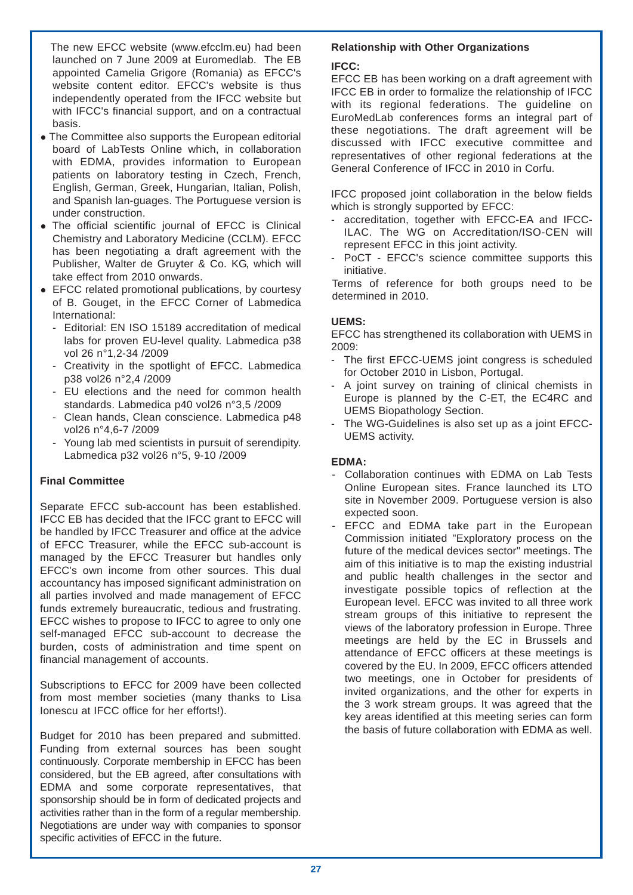The new EFCC website (www.efcclm.eu) had been launched on 7 June 2009 at Euromedlab. The EB appointed Camelia Grigore (Romania) as EFCC's website content editor. EFCC's website is thus independently operated from the IFCC website but with IFCC's financial support, and on a contractual basis.

- The Committee also supports the European editorial board of LabTests Online which, in collaboration with EDMA, provides information to European patients on laboratory testing in Czech, French, English, German, Greek, Hungarian, Italian, Polish, and Spanish lan-guages. The Portuguese version is under construction.
- The official scientific journal of EFCC is Clinical Chemistry and Laboratory Medicine (CCLM). EFCC has been negotiating a draft agreement with the Publisher, Walter de Gruyter & Co. KG, which will take effect from 2010 onwards.
- $\bullet$  EFCC related promotional publications, by courtesy of B. Gouget, in the EFCC Corner of Labmedica International:
	- Editorial: EN ISO 15189 accreditation of medical labs for proven EU-level quality. Labmedica p38 vol 26 n°1,2-34 /2009
	- Creativity in the spotlight of EFCC. Labmedica p38 vol26 n°2,4 /2009
	- EU elections and the need for common health standards. Labmedica p40 vol26 n°3,5 /2009
	- Clean hands, Clean conscience. Labmedica p48 vol26 n°4,6-7 /2009
	- Young lab med scientists in pursuit of serendipity. Labmedica p32 vol26 n°5, 9-10 /2009

## **Final Committee**

Separate EFCC sub-account has been established. IFCC EB has decided that the IFCC grant to EFCC will be handled by IFCC Treasurer and office at the advice of EFCC Treasurer, while the EFCC sub-account is managed by the EFCC Treasurer but handles only EFCC's own income from other sources. This dual accountancy has imposed significant administration on all parties involved and made management of EFCC funds extremely bureaucratic, tedious and frustrating. EFCC wishes to propose to IFCC to agree to only one self-managed EFCC sub-account to decrease the burden, costs of administration and time spent on financial management of accounts.

Subscriptions to EFCC for 2009 have been collected from most member societies (many thanks to Lisa Ionescu at IFCC office for her efforts!).

Budget for 2010 has been prepared and submitted. Funding from external sources has been sought continuously. Corporate membership in EFCC has been considered, but the EB agreed, after consultations with EDMA and some corporate representatives, that sponsorship should be in form of dedicated projects and activities rather than in the form of a regular membership. Negotiations are under way with companies to sponsor specific activities of EFCC in the future.

## **Relationship with Other Organizations**

## **IFCC:**

EFCC EB has been working on a draft agreement with IFCC EB in order to formalize the relationship of IFCC with its regional federations. The guideline on EuroMedLab conferences forms an integral part of these negotiations. The draft agreement will be discussed with IFCC executive committee and representatives of other regional federations at the General Conference of IFCC in 2010 in Corfu.

IFCC proposed joint collaboration in the below fields which is strongly supported by EFCC:

- accreditation, together with EFCC-EA and IFCC-ILAC. The WG on Accreditation/ISO-CEN will represent EFCC in this joint activity.
- PoCT EFCC's science committee supports this initiative.

Terms of reference for both groups need to be determined in 2010.

## **UEMS:**

EFCC has strengthened its collaboration with UEMS in 2009:

- The first EFCC-UEMS joint congress is scheduled for October 2010 in Lisbon, Portugal.
- A joint survey on training of clinical chemists in Europe is planned by the C-ET, the EC4RC and UEMS Biopathology Section.
- The WG-Guidelines is also set up as a joint EFCC-UEMS activity.

## **EDMA:**

- Collaboration continues with EDMA on Lab Tests Online European sites. France launched its LTO site in November 2009. Portuguese version is also expected soon.
- EFCC and EDMA take part in the European Commission initiated "Exploratory process on the future of the medical devices sector" meetings. The aim of this initiative is to map the existing industrial and public health challenges in the sector and investigate possible topics of reflection at the European level. EFCC was invited to all three work stream groups of this initiative to represent the views of the laboratory profession in Europe. Three meetings are held by the EC in Brussels and attendance of EFCC officers at these meetings is covered by the EU. In 2009, EFCC officers attended two meetings, one in October for presidents of invited organizations, and the other for experts in the 3 work stream groups. It was agreed that the key areas identified at this meeting series can form the basis of future collaboration with EDMA as well.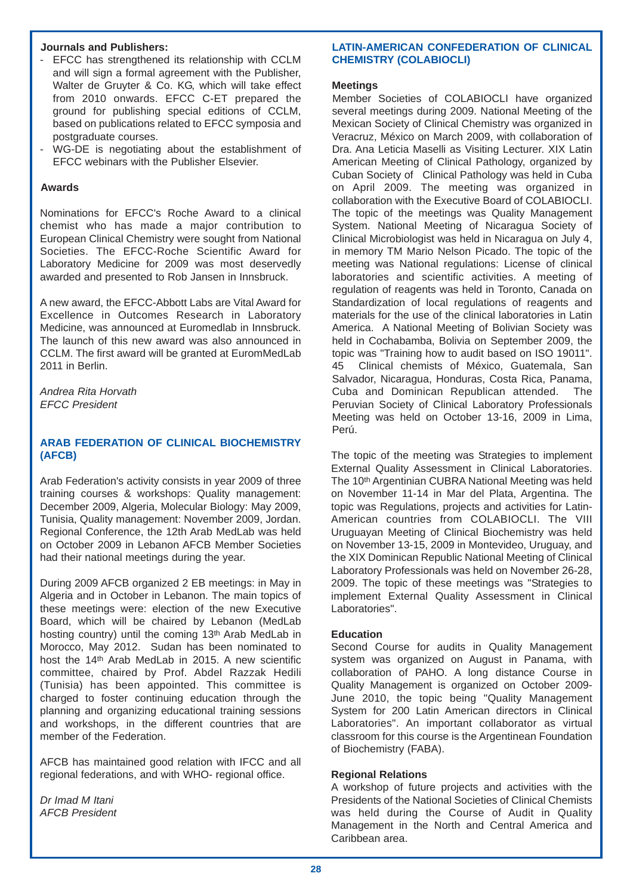## **Journals and Publishers:**

- EFCC has strengthened its relationship with CCLM and will sign a formal agreement with the Publisher, Walter de Gruyter & Co. KG, which will take effect from 2010 onwards. EFCC C-ET prepared the ground for publishing special editions of CCLM, based on publications related to EFCC symposia and postgraduate courses.
- WG-DE is negotiating about the establishment of EFCC webinars with the Publisher Elsevier.

## **Awards**

Nominations for EFCC's Roche Award to a clinical chemist who has made a major contribution to European Clinical Chemistry were sought from National Societies. The EFCC-Roche Scientific Award for Laboratory Medicine for 2009 was most deservedly awarded and presented to Rob Jansen in Innsbruck.

A new award, the EFCC-Abbott Labs are Vital Award for Excellence in Outcomes Research in Laboratory Medicine, was announced at Euromedlab in Innsbruck. The launch of this new award was also announced in CCLM. The first award will be granted at EuromMedLab 2011 in Berlin.

*Andrea Rita Horvath EFCC President*

## **ARAB FEDERATION OF CLINICAL BIOCHEMISTRY (AFCB)**

Arab Federation's activity consists in year 2009 of three training courses & workshops: Quality management: December 2009, Algeria, Molecular Biology: May 2009, Tunisia, Quality management: November 2009, Jordan. Regional Conference, the 12th Arab MedLab was held on October 2009 in Lebanon AFCB Member Societies had their national meetings during the year.

During 2009 AFCB organized 2 EB meetings: in May in Algeria and in October in Lebanon. The main topics of these meetings were: election of the new Executive Board, which will be chaired by Lebanon (MedLab hosting country) until the coming 13th Arab MedLab in Morocco, May 2012. Sudan has been nominated to host the 14th Arab MedLab in 2015. A new scientific committee, chaired by Prof. Abdel Razzak Hedili (Tunisia) has been appointed. This committee is charged to foster continuing education through the planning and organizing educational training sessions and workshops, in the different countries that are member of the Federation.

AFCB has maintained good relation with IFCC and all regional federations, and with WHO- regional office.

*Dr Imad M Itani AFCB President*

## **LATIN-AMERICAN CONFEDERATION OF CLINICAL CHEMISTRY (COLABIOCLI)**

#### **Meetings**

Member Societies of COLABIOCLI have organized several meetings during 2009. National Meeting of the Mexican Society of Clinical Chemistry was organized in Veracruz, México on March 2009, with collaboration of Dra. Ana Leticia Maselli as Visiting Lecturer. XIX Latin American Meeting of Clinical Pathology, organized by Cuban Society of Clinical Pathology was held in Cuba on April 2009. The meeting was organized in collaboration with the Executive Board of COLABIOCLI. The topic of the meetings was Quality Management System. National Meeting of Nicaragua Society of Clinical Microbiologist was held in Nicaragua on July 4, in memory TM Mario Nelson Picado. The topic of the meeting was National regulations: License of clinical laboratories and scientific activities. A meeting of regulation of reagents was held in Toronto, Canada on Standardization of local regulations of reagents and materials for the use of the clinical laboratories in Latin America. A National Meeting of Bolivian Society was held in Cochabamba, Bolivia on September 2009, the topic was "Training how to audit based on ISO 19011". 45 Clinical chemists of México, Guatemala, San Salvador, Nicaragua, Honduras, Costa Rica, Panama, Cuba and Dominican Republican attended. The Peruvian Society of Clinical Laboratory Professionals Meeting was held on October 13-16, 2009 in Lima, Perú.

The topic of the meeting was Strategies to implement External Quality Assessment in Clinical Laboratories. The 10th Argentinian CUBRA National Meeting was held on November 11-14 in Mar del Plata, Argentina. The topic was Regulations, projects and activities for Latin-American countries from COLABIOCLI. The VIII Uruguayan Meeting of Clinical Biochemistry was held on November 13-15, 2009 in Montevideo, Uruguay, and the XIX Dominican Republic National Meeting of Clinical Laboratory Professionals was held on November 26-28, 2009. The topic of these meetings was "Strategies to implement External Quality Assessment in Clinical Laboratories".

## **Education**

Second Course for audits in Quality Management system was organized on August in Panama, with collaboration of PAHO. A long distance Course in Quality Management is organized on October 2009- June 2010, the topic being "Quality Management System for 200 Latin American directors in Clinical Laboratories". An important collaborator as virtual classroom for this course is the Argentinean Foundation of Biochemistry (FABA).

## **Regional Relations**

A workshop of future projects and activities with the Presidents of the National Societies of Clinical Chemists was held during the Course of Audit in Quality Management in the North and Central America and Caribbean area.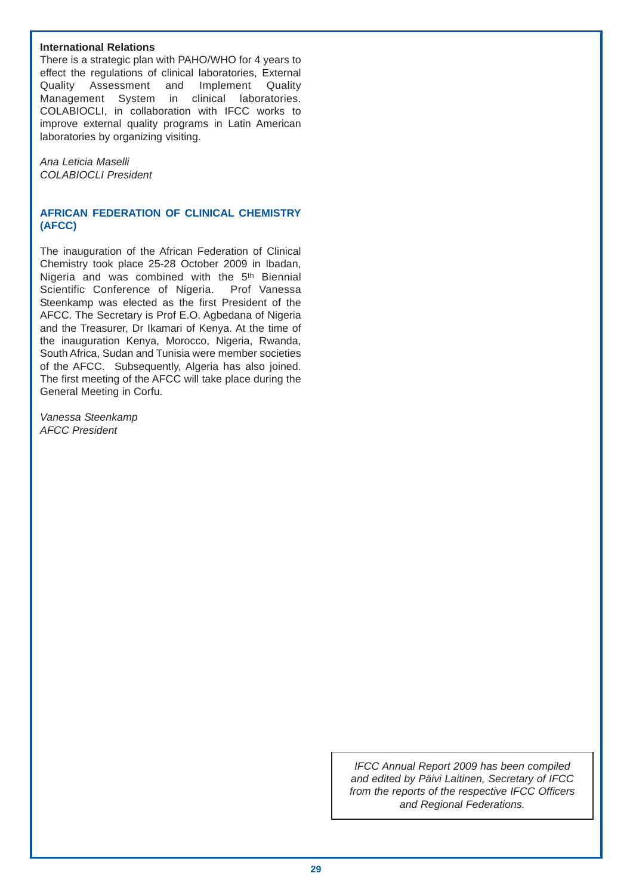## **International Relations**

There is a strategic plan with PAHO/WHO for 4 years to effect the regulations of clinical laboratories, External Quality Assessment and Implement Quality Management System in clinical laboratories. COLABIOCLI, in collaboration with IFCC works to improve external quality programs in Latin American laboratories by organizing visiting.

*Ana Leticia Maselli COLABIOCLI President*

## **AFRICAN FEDERATION OF CLINICAL CHEMISTRY (AFCC)**

The inauguration of the African Federation of Clinical Chemistry took place 25-28 October 2009 in Ibadan, Nigeria and was combined with the 5<sup>th</sup> Biennial Scientific Conference of Nigeria. Prof Vanessa Steenkamp was elected as the first President of the AFCC. The Secretary is Prof E.O. Agbedana of Nigeria and the Treasurer, Dr Ikamari of Kenya. At the time of the inauguration Kenya, Morocco, Nigeria, Rwanda, South Africa, Sudan and Tunisia were member societies of the AFCC. Subsequently, Algeria has also joined. The first meeting of the AFCC will take place during the General Meeting in Corfu.

*Vanessa Steenkamp AFCC President*

> *IFCC Annual Report 2009 has been compiled and edited by Päivi Laitinen, Secretary of IFCC from the reports of the respective IFCC Officers and Regional Federations.*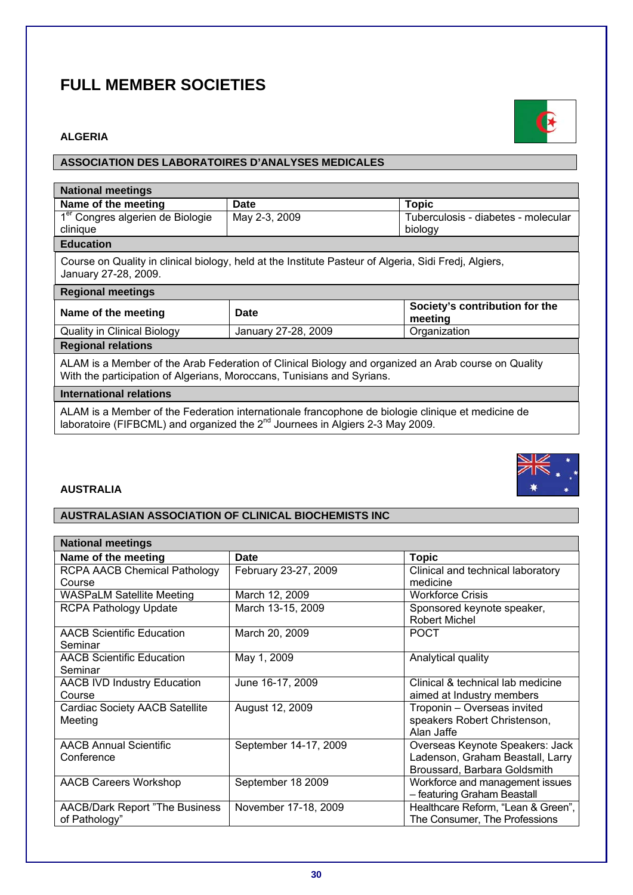# **FULL MEMBER SOCIETIES**

## **ALGERIA**

## **ASSOCIATION DES LABORATOIRES D'ANALYSES MEDICALES**

| <b>National meetings</b>                                                                                                                                                      |                                                                                                       |                                           |
|-------------------------------------------------------------------------------------------------------------------------------------------------------------------------------|-------------------------------------------------------------------------------------------------------|-------------------------------------------|
| Name of the meeting                                                                                                                                                           | Date                                                                                                  | <b>Topic</b>                              |
| 1 <sup>er</sup> Congres algerien de Biologie                                                                                                                                  | May 2-3, 2009                                                                                         | Tuberculosis - diabetes - molecular       |
| clinique                                                                                                                                                                      |                                                                                                       | biology                                   |
| <b>Education</b>                                                                                                                                                              |                                                                                                       |                                           |
| January 27-28, 2009.                                                                                                                                                          | Course on Quality in clinical biology, held at the Institute Pasteur of Algeria, Sidi Fredj, Algiers, |                                           |
| <b>Regional meetings</b>                                                                                                                                                      |                                                                                                       |                                           |
| Name of the meeting                                                                                                                                                           | <b>Date</b>                                                                                           | Society's contribution for the<br>meeting |
| <b>Quality in Clinical Biology</b>                                                                                                                                            | January 27-28, 2009                                                                                   | Organization                              |
| <b>Regional relations</b>                                                                                                                                                     |                                                                                                       |                                           |
| ALAM is a Member of the Arab Federation of Clinical Biology and organized an Arab course on Quality<br>With the participation of Algerians, Moroccans, Tunisians and Syrians. |                                                                                                       |                                           |
| <b>International relations</b>                                                                                                                                                |                                                                                                       |                                           |

ALAM is a Member of the Federation internationale francophone de biologie clinique et medicine de laboratoire (FIFBCML) and organized the  $2^{nd}$  Journees in Algiers 2-3 May 2009.

## **AUSTRALIA**

## **AUSTRALASIAN ASSOCIATION OF CLINICAL BIOCHEMISTS INC**

| <b>National meetings</b>               |                       |                                    |
|----------------------------------------|-----------------------|------------------------------------|
| Name of the meeting                    | <b>Date</b>           | <b>Topic</b>                       |
| <b>RCPA AACB Chemical Pathology</b>    | February 23-27, 2009  | Clinical and technical laboratory  |
| Course                                 |                       | medicine                           |
| <b>WASPaLM Satellite Meeting</b>       | March 12, 2009        | <b>Workforce Crisis</b>            |
| <b>RCPA Pathology Update</b>           | March 13-15, 2009     | Sponsored keynote speaker,         |
|                                        |                       | <b>Robert Michel</b>               |
| <b>AACB Scientific Education</b>       | March 20, 2009        | <b>POCT</b>                        |
| Seminar                                |                       |                                    |
| <b>AACB Scientific Education</b>       | May 1, 2009           | Analytical quality                 |
| Seminar                                |                       |                                    |
| <b>AACB IVD Industry Education</b>     | June 16-17, 2009      | Clinical & technical lab medicine  |
| Course                                 |                       | aimed at Industry members          |
| <b>Cardiac Society AACB Satellite</b>  | August 12, 2009       | Troponin - Overseas invited        |
| Meeting                                |                       | speakers Robert Christenson,       |
|                                        |                       | Alan Jaffe                         |
| <b>AACB Annual Scientific</b>          | September 14-17, 2009 | Overseas Keynote Speakers: Jack    |
| Conference                             |                       | Ladenson, Graham Beastall, Larry   |
|                                        |                       | Broussard, Barbara Goldsmith       |
| <b>AACB Careers Workshop</b>           | September 18 2009     | Workforce and management issues    |
|                                        |                       | - featuring Graham Beastall        |
| <b>AACB/Dark Report "The Business"</b> | November 17-18, 2009  | Healthcare Reform, "Lean & Green", |
| of Pathology"                          |                       | The Consumer, The Professions      |



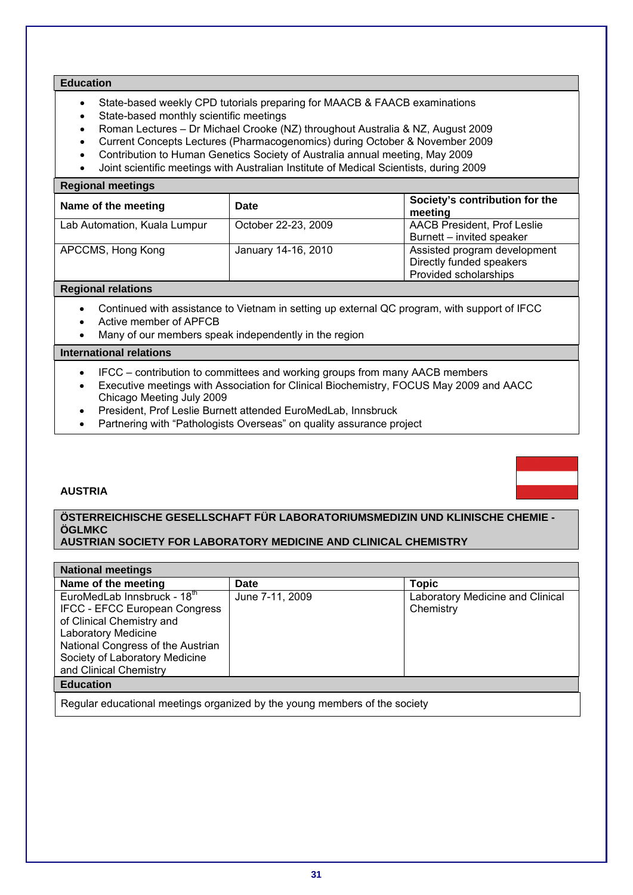## **Education**

- State-based weekly CPD tutorials preparing for MAACB & FAACB examinations
- State-based monthly scientific meetings
- Roman Lectures Dr Michael Crooke (NZ) throughout Australia & NZ, August 2009
- Current Concepts Lectures (Pharmacogenomics) during October & November 2009
- Contribution to Human Genetics Society of Australia annual meeting, May 2009
- Joint scientific meetings with Australian Institute of Medical Scientists, during 2009

## **Regional meetings**

| Name of the meeting          | <b>Date</b>         | Society's contribution for the<br>meeting                                         |
|------------------------------|---------------------|-----------------------------------------------------------------------------------|
| Lab Automation, Kuala Lumpur | October 22-23, 2009 | <b>AACB President, Prof Leslie</b><br>Burnett – invited speaker                   |
| APCCMS, Hong Kong            | January 14-16, 2010 | Assisted program development<br>Directly funded speakers<br>Provided scholarships |

#### **Regional relations**

- Continued with assistance to Vietnam in setting up external QC program, with support of IFCC
- Active member of APFCB
- Many of our members speak independently in the region

#### **International relations**

- IFCC contribution to committees and working groups from many AACB members
- Executive meetings with Association for Clinical Biochemistry, FOCUS May 2009 and AACC Chicago Meeting July 2009
- President, Prof Leslie Burnett attended EuroMedLab, Innsbruck
- Partnering with "Pathologists Overseas" on quality assurance project

## **AUSTRIA**

## **ÖSTERREICHISCHE GESELLSCHAFT FÜR LABORATORIUMSMEDIZIN UND KLINISCHE CHEMIE - ÖGLMKC**

## **AUSTRIAN SOCIETY FOR LABORATORY MEDICINE AND CLINICAL CHEMISTRY**

| <b>National meetings</b>                                                                                                                                                                                                        |                 |                                               |
|---------------------------------------------------------------------------------------------------------------------------------------------------------------------------------------------------------------------------------|-----------------|-----------------------------------------------|
| Name of the meeting                                                                                                                                                                                                             | <b>Date</b>     | <b>Topic</b>                                  |
| EuroMedLab Innsbruck - 18th<br><b>IFCC - EFCC European Congress</b><br>of Clinical Chemistry and<br><b>Laboratory Medicine</b><br>National Congress of the Austrian<br>Society of Laboratory Medicine<br>and Clinical Chemistry | June 7-11, 2009 | Laboratory Medicine and Clinical<br>Chemistry |
| <b>Education</b>                                                                                                                                                                                                                |                 |                                               |

Regular educational meetings organized by the young members of the society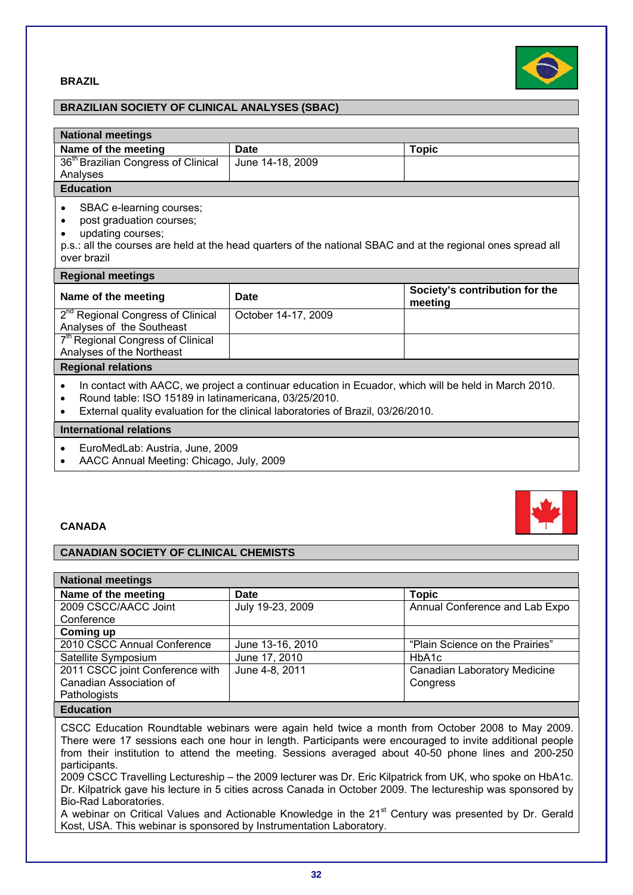



## **BRAZILIAN SOCIETY OF CLINICAL ANALYSES (SBAC)**

| <b>National meetings</b>                                                                                                                                                                                              |                     |                                           |
|-----------------------------------------------------------------------------------------------------------------------------------------------------------------------------------------------------------------------|---------------------|-------------------------------------------|
| Name of the meeting                                                                                                                                                                                                   | Date                | <b>Topic</b>                              |
| 36 <sup>th</sup> Brazilian Congress of Clinical                                                                                                                                                                       | June 14-18, 2009    |                                           |
| Analyses                                                                                                                                                                                                              |                     |                                           |
| <b>Education</b>                                                                                                                                                                                                      |                     |                                           |
| SBAC e-learning courses;<br>$\bullet$<br>post graduation courses;<br>updating courses;<br>p.s.: all the courses are held at the head quarters of the national SBAC and at the regional ones spread all<br>over brazil |                     |                                           |
| <b>Regional meetings</b>                                                                                                                                                                                              |                     |                                           |
|                                                                                                                                                                                                                       |                     |                                           |
| Name of the meeting                                                                                                                                                                                                   | Date                | Society's contribution for the<br>meeting |
| 2 <sup>nd</sup> Regional Congress of Clinical<br>Analyses of the Southeast                                                                                                                                            | October 14-17, 2009 |                                           |
| 7 <sup>th</sup> Regional Congress of Clinical                                                                                                                                                                         |                     |                                           |
| Analyses of the Northeast                                                                                                                                                                                             |                     |                                           |
| <b>Regional relations</b>                                                                                                                                                                                             |                     |                                           |

• External quality evaluation for the clinical laboratories of Brazil, 03/26/2010.

## **International relations**

- EuroMedLab: Austria, June, 2009
- AACC Annual Meeting: Chicago, July, 2009

## **CANADA**

## **CANADIAN SOCIETY OF CLINICAL CHEMISTS**

| <b>National meetings</b>        |                  |                                     |
|---------------------------------|------------------|-------------------------------------|
| Name of the meeting             | <b>Date</b>      | <b>Topic</b>                        |
| 2009 CSCC/AACC Joint            | July 19-23, 2009 | Annual Conference and Lab Expo      |
| Conference                      |                  |                                     |
| Coming up                       |                  |                                     |
| 2010 CSCC Annual Conference     | June 13-16, 2010 | "Plain Science on the Prairies"     |
| Satellite Symposium             | June 17, 2010    | HbA1c                               |
| 2011 CSCC joint Conference with | June 4-8, 2011   | <b>Canadian Laboratory Medicine</b> |
| Canadian Association of         |                  | Congress                            |
| Pathologists                    |                  |                                     |
| <b>Education</b>                |                  |                                     |

CSCC Education Roundtable webinars were again held twice a month from October 2008 to May 2009. There were 17 sessions each one hour in length. Participants were encouraged to invite additional people from their institution to attend the meeting. Sessions averaged about 40-50 phone lines and 200-250 participants.

2009 CSCC Travelling Lectureship – the 2009 lecturer was Dr. Eric Kilpatrick from UK, who spoke on HbA1c. Dr. Kilpatrick gave his lecture in 5 cities across Canada in October 2009. The lectureship was sponsored by Bio-Rad Laboratories.

A webinar on Critical Values and Actionable Knowledge in the 21<sup>st</sup> Century was presented by Dr. Gerald Kost, USA. This webinar is sponsored by Instrumentation Laboratory.

**32**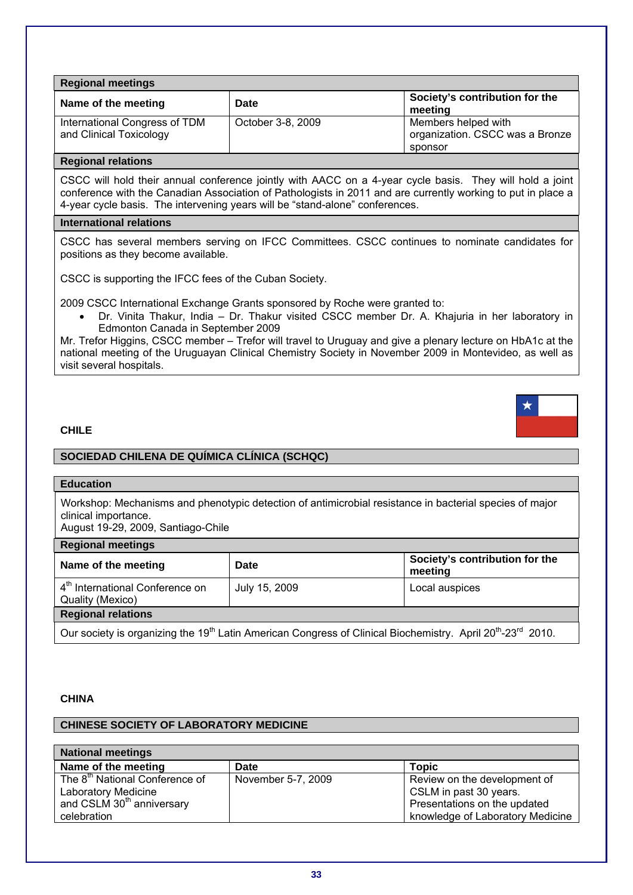| <b>Regional meetings</b>                                 |                   |                                                                   |
|----------------------------------------------------------|-------------------|-------------------------------------------------------------------|
| Name of the meeting                                      | Date              | Society's contribution for the<br>meeting                         |
| International Congress of TDM<br>and Clinical Toxicology | October 3-8, 2009 | Members helped with<br>organization. CSCC was a Bronze<br>sponsor |

## **Regional relations**

CSCC will hold their annual conference jointly with AACC on a 4-year cycle basis. They will hold a joint conference with the Canadian Association of Pathologists in 2011 and are currently working to put in place a 4-year cycle basis. The intervening years will be "stand-alone" conferences.

## **International relations**

CSCC has several members serving on IFCC Committees. CSCC continues to nominate candidates for positions as they become available.

CSCC is supporting the IFCC fees of the Cuban Society.

2009 CSCC International Exchange Grants sponsored by Roche were granted to:

• Dr. Vinita Thakur, India – Dr. Thakur visited CSCC member Dr. A. Khajuria in her laboratory in Edmonton Canada in September 2009

Mr. Trefor Higgins, CSCC member – Trefor will travel to Uruguay and give a plenary lecture on HbA1c at the national meeting of the Uruguayan Clinical Chemistry Society in November 2009 in Montevideo, as well as visit several hospitals.

## **CHILE**

## **SOCIEDAD CHILENA DE QUÍMICA CLÍNICA (SCHQC)**

## **Education**

Workshop: Mechanisms and phenotypic detection of antimicrobial resistance in bacterial species of major clinical importance.

August 19-29, 2009, Santiago-Chile

| <b>Regional meetings</b>                                                                                                                        |               |                                           |
|-------------------------------------------------------------------------------------------------------------------------------------------------|---------------|-------------------------------------------|
| Name of the meeting                                                                                                                             | <b>Date</b>   | Society's contribution for the<br>meeting |
| 4 <sup>th</sup> International Conference on<br>Quality (Mexico)                                                                                 | July 15, 2009 | Local auspices                            |
| <b>Regional relations</b>                                                                                                                       |               |                                           |
| Our society is organizing the 19 <sup>th</sup> Latin American Congress of Clinical Biochemistry. April 20 <sup>th</sup> -23 <sup>rd</sup> 2010. |               |                                           |

## **CHINA**

## **CHINESE SOCIETY OF LABORATORY MEDICINE**

| <b>National meetings</b>                   |                    |                                  |
|--------------------------------------------|--------------------|----------------------------------|
| Name of the meeting                        | Date               | <b>Topic</b>                     |
| The 8 <sup>th</sup> National Conference of | November 5-7, 2009 | Review on the development of     |
| Laboratory Medicine                        |                    | CSLM in past 30 years.           |
| and CSLM 30 <sup>th</sup> anniversary      |                    | Presentations on the updated     |
| celebration                                |                    | knowledge of Laboratory Medicine |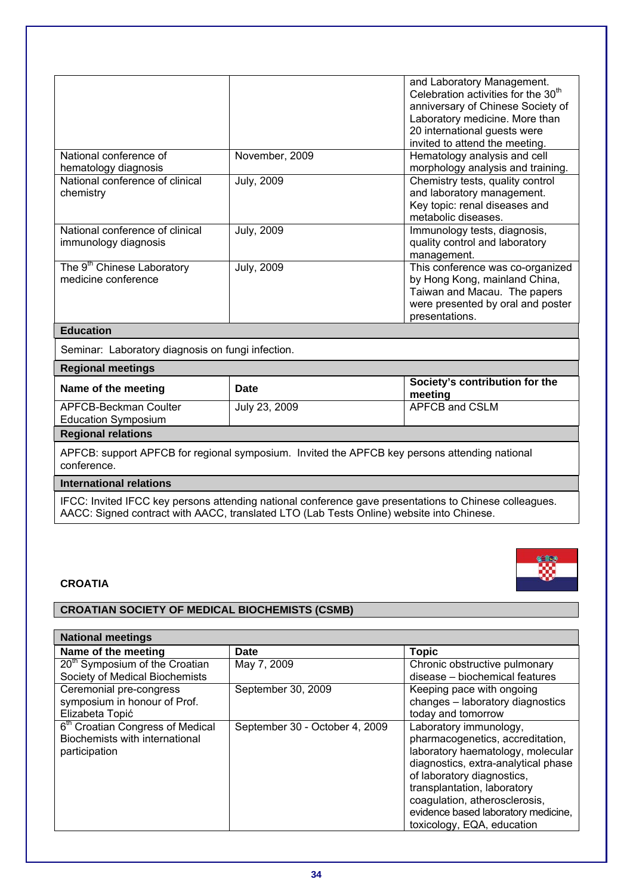|                                                               |                   | and Laboratory Management.<br>Celebration activities for the 30 <sup>th</sup><br>anniversary of Chinese Society of<br>Laboratory medicine. More than<br>20 international guests were<br>invited to attend the meeting. |
|---------------------------------------------------------------|-------------------|------------------------------------------------------------------------------------------------------------------------------------------------------------------------------------------------------------------------|
| National conference of<br>hematology diagnosis                | November, 2009    | Hematology analysis and cell<br>morphology analysis and training.                                                                                                                                                      |
| National conference of clinical<br>chemistry                  | <b>July, 2009</b> | Chemistry tests, quality control<br>and laboratory management.<br>Key topic: renal diseases and<br>metabolic diseases.                                                                                                 |
| National conference of clinical<br>immunology diagnosis       | <b>July, 2009</b> | Immunology tests, diagnosis,<br>quality control and laboratory<br>management.                                                                                                                                          |
| The 9 <sup>th</sup> Chinese Laboratory<br>medicine conference | <b>July, 2009</b> | This conference was co-organized<br>by Hong Kong, mainland China,<br>Taiwan and Macau. The papers<br>were presented by oral and poster<br>presentations.                                                               |
| $-1$ $-1$                                                     |                   |                                                                                                                                                                                                                        |

## **Education**

**Regional meetings** 

Seminar: Laboratory diagnosis on fungi infection.

| Regional meetings   |      |  |
|---------------------|------|--|
| Name of the meeting | Date |  |

| <b>THRUBLE OF THE HILL</b> | pale          | meeting        |
|----------------------------|---------------|----------------|
| APFCB-Beckman Coulter      | July 23, 2009 | APFCB and CSLM |
| Education Symposium        |               |                |
| <b>Regional relations</b>  |               |                |

**Society's contribution for the** 

APFCB: support APFCB for regional symposium. Invited the APFCB key persons attending national conference.

## **International relations**

IFCC: Invited IFCC key persons attending national conference gave presentations to Chinese colleagues. AACC: Signed contract with AACC, translated LTO (Lab Tests Online) website into Chinese.

## **CROATIA**

## **CROATIAN SOCIETY OF MEDICAL BIOCHEMISTS (CSMB)**

| <b>National meetings</b>                     |                                |                                     |
|----------------------------------------------|--------------------------------|-------------------------------------|
| Name of the meeting                          | <b>Date</b>                    | <b>Topic</b>                        |
| 20 <sup>th</sup> Symposium of the Croatian   | May 7, 2009                    | Chronic obstructive pulmonary       |
| Society of Medical Biochemists               |                                | disease - biochemical features      |
| Ceremonial pre-congress                      | September 30, 2009             | Keeping pace with ongoing           |
| symposium in honour of Prof.                 |                                | changes - laboratory diagnostics    |
| Elizabeta Topić                              |                                | today and tomorrow                  |
| 6 <sup>th</sup> Croatian Congress of Medical | September 30 - October 4, 2009 | Laboratory immunology,              |
| Biochemists with international               |                                | pharmacogenetics, accreditation,    |
| participation                                |                                | laboratory haematology, molecular   |
|                                              |                                | diagnostics, extra-analytical phase |
|                                              |                                | of laboratory diagnostics,          |
|                                              |                                | transplantation, laboratory         |
|                                              |                                | coagulation, atherosclerosis,       |
|                                              |                                | evidence based laboratory medicine, |
|                                              |                                | toxicology, EQA, education          |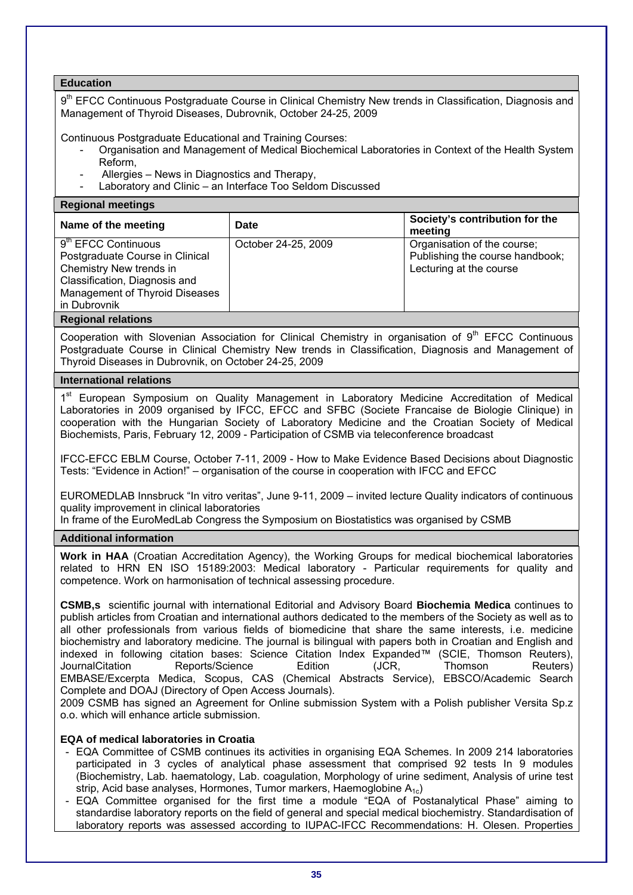## **Education**

9<sup>th</sup> EFCC Continuous Postgraduate Course in Clinical Chemistry New trends in Classification, Diagnosis and Management of Thyroid Diseases, Dubrovnik, October 24-25, 2009

Continuous Postgraduate Educational and Training Courses:

- Organisation and Management of Medical Biochemical Laboratories in Context of the Health System Reform,
- Allergies News in Diagnostics and Therapy,
- Laboratory and Clinic an Interface Too Seldom Discussed

#### **Regional meetings**

| Name of the meeting                                                                                                                                                                         | Date                | Society's contribution for the<br>meeting                                                 |
|---------------------------------------------------------------------------------------------------------------------------------------------------------------------------------------------|---------------------|-------------------------------------------------------------------------------------------|
| $\overline{9}^{\text{th}}$ EFCC Continuous<br>Postgraduate Course in Clinical<br>Chemistry New trends in<br>Classification, Diagnosis and<br>Management of Thyroid Diseases<br>in Dubrovnik | October 24-25, 2009 | Organisation of the course;<br>Publishing the course handbook;<br>Lecturing at the course |
| <b>Dogional relations</b>                                                                                                                                                                   |                     |                                                                                           |

## **Regional relations**

Cooperation with Slovenian Association for Clinical Chemistry in organisation of  $9<sup>th</sup>$  EFCC Continuous Postgraduate Course in Clinical Chemistry New trends in Classification, Diagnosis and Management of Thyroid Diseases in Dubrovnik, on October 24-25, 2009

## **International relations**

1<sup>st</sup> European Symposium on Quality Management in Laboratory Medicine Accreditation of Medical Laboratories in 2009 organised by IFCC, EFCC and SFBC (Societe Francaise de Biologie Clinique) in cooperation with the Hungarian Society of Laboratory Medicine and the Croatian Society of Medical Biochemists, Paris, February 12, 2009 - Participation of CSMB via teleconference broadcast

IFCC-EFCC EBLM Course, October 7-11, 2009 - How to Make Evidence Based Decisions about Diagnostic Tests: "Evidence in Action!" – organisation of the course in cooperation with IFCC and EFCC

EUROMEDLAB Innsbruck "In vitro veritas", June 9-11, 2009 – invited lecture Quality indicators of continuous quality improvement in clinical laboratories

In frame of the EuroMedLab Congress the Symposium on Biostatistics was organised by CSMB

#### **Additional information**

**Work in HAA** (Croatian Accreditation Agency), the Working Groups for medical biochemical laboratories related to HRN EN ISO 15189:2003: Medical laboratory - Particular requirements for quality and competence. Work on harmonisation of technical assessing procedure.

**CSMB,s** scientific journal with international Editorial and Advisory Board **Biochemia Medica** continues to publish articles from Croatian and international authors dedicated to the members of the Society as well as to all other professionals from various fields of biomedicine that share the same interests, i.e. medicine biochemistry and laboratory medicine. The journal is bilingual with papers both in Croatian and English and indexed in following citation bases: Science Citation Index Expanded™ (SCIE, Thomson Reuters), JournalCitation Reports/Science Edition (JCR, Thomson Reuters) EMBASE/Excerpta Medica, Scopus, CAS (Chemical Abstracts Service), EBSCO/Academic Search Complete and DOAJ (Directory of Open Access Journals).

2009 CSMB has signed an Agreement for Online submission System with a Polish publisher Versita Sp.z o.o. which will enhance article submission.

## **EQA of medical laboratories in Croatia**

- EQA Committee of CSMB continues its activities in organising EQA Schemes. In 2009 214 laboratories participated in 3 cycles of analytical phase assessment that comprised 92 tests In 9 modules (Biochemistry, Lab. haematology, Lab. coagulation, Morphology of urine sediment, Analysis of urine test strip, Acid base analyses, Hormones, Tumor markers, Haemoglobine  $A_{1c}$ )
- EQA Committee organised for the first time a module "EQA of Postanalytical Phase" aiming to standardise laboratory reports on the field of general and special medical biochemistry. Standardisation of laboratory reports was assessed according to IUPAC-IFCC Recommendations: H. Olesen. Properties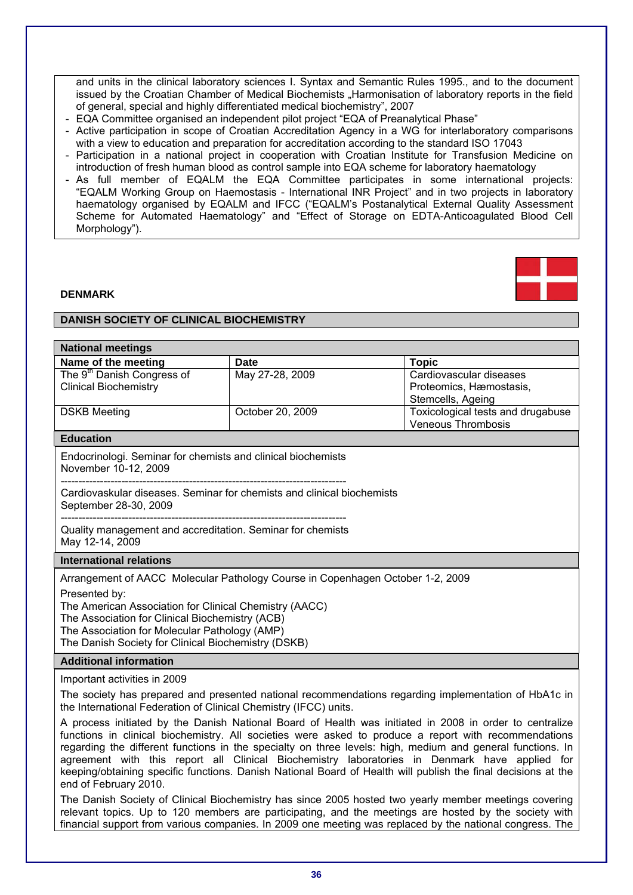and units in the clinical laboratory sciences I. Syntax and Semantic Rules 1995., and to the document issued by the Croatian Chamber of Medical Biochemists "Harmonisation of laboratory reports in the field of general, special and highly differentiated medical biochemistry", 2007

- EQA Committee organised an independent pilot project "EQA of Preanalytical Phase"
- Active participation in scope of Croatian Accreditation Agency in a WG for interlaboratory comparisons with a view to education and preparation for accreditation according to the standard ISO 17043
- Participation in a national project in cooperation with Croatian Institute for Transfusion Medicine on introduction of fresh human blood as control sample into EQA scheme for laboratory haematology
- As full member of EQALM the EQA Committee participates in some international projects: "EQALM Working Group on Haemostasis - International INR Project" and in two projects in laboratory haematology organised by EQALM and IFCC ("EQALM's Postanalytical External Quality Assessment Scheme for Automated Haematology" and "Effect of Storage on EDTA-Anticoagulated Blood Cell Morphology").



## **DENMARK**

## **DANISH SOCIETY OF CLINICAL BIOCHEMISTRY**

| <b>National meetings</b>                                                                                                                                                                                                                                                                                                                                                                                                                                                                                                                                                  |                                                                                |                                                                |  |
|---------------------------------------------------------------------------------------------------------------------------------------------------------------------------------------------------------------------------------------------------------------------------------------------------------------------------------------------------------------------------------------------------------------------------------------------------------------------------------------------------------------------------------------------------------------------------|--------------------------------------------------------------------------------|----------------------------------------------------------------|--|
| Name of the meeting                                                                                                                                                                                                                                                                                                                                                                                                                                                                                                                                                       | <b>Date</b>                                                                    | <b>Topic</b>                                                   |  |
| The 9 <sup>th</sup> Danish Congress of                                                                                                                                                                                                                                                                                                                                                                                                                                                                                                                                    | May 27-28, 2009                                                                | Cardiovascular diseases                                        |  |
| <b>Clinical Biochemistry</b>                                                                                                                                                                                                                                                                                                                                                                                                                                                                                                                                              |                                                                                | Proteomics, Hæmostasis,                                        |  |
|                                                                                                                                                                                                                                                                                                                                                                                                                                                                                                                                                                           |                                                                                | Stemcells, Ageing                                              |  |
| <b>DSKB Meeting</b>                                                                                                                                                                                                                                                                                                                                                                                                                                                                                                                                                       | October 20, 2009                                                               | Toxicological tests and drugabuse<br><b>Veneous Thrombosis</b> |  |
| <b>Education</b>                                                                                                                                                                                                                                                                                                                                                                                                                                                                                                                                                          |                                                                                |                                                                |  |
|                                                                                                                                                                                                                                                                                                                                                                                                                                                                                                                                                                           |                                                                                |                                                                |  |
| Endocrinologi. Seminar for chemists and clinical biochemists<br>November 10-12, 2009                                                                                                                                                                                                                                                                                                                                                                                                                                                                                      |                                                                                |                                                                |  |
| Cardiovaskular diseases. Seminar for chemists and clinical biochemists<br>September 28-30, 2009                                                                                                                                                                                                                                                                                                                                                                                                                                                                           |                                                                                |                                                                |  |
|                                                                                                                                                                                                                                                                                                                                                                                                                                                                                                                                                                           |                                                                                |                                                                |  |
| Quality management and accreditation. Seminar for chemists<br>May 12-14, 2009                                                                                                                                                                                                                                                                                                                                                                                                                                                                                             |                                                                                |                                                                |  |
| <b>International relations</b>                                                                                                                                                                                                                                                                                                                                                                                                                                                                                                                                            |                                                                                |                                                                |  |
|                                                                                                                                                                                                                                                                                                                                                                                                                                                                                                                                                                           | Arrangement of AACC Molecular Pathology Course in Copenhagen October 1-2, 2009 |                                                                |  |
| Presented by:                                                                                                                                                                                                                                                                                                                                                                                                                                                                                                                                                             |                                                                                |                                                                |  |
| The American Association for Clinical Chemistry (AACC)                                                                                                                                                                                                                                                                                                                                                                                                                                                                                                                    |                                                                                |                                                                |  |
| The Association for Clinical Biochemistry (ACB)                                                                                                                                                                                                                                                                                                                                                                                                                                                                                                                           |                                                                                |                                                                |  |
| The Association for Molecular Pathology (AMP)<br>The Danish Society for Clinical Biochemistry (DSKB)                                                                                                                                                                                                                                                                                                                                                                                                                                                                      |                                                                                |                                                                |  |
|                                                                                                                                                                                                                                                                                                                                                                                                                                                                                                                                                                           |                                                                                |                                                                |  |
| <b>Additional information</b>                                                                                                                                                                                                                                                                                                                                                                                                                                                                                                                                             |                                                                                |                                                                |  |
| Important activities in 2009                                                                                                                                                                                                                                                                                                                                                                                                                                                                                                                                              |                                                                                |                                                                |  |
| The society has prepared and presented national recommendations regarding implementation of HbA1c in<br>the International Federation of Clinical Chemistry (IFCC) units.                                                                                                                                                                                                                                                                                                                                                                                                  |                                                                                |                                                                |  |
| A process initiated by the Danish National Board of Health was initiated in 2008 in order to centralize<br>functions in clinical biochemistry. All societies were asked to produce a report with recommendations<br>regarding the different functions in the specialty on three levels: high, medium and general functions. In<br>agreement with this report all Clinical Biochemistry laboratories in Denmark have applied for<br>keeping/obtaining specific functions. Danish National Board of Health will publish the final decisions at the<br>end of February 2010. |                                                                                |                                                                |  |
| The Danish Society of Clinical Biochemistry has since 2005 hosted two yearly member meetings covering<br>relevant topics. Up to 120 members are participating, and the meetings are hosted by the society with<br>financial support from various companies. In 2009 one meeting was replaced by the national congress. The                                                                                                                                                                                                                                                |                                                                                |                                                                |  |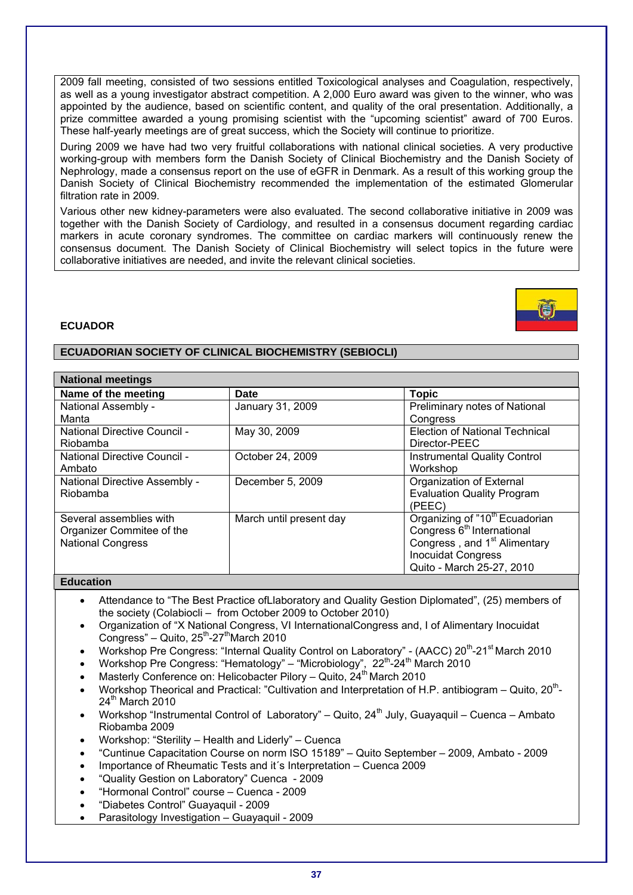2009 fall meeting, consisted of two sessions entitled Toxicological analyses and Coagulation, respectively, as well as a young investigator abstract competition. A 2,000 Euro award was given to the winner, who was appointed by the audience, based on scientific content, and quality of the oral presentation. Additionally, a prize committee awarded a young promising scientist with the "upcoming scientist" award of 700 Euros. These half-yearly meetings are of great success, which the Society will continue to prioritize.

During 2009 we have had two very fruitful collaborations with national clinical societies. A very productive working-group with members form the Danish Society of Clinical Biochemistry and the Danish Society of Nephrology, made a consensus report on the use of eGFR in Denmark. As a result of this working group the Danish Society of Clinical Biochemistry recommended the implementation of the estimated Glomerular filtration rate in 2009.

Various other new kidney-parameters were also evaluated. The second collaborative initiative in 2009 was together with the Danish Society of Cardiology, and resulted in a consensus document regarding cardiac markers in acute coronary syndromes. The committee on cardiac markers will continuously renew the consensus document. The Danish Society of Clinical Biochemistry will select topics in the future were collaborative initiatives are needed, and invite the relevant clinical societies.

# **ECUADOR**

# **ECUADORIAN SOCIETY OF CLINICAL BIOCHEMISTRY (SEBIOCLI)**

| <b>National meetings</b>      |                         |                                            |
|-------------------------------|-------------------------|--------------------------------------------|
| Name of the meeting           | <b>Date</b>             | <b>Topic</b>                               |
| National Assembly -           | January 31, 2009        | Preliminary notes of National              |
| Manta                         |                         | Congress                                   |
| National Directive Council -  | May 30, 2009            | <b>Election of National Technical</b>      |
| Riobamba                      |                         | Director-PEEC                              |
| National Directive Council -  | October 24, 2009        | <b>Instrumental Quality Control</b>        |
| Ambato                        |                         | Workshop                                   |
| National Directive Assembly - | December 5, 2009        | Organization of External                   |
| Riobamba                      |                         | <b>Evaluation Quality Program</b>          |
|                               |                         | (PEEC)                                     |
| Several assemblies with       | March until present day | Organizing of "10 <sup>th</sup> Ecuadorian |
| Organizer Commitee of the     |                         | Congress 6 <sup>th</sup> International     |
| <b>National Congress</b>      |                         | Congress, and 1 <sup>st</sup> Alimentary   |
|                               |                         | <b>Inocuidat Congress</b>                  |
|                               |                         | Quito - March 25-27, 2010                  |

## **Education**

- Attendance to "The Best Practice ofLlaboratory and Quality Gestion Diplomated", (25) members of the society (Colabiocli – from October 2009 to October 2010)
- Organization of "X National Congress, VI InternationalCongress and, I of Alimentary Inocuidat Congress" – Quito,  $25^{th}$ -27<sup>th</sup>March 2010
- Workshop Pre Congress: "Internal Quality Control on Laboratory" (AACC) 20th-21st March 2010
- Workshop Pre Congress: "Hematology" "Microbiology",  $22<sup>th</sup> 24<sup>th</sup>$  March 2010
- Masterly Conference on: Helicobacter Pilory Quito,  $24<sup>th</sup>$  March 2010
- Workshop Theorical and Practical: "Cultivation and Interpretation of H.P. antibiogram Quito, 20<sup>th</sup>- $24<sup>th</sup>$  March 2010
- Workshop "Instrumental Control of Laboratory" Quito,  $24<sup>th</sup>$  July, Guayaquil Cuenca Ambato Riobamba 2009
- Workshop: "Sterility Health and Liderly" Cuenca
- "Cuntinue Capacitation Course on norm ISO 15189" Quito September 2009, Ambato 2009
- Importance of Rheumatic Tests and it´s Interpretation Cuenca 2009
- "Quality Gestion on Laboratory" Cuenca 2009
- "Hormonal Control" course Cuenca 2009
- "Diabetes Control" Guayaquil 2009
- Parasitology Investigation Guayaquil 2009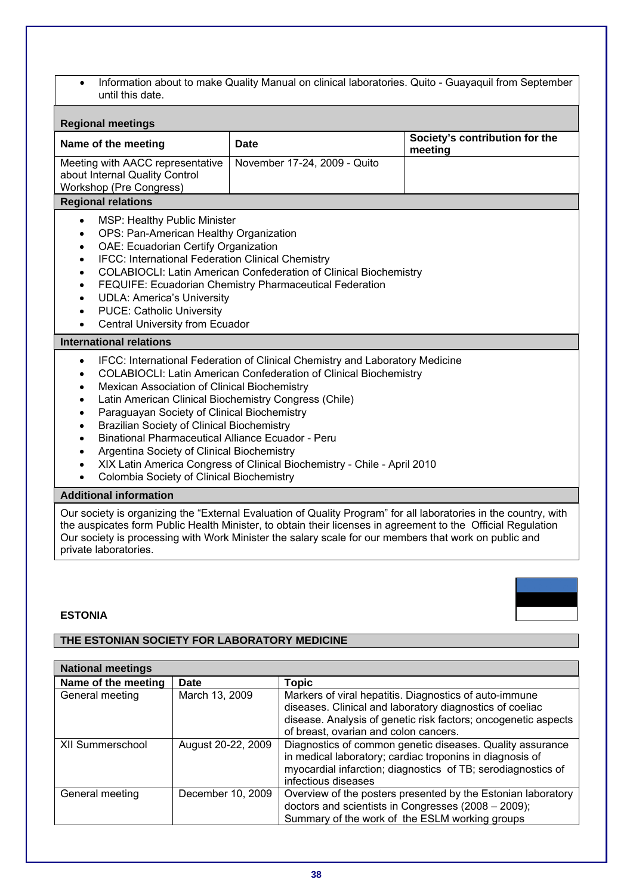• Information about to make Quality Manual on clinical laboratories. Quito - Guayaquil from September until this date.

| <b>Regional meetings</b>                                                                                                                                                                                                                                                                                                                                                                                                                                                                                                                                                                                                                                                       |                              |  |  |
|--------------------------------------------------------------------------------------------------------------------------------------------------------------------------------------------------------------------------------------------------------------------------------------------------------------------------------------------------------------------------------------------------------------------------------------------------------------------------------------------------------------------------------------------------------------------------------------------------------------------------------------------------------------------------------|------------------------------|--|--|
| Name of the meeting                                                                                                                                                                                                                                                                                                                                                                                                                                                                                                                                                                                                                                                            | Date                         |  |  |
| Meeting with AACC representative<br>about Internal Quality Control<br>Workshop (Pre Congress)                                                                                                                                                                                                                                                                                                                                                                                                                                                                                                                                                                                  | November 17-24, 2009 - Quito |  |  |
| <b>Regional relations</b>                                                                                                                                                                                                                                                                                                                                                                                                                                                                                                                                                                                                                                                      |                              |  |  |
| <b>MSP: Healthy Public Minister</b><br>$\bullet$<br>OPS: Pan-American Healthy Organization<br>$\bullet$<br>OAE: Ecuadorian Certify Organization<br>$\bullet$<br>IFCC: International Federation Clinical Chemistry<br>$\bullet$<br>COLABIOCLI: Latin American Confederation of Clinical Biochemistry<br>$\bullet$<br>FEQUIFE: Ecuadorian Chemistry Pharmaceutical Federation<br>٠<br><b>UDLA: America's University</b><br><b>PUCE: Catholic University</b><br><b>Central University from Ecuador</b>                                                                                                                                                                            |                              |  |  |
| <b>International relations</b>                                                                                                                                                                                                                                                                                                                                                                                                                                                                                                                                                                                                                                                 |                              |  |  |
| IFCC: International Federation of Clinical Chemistry and Laboratory Medicine<br>$\bullet$<br><b>COLABIOCLI: Latin American Confederation of Clinical Biochemistry</b><br>$\bullet$<br>Mexican Association of Clinical Biochemistry<br>٠<br>Latin American Clinical Biochemistry Congress (Chile)<br>$\bullet$<br>Paraguayan Society of Clinical Biochemistry<br><b>Brazilian Society of Clinical Biochemistry</b><br>$\bullet$<br><b>Binational Pharmaceutical Alliance Ecuador - Peru</b><br>Argentina Society of Clinical Biochemistry<br>XIX Latin America Congress of Clinical Biochemistry - Chile - April 2010<br>$\bullet$<br>Colombia Society of Clinical Biochemistry |                              |  |  |
| <b>Additional information</b>                                                                                                                                                                                                                                                                                                                                                                                                                                                                                                                                                                                                                                                  |                              |  |  |

Our society is organizing the "External Evaluation of Quality Program" for all laboratories in the country, with the auspicates form Public Health Minister, to obtain their licenses in agreement to the Official Regulation Our society is processing with Work Minister the salary scale for our members that work on public and private laboratories.

# **ESTONIA**



# **THE ESTONIAN SOCIETY FOR LABORATORY MEDICINE**

| <b>National meetings</b> |                    |                                                                                                                                                                                                                               |
|--------------------------|--------------------|-------------------------------------------------------------------------------------------------------------------------------------------------------------------------------------------------------------------------------|
| Name of the meeting      | Date               | <b>Topic</b>                                                                                                                                                                                                                  |
| General meeting          | March 13, 2009     | Markers of viral hepatitis. Diagnostics of auto-immune<br>diseases. Clinical and laboratory diagnostics of coeliac<br>disease. Analysis of genetic risk factors; oncogenetic aspects<br>of breast, ovarian and colon cancers. |
| <b>XII Summerschool</b>  | August 20-22, 2009 | Diagnostics of common genetic diseases. Quality assurance<br>in medical laboratory; cardiac troponins in diagnosis of<br>myocardial infarction; diagnostics of TB; serodiagnostics of<br>infectious diseases                  |
| General meeting          | December 10, 2009  | Overview of the posters presented by the Estonian laboratory<br>doctors and scientists in Congresses (2008 - 2009);<br>Summary of the work of the ESLM working groups                                                         |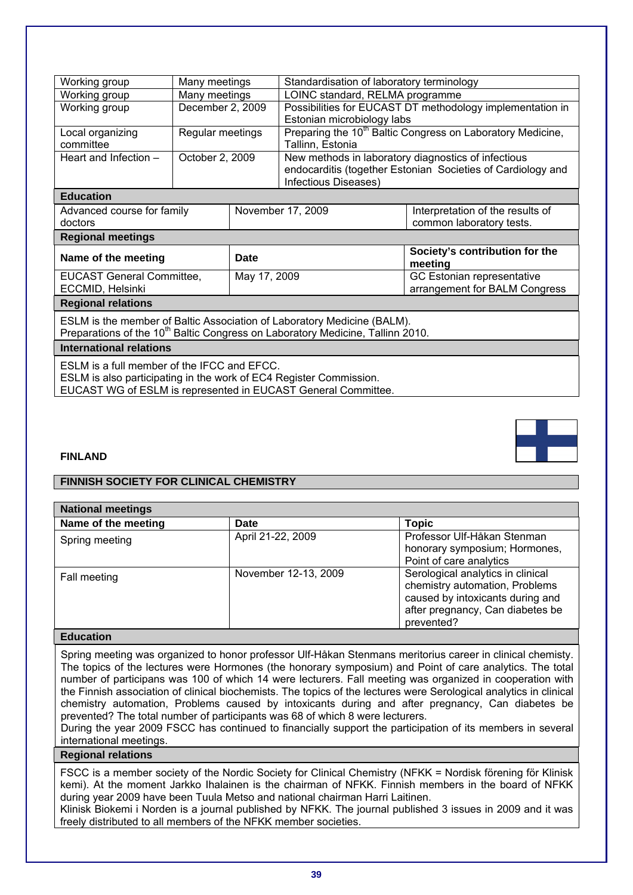| Working group                                                                              | Many meetings    |  | Standardisation of laboratory terminology |                                                                        |  |
|--------------------------------------------------------------------------------------------|------------------|--|-------------------------------------------|------------------------------------------------------------------------|--|
| Working group                                                                              | Many meetings    |  | LOINC standard, RELMA programme           |                                                                        |  |
| Working group                                                                              | December 2, 2009 |  |                                           | Possibilities for EUCAST DT methodology implementation in              |  |
|                                                                                            |                  |  | Estonian microbiology labs                |                                                                        |  |
| Local organizing                                                                           | Regular meetings |  |                                           | Preparing the 10 <sup>th</sup> Baltic Congress on Laboratory Medicine, |  |
| committee                                                                                  |                  |  | Tallinn, Estonia                          |                                                                        |  |
| Heart and Infection -                                                                      | October 2, 2009  |  |                                           | New methods in laboratory diagnostics of infectious                    |  |
|                                                                                            |                  |  |                                           | endocarditis (together Estonian Societies of Cardiology and            |  |
|                                                                                            |                  |  | Infectious Diseases)                      |                                                                        |  |
| <b>Education</b>                                                                           |                  |  |                                           |                                                                        |  |
| Advanced course for family                                                                 |                  |  | November 17, 2009                         | Interpretation of the results of                                       |  |
| doctors                                                                                    |                  |  |                                           | common laboratory tests.                                               |  |
| <b>Regional meetings</b>                                                                   |                  |  |                                           |                                                                        |  |
| Name of the meeting                                                                        | <b>Date</b>      |  |                                           | Society's contribution for the<br>meeting                              |  |
| <b>EUCAST General Committee,</b>                                                           | May 17, 2009     |  |                                           | GC Estonian representative                                             |  |
| ECCMID, Helsinki                                                                           |                  |  |                                           | arrangement for BALM Congress                                          |  |
|                                                                                            |                  |  |                                           |                                                                        |  |
| <b>Regional relations</b>                                                                  |                  |  |                                           |                                                                        |  |
| ESLM is the member of Baltic Association of Laboratory Medicine (BALM).                    |                  |  |                                           |                                                                        |  |
| Preparations of the 10 <sup>th</sup> Baltic Congress on Laboratory Medicine, Tallinn 2010. |                  |  |                                           |                                                                        |  |
| <b>International relations</b>                                                             |                  |  |                                           |                                                                        |  |
| ESLM is a full member of the IFCC and EFCC.                                                |                  |  |                                           |                                                                        |  |
| ESLM is also participating in the work of EC4 Register Commission.                         |                  |  |                                           |                                                                        |  |

EUCAST WG of ESLM is represented in EUCAST General Committee.

# **FINLAND**

# **FINNISH SOCIETY FOR CLINICAL CHEMISTRY**

| <b>National meetings</b> |                      |                                   |
|--------------------------|----------------------|-----------------------------------|
| Name of the meeting      | Date                 | <b>Topic</b>                      |
| Spring meeting           | April 21-22, 2009    | Professor Ulf-Håkan Stenman       |
|                          |                      | honorary symposium; Hormones,     |
|                          |                      | Point of care analytics           |
| Fall meeting             | November 12-13, 2009 | Serological analytics in clinical |
|                          |                      | chemistry automation, Problems    |
|                          |                      | caused by intoxicants during and  |
|                          |                      | after pregnancy, Can diabetes be  |
|                          |                      | prevented?                        |

# **Education**

Spring meeting was organized to honor professor Ulf-Håkan Stenmans meritorius career in clinical chemisty. The topics of the lectures were Hormones (the honorary symposium) and Point of care analytics. The total number of participans was 100 of which 14 were lecturers. Fall meeting was organized in cooperation with the Finnish association of clinical biochemists. The topics of the lectures were Serological analytics in clinical chemistry automation, Problems caused by intoxicants during and after pregnancy, Can diabetes be prevented? The total number of participants was 68 of which 8 were lecturers.

During the year 2009 FSCC has continued to financially support the participation of its members in several international meetings.

# **Regional relations**

FSCC is a member society of the Nordic Society for Clinical Chemistry (NFKK = Nordisk förening för Klinisk kemi). At the moment Jarkko Ihalainen is the chairman of NFKK. Finnish members in the board of NFKK during year 2009 have been Tuula Metso and national chairman Harri Laitinen.

Klinisk Biokemi i Norden is a journal published by NFKK. The journal published 3 issues in 2009 and it was freely distributed to all members of the NFKK member societies.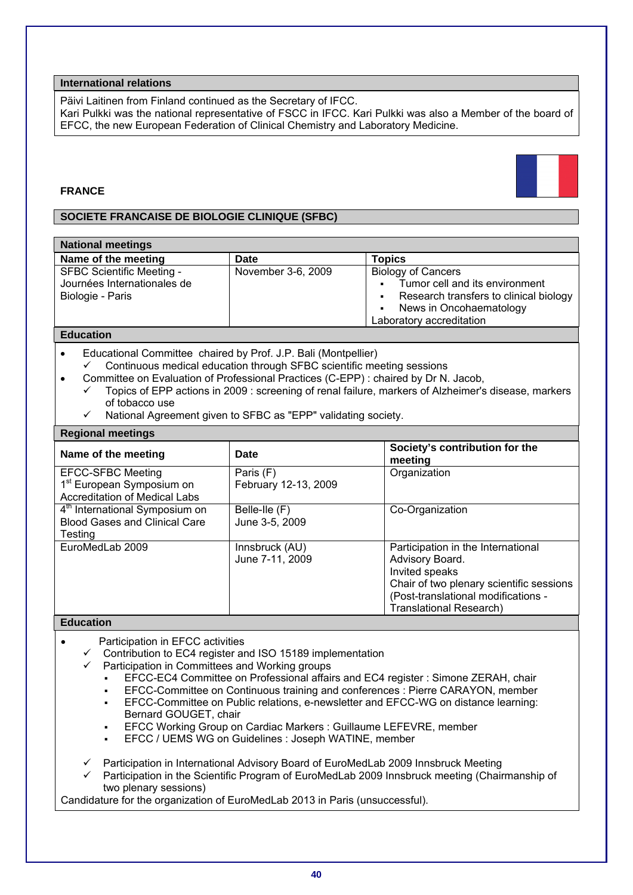Päivi Laitinen from Finland continued as the Secretary of IFCC.

Kari Pulkki was the national representative of FSCC in IFCC. Kari Pulkki was also a Member of the board of EFCC, the new European Federation of Clinical Chemistry and Laboratory Medicine.

# **FRANCE**

# **SOCIETE FRANCAISE DE BIOLOGIE CLINIQUE (SFBC)**

| <b>National meetings</b>                                                            |                    |                                                                                                                                                                                |
|-------------------------------------------------------------------------------------|--------------------|--------------------------------------------------------------------------------------------------------------------------------------------------------------------------------|
| Name of the meeting                                                                 | Date               | <b>Topics</b>                                                                                                                                                                  |
| <b>SFBC Scientific Meeting -</b><br>Journées Internationales de<br>Biologie - Paris | November 3-6, 2009 | <b>Biology of Cancers</b><br>Tumor cell and its environment<br>$\blacksquare$<br>Research transfers to clinical biology<br>News in Oncohaematology<br>Laboratory accreditation |

# **Education**

- Educational Committee chaired by Prof. J.P. Bali (Montpellier)
- $\checkmark$  Continuous medical education through SFBC scientific meeting sessions
- Committee on Evaluation of Professional Practices (C-EPP) : chaired by Dr N. Jacob,
	- 9 Topics of EPP actions in 2009 : screening of renal failure, markers of Alzheimer's disease, markers of tobacco use
	- National Agreement given to SFBC as "EPP" validating society.

#### **Regional meetings**

| Name of the meeting                                                                                       | Date                              | Society's contribution for the<br>meeting                                                                                                                                                    |
|-----------------------------------------------------------------------------------------------------------|-----------------------------------|----------------------------------------------------------------------------------------------------------------------------------------------------------------------------------------------|
| <b>EFCC-SFBC Meeting</b><br>1 <sup>st</sup> European Symposium on<br><b>Accreditation of Medical Labs</b> | Paris (F)<br>February 12-13, 2009 | Organization                                                                                                                                                                                 |
| 4 <sup>th</sup> International Symposium on<br><b>Blood Gases and Clinical Care</b><br>Testina             | Belle-Ile (F)<br>June 3-5, 2009   | Co-Organization                                                                                                                                                                              |
| EuroMedLab 2009                                                                                           | Innsbruck (AU)<br>June 7-11, 2009 | Participation in the International<br>Advisory Board.<br>Invited speaks<br>Chair of two plenary scientific sessions<br>(Post-translational modifications -<br><b>Translational Research)</b> |

#### **Education**

- Participation in EFCC activities
	- 9 Contribution to EC4 register and ISO 15189 implementation
	- Participation in Committees and Working groups
		- EFCC-EC4 Committee on Professional affairs and EC4 register : Simone ZERAH, chair
		- EFCC-Committee on Continuous training and conferences : Pierre CARAYON, member
		- EFCC-Committee on Public relations, e-newsletter and EFCC-WG on distance learning: Bernard GOUGET, chair
		- EFCC Working Group on Cardiac Markers : Guillaume LEFEVRE, member
		- EFCC / UEMS WG on Guidelines : Joseph WATINE, member

 $\checkmark$  Participation in International Advisory Board of EuroMedLab 2009 Innsbruck Meeting

9 Participation in the Scientific Program of EuroMedLab 2009 Innsbruck meeting (Chairmanship of two plenary sessions)

Candidature for the organization of EuroMedLab 2013 in Paris (unsuccessful).

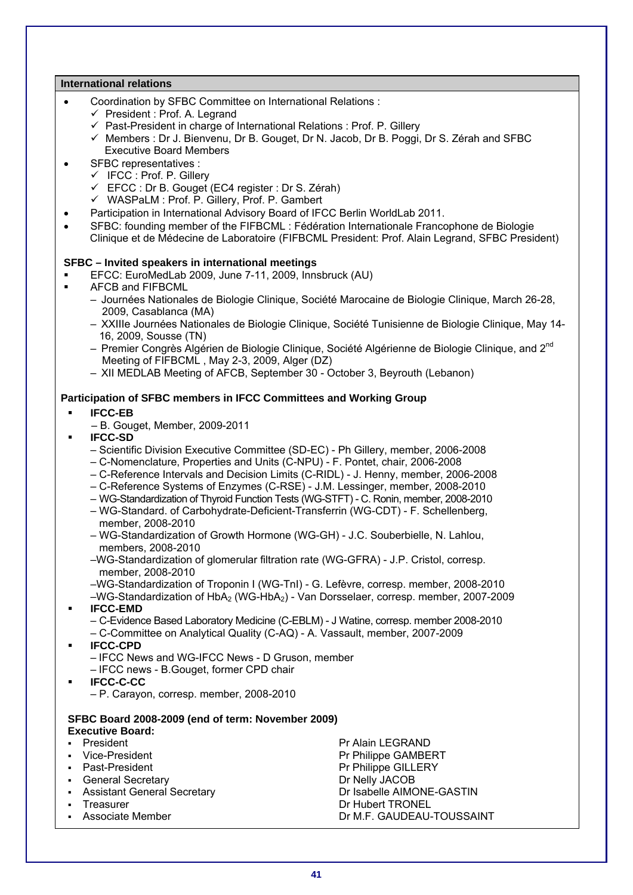# **International relations**

- Coordination by SFBC Committee on International Relations :
	- $\checkmark$  President : Prof. A. Legrand
	- $\checkmark$  Past-President in charge of International Relations : Prof. P. Gillery
	- $\checkmark$  Members : Dr J. Bienvenu, Dr B. Gouget, Dr N. Jacob, Dr B. Poggi, Dr S. Zérah and SFBC Executive Board Members
- SFBC representatives :
	- $\checkmark$  IFCC : Prof. P. Gillery
	- $\checkmark$  EFCC : Dr B. Gouget (EC4 register : Dr S. Zérah)
	- $\checkmark$  WASPaLM : Prof. P. Gillery, Prof. P. Gambert
- Participation in International Advisory Board of IFCC Berlin WorldLab 2011.
- SFBC: founding member of the FIFBCML : Fédération Internationale Francophone de Biologie Clinique et de Médecine de Laboratoire (FIFBCML President: Prof. Alain Legrand, SFBC President)
- **SFBC Invited speakers in international meetings**
- EFCC: EuroMedLab 2009, June 7-11, 2009, Innsbruck (AU)
- AFCB and FIFBCML
	- Journées Nationales de Biologie Clinique, Société Marocaine de Biologie Clinique, March 26-28, 2009, Casablanca (MA)
	- XXIIIe Journées Nationales de Biologie Clinique, Société Tunisienne de Biologie Clinique, May 14- 16, 2009, Sousse (TN)
	- Premier Congrès Algérien de Biologie Clinique, Société Algérienne de Biologie Clinique, and 2<sup>nd</sup> Meeting of FIFBCML , May 2-3, 2009, Alger (DZ)
	- XII MEDLAB Meeting of AFCB, September 30 October 3, Beyrouth (Lebanon)

# **Participation of SFBC members in IFCC Committees and Working Group**

- **IFCC-EB** 
	- B. Gouget, Member, 2009-2011
- **IFCC-SD** 
	- Scientific Division Executive Committee (SD-EC) Ph Gillery, member, 2006-2008
	- C-Nomenclature, Properties and Units (C-NPU) F. Pontet, chair, 2006-2008
	- C-Reference Intervals and Decision Limits (C-RIDL) J. Henny, member, 2006-2008
	- C-Reference Systems of Enzymes (C-RSE) J.M. Lessinger, member, 2008-2010
	- WG-Standardization of Thyroid Function Tests (WG-STFT) C. Ronin, member, 2008-2010
	- WG-Standard. of Carbohydrate-Deficient-Transferrin (WG-CDT) F. Schellenberg, member, 2008-2010
	- WG-Standardization of Growth Hormone (WG-GH) J.C. Souberbielle, N. Lahlou, members, 2008-2010
	- –WG-Standardization of glomerular filtration rate (WG-GFRA) J.P. Cristol, corresp. member, 2008-2010
	- –WG-Standardization of Troponin I (WG-TnI) G. Lefèvre, corresp. member, 2008-2010
	- –WG-Standardization of HbA2 (WG-HbA2) Van Dorsselaer, corresp. member, 2007-2009 **IFCC-EMD**
	- C-Evidence Based Laboratory Medicine (C-EBLM) J Watine, corresp. member 2008-2010
	- C-Committee on Analytical Quality (C-AQ) A. Vassault, member, 2007-2009
- **IFCC-CPD** 
	- IFCC News and WG-IFCC News D Gruson, member
	- IFCC news B.Gouget, former CPD chair
- **IFCC-C-CC**
	- P. Carayon, corresp. member, 2008-2010

# **SFBC Board 2008-2009 (end of term: November 2009)**

# **Executive Board:**

**President President Properties According to President Properties According Properties According Properties According Properties According Properties According Properties According Properties According Properties According** Vice-President **Primary President** Pr Philippe GAMBERT Past-President Past-President President **General Secretary Community Community** Dr Nelly JACOB Assistant General Secretary **Dr Isabelle AIMONE-GASTIN**<br>Treasurer **Dr Hubert TRONEL** Dr Hubert TRONEL Associate Member **Dr M.F. GAUDEAU-TOUSSAINT**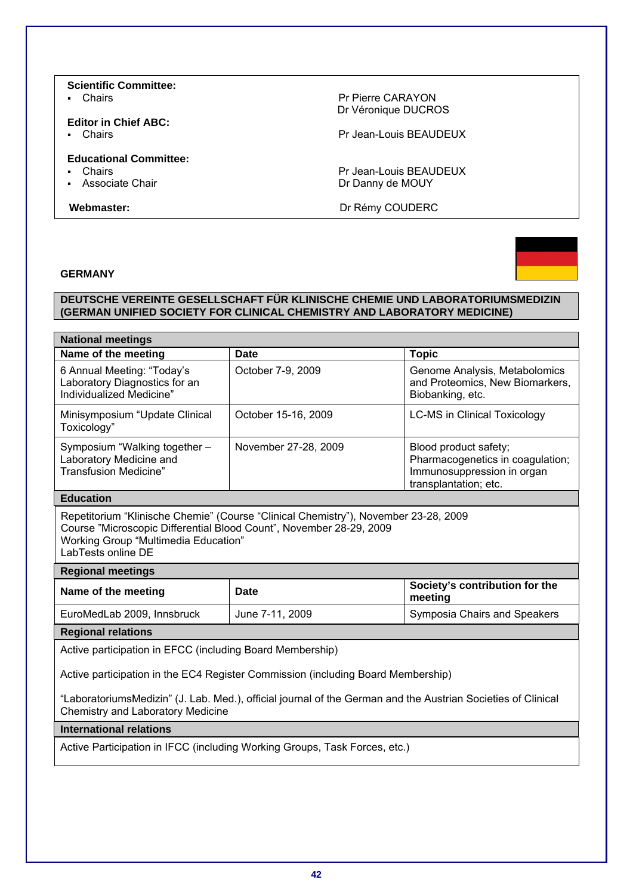# **Scientific Committee:**

# **Editor in Chief ABC:**

# **Educational Committee:**

- 
- 

• Chairs **Primary Primary Primary Primary Primary Primary Primary Primary Primary Primary Primary Primary Primary Primary Primary Primary Primary Primary Primary Primary Primary Primary Primary Primary Primary Primary Prim** Dr Véronique DUCROS

**•** Chairs **Pr Jean-Louis BEAUDEUX** 

- Chairs<br>
Pr Jean-Louis BEAUDEUX<br>
Pr Danny de MOUY Dr Danny de MOUY

**Webmaster:** Dr Rémy COUDERC

# **GERMANY**



# **DEUTSCHE VEREINTE GESELLSCHAFT FÜR KLINISCHE CHEMIE UND LABORATORIUMSMEDIZIN (GERMAN UNIFIED SOCIETY FOR CLINICAL CHEMISTRY AND LABORATORY MEDICINE)**

| <b>National meetings</b>                                                                                                                                                                                                        |                      |                                                                                                                  |  |
|---------------------------------------------------------------------------------------------------------------------------------------------------------------------------------------------------------------------------------|----------------------|------------------------------------------------------------------------------------------------------------------|--|
| Name of the meeting                                                                                                                                                                                                             | <b>Date</b>          | <b>Topic</b>                                                                                                     |  |
| 6 Annual Meeting: "Today's<br>Laboratory Diagnostics for an<br>Individualized Medicine"                                                                                                                                         | October 7-9, 2009    | Genome Analysis, Metabolomics<br>and Proteomics, New Biomarkers,<br>Biobanking, etc.                             |  |
| Minisymposium "Update Clinical<br>Toxicology"                                                                                                                                                                                   | October 15-16, 2009  | <b>LC-MS in Clinical Toxicology</b>                                                                              |  |
| Symposium "Walking together -<br>Laboratory Medicine and<br><b>Transfusion Medicine"</b>                                                                                                                                        | November 27-28, 2009 | Blood product safety;<br>Pharmacogenetics in coagulation;<br>Immunosuppression in organ<br>transplantation; etc. |  |
| <b>Education</b>                                                                                                                                                                                                                |                      |                                                                                                                  |  |
| Repetitorium "Klinische Chemie" (Course "Clinical Chemistry"), November 23-28, 2009<br>Course "Microscopic Differential Blood Count", November 28-29, 2009<br><b>Working Group "Multimedia Education"</b><br>LabTests online DE |                      |                                                                                                                  |  |
| <b>Regional meetings</b>                                                                                                                                                                                                        |                      |                                                                                                                  |  |
| Name of the meeting                                                                                                                                                                                                             | Date                 | Society's contribution for the<br>meeting                                                                        |  |
| EuroMedLab 2009, Innsbruck                                                                                                                                                                                                      | June 7-11, 2009      | Symposia Chairs and Speakers                                                                                     |  |
| <b>Regional relations</b>                                                                                                                                                                                                       |                      |                                                                                                                  |  |
| Active participation in EFCC (including Board Membership)                                                                                                                                                                       |                      |                                                                                                                  |  |
| Active participation in the EC4 Register Commission (including Board Membership)                                                                                                                                                |                      |                                                                                                                  |  |
| "LaboratoriumsMedizin" (J. Lab. Med.), official journal of the German and the Austrian Societies of Clinical<br><b>Chemistry and Laboratory Medicine</b>                                                                        |                      |                                                                                                                  |  |
| <b>International relations</b>                                                                                                                                                                                                  |                      |                                                                                                                  |  |
| Active Participation in IECC (including Working Groups, Task Forces, etc.)                                                                                                                                                      |                      |                                                                                                                  |  |

Active Participation in IFCC (including Working Groups, Task Forces, etc.)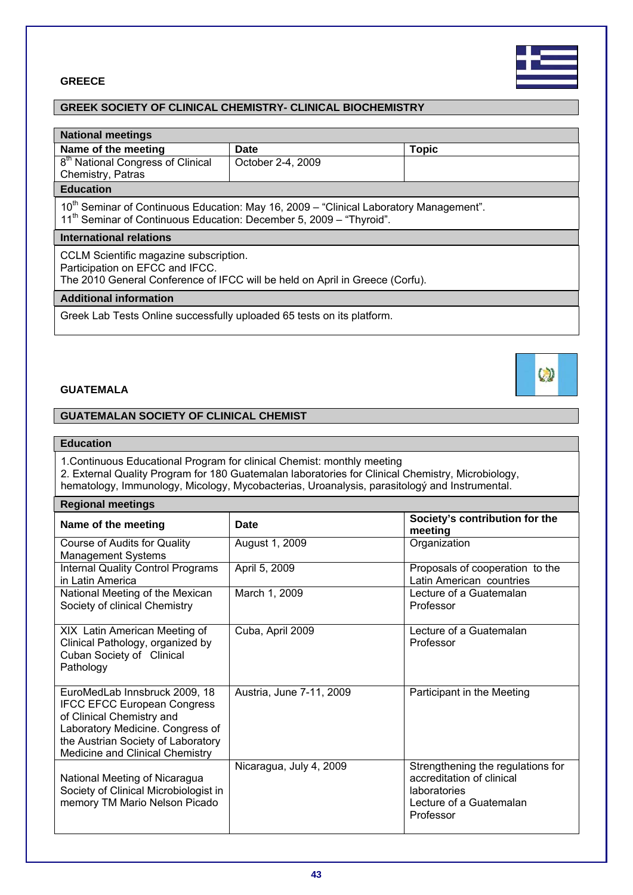**43**

# **GREECE**

# **GREEK SOCIETY OF CLINICAL CHEMISTRY- CLINICAL BIOCHEMISTRY**

| <b>National meetings</b>                                                                                                                                                              |                                                                              |              |  |
|---------------------------------------------------------------------------------------------------------------------------------------------------------------------------------------|------------------------------------------------------------------------------|--------------|--|
| Name of the meeting                                                                                                                                                                   | Date                                                                         | <b>Topic</b> |  |
| 8 <sup>th</sup> National Congress of Clinical                                                                                                                                         | October 2-4, 2009                                                            |              |  |
| Chemistry, Patras                                                                                                                                                                     |                                                                              |              |  |
| <b>Education</b>                                                                                                                                                                      |                                                                              |              |  |
| 10 <sup>th</sup> Seminar of Continuous Education: May 16, 2009 - "Clinical Laboratory Management".<br>11 <sup>th</sup> Seminar of Continuous Education: December 5, 2009 - "Thyroid". |                                                                              |              |  |
| <b>International relations</b>                                                                                                                                                        |                                                                              |              |  |
|                                                                                                                                                                                       |                                                                              |              |  |
| CCLM Scientific magazine subscription.                                                                                                                                                |                                                                              |              |  |
| Participation on EFCC and IFCC.                                                                                                                                                       | The 2010 General Conference of IFCC will be held on April in Greece (Corfu). |              |  |
| <b>Additional information</b>                                                                                                                                                         |                                                                              |              |  |
| Greek Lab Tests Online successfully uploaded 65 tests on its platform.                                                                                                                |                                                                              |              |  |

# **GUATEMALA**

# **GUATEMALAN SOCIETY OF CLINICAL CHEMIST**

# **Education**

1.Continuous Educational Program for clinical Chemist: monthly meeting

2. External Quality Program for 180 Guatemalan laboratories for Clinical Chemistry, Microbiology,

hematology, Immunology, Micology, Mycobacterias, Uroanalysis, parasitology and Instrumental.

# **Regional meetings**

| Name of the meeting                                                                                                                                                                                           | Date                     | Society's contribution for the<br>meeting                                                                              |
|---------------------------------------------------------------------------------------------------------------------------------------------------------------------------------------------------------------|--------------------------|------------------------------------------------------------------------------------------------------------------------|
| Course of Audits for Quality<br><b>Management Systems</b>                                                                                                                                                     | August 1, 2009           | Organization                                                                                                           |
| <b>Internal Quality Control Programs</b><br>in Latin America                                                                                                                                                  | April 5, 2009            | Proposals of cooperation to the<br>Latin American countries                                                            |
| National Meeting of the Mexican<br>Society of clinical Chemistry                                                                                                                                              | March 1, 2009            | Lecture of a Guatemalan<br>Professor                                                                                   |
| XIX Latin American Meeting of<br>Clinical Pathology, organized by<br>Cuban Society of Clinical<br>Pathology                                                                                                   | Cuba, April 2009         | Lecture of a Guatemalan<br>Professor                                                                                   |
| EuroMedLab Innsbruck 2009, 18<br><b>IFCC EFCC European Congress</b><br>of Clinical Chemistry and<br>Laboratory Medicine. Congress of<br>the Austrian Society of Laboratory<br>Medicine and Clinical Chemistry | Austria, June 7-11, 2009 | Participant in the Meeting                                                                                             |
| National Meeting of Nicaragua<br>Society of Clinical Microbiologist in<br>memory TM Mario Nelson Picado                                                                                                       | Nicaragua, July 4, 2009  | Strengthening the regulations for<br>accreditation of clinical<br>laboratories<br>Lecture of a Guatemalan<br>Professor |



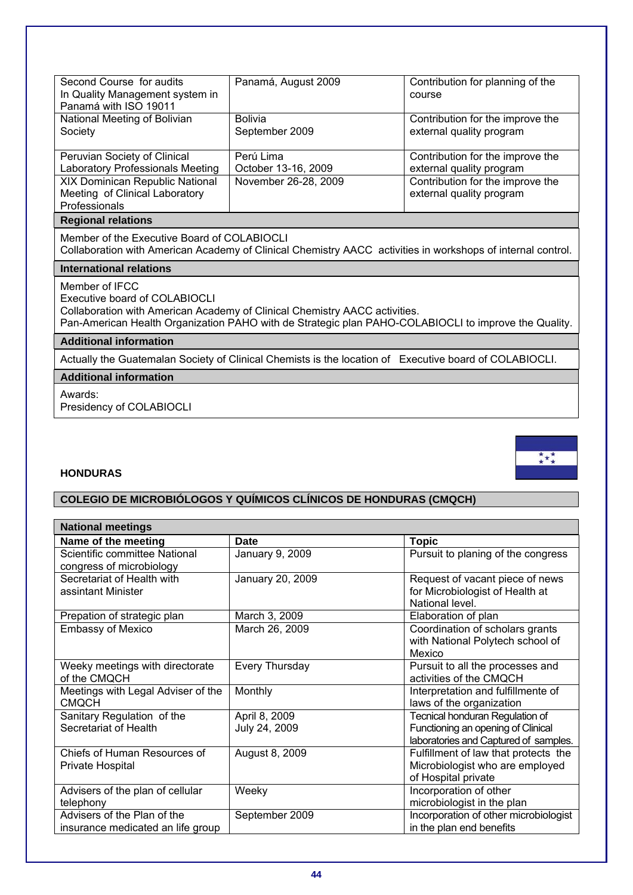| Second Course for audits<br>In Quality Management system in<br>Panamá with ISO 19011                                                                                                                                                  | Panamá, August 2009                                                                                    | Contribution for planning of the<br>course                   |  |
|---------------------------------------------------------------------------------------------------------------------------------------------------------------------------------------------------------------------------------------|--------------------------------------------------------------------------------------------------------|--------------------------------------------------------------|--|
| National Meeting of Bolivian<br>Society                                                                                                                                                                                               | <b>Bolivia</b><br>September 2009                                                                       | Contribution for the improve the<br>external quality program |  |
| Peruvian Society of Clinical<br>Laboratory Professionals Meeting                                                                                                                                                                      | Perú Lima<br>October 13-16, 2009                                                                       | Contribution for the improve the<br>external quality program |  |
| XIX Dominican Republic National<br>Meeting of Clinical Laboratory<br>Professionals                                                                                                                                                    | November 26-28, 2009                                                                                   | Contribution for the improve the<br>external quality program |  |
| <b>Regional relations</b>                                                                                                                                                                                                             |                                                                                                        |                                                              |  |
| Member of the Executive Board of COLABIOCLI<br>Collaboration with American Academy of Clinical Chemistry AACC activities in workshops of internal control.                                                                            |                                                                                                        |                                                              |  |
| <b>International relations</b>                                                                                                                                                                                                        |                                                                                                        |                                                              |  |
| Member of IFCC<br>Executive board of COLABIOCLI<br>Collaboration with American Academy of Clinical Chemistry AACC activities.<br>Pan-American Health Organization PAHO with de Strategic plan PAHO-COLABIOCLI to improve the Quality. |                                                                                                        |                                                              |  |
| <b>Additional information</b>                                                                                                                                                                                                         |                                                                                                        |                                                              |  |
|                                                                                                                                                                                                                                       | Actually the Guatemalan Society of Clinical Chemists is the location of Executive board of COLABIOCLI. |                                                              |  |
| <b>Additional information</b>                                                                                                                                                                                                         |                                                                                                        |                                                              |  |
| Awards:<br>Presidency of COLABIOCLI                                                                                                                                                                                                   |                                                                                                        |                                                              |  |

 $\underset{\star}{\overset{\star}{\star}}\underset{\star}{\overset{\star}{\star}}$ 

# **HONDURAS**

# **COLEGIO DE MICROBIÓLOGOS Y QUÍMICOS CLÍNICOS DE HONDURAS (CMQCH)**

| <b>National meetings</b>                                         |                                |                                                                                                                |  |
|------------------------------------------------------------------|--------------------------------|----------------------------------------------------------------------------------------------------------------|--|
| Name of the meeting                                              | <b>Date</b>                    | <b>Topic</b>                                                                                                   |  |
| Scientific committee National<br>congress of microbiology        | January 9, 2009                | Pursuit to planing of the congress                                                                             |  |
| Secretariat of Health with<br>assintant Minister                 | January 20, 2009               | Request of vacant piece of news<br>for Microbiologist of Health at<br>National level.                          |  |
| Prepation of strategic plan                                      | March 3, 2009                  | Elaboration of plan                                                                                            |  |
| <b>Embassy of Mexico</b>                                         | March 26, 2009                 | Coordination of scholars grants<br>with National Polytech school of<br>Mexico                                  |  |
| Weeky meetings with directorate<br>of the CMQCH                  | Every Thursday                 | Pursuit to all the processes and<br>activities of the CMQCH                                                    |  |
| Meetings with Legal Adviser of the<br><b>CMQCH</b>               | Monthly                        | Interpretation and fulfillmente of<br>laws of the organization                                                 |  |
| Sanitary Regulation of the<br>Secretariat of Health              | April 8, 2009<br>July 24, 2009 | Tecnical honduran Regulation of<br>Functioning an opening of Clinical<br>laboratories and Captured of samples. |  |
| Chiefs of Human Resources of<br>Private Hospital                 | August 8, 2009                 | Fulfillment of law that protects the<br>Microbiologist who are employed<br>of Hospital private                 |  |
| Advisers of the plan of cellular<br>telephony                    | Weeky                          | Incorporation of other<br>microbiologist in the plan                                                           |  |
| Advisers of the Plan of the<br>insurance medicated an life group | September 2009                 | Incorporation of other microbiologist<br>in the plan end benefits                                              |  |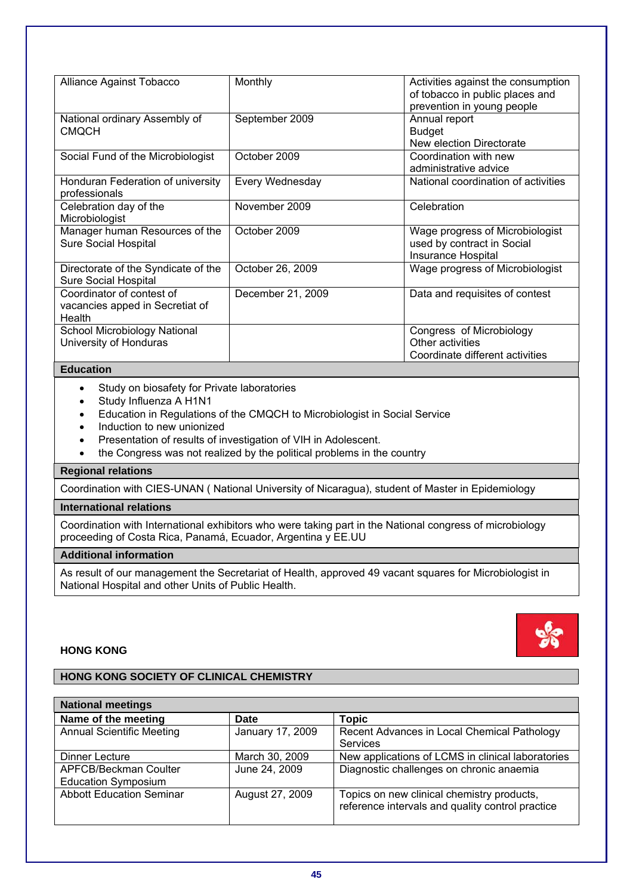| Alliance Against Tobacco                                               | Monthly           | Activities against the consumption<br>of tobacco in public places and<br>prevention in young people |
|------------------------------------------------------------------------|-------------------|-----------------------------------------------------------------------------------------------------|
| National ordinary Assembly of<br><b>CMQCH</b>                          | September 2009    | Annual report<br><b>Budget</b><br>New election Directorate                                          |
| Social Fund of the Microbiologist                                      | October 2009      | Coordination with new<br>administrative advice                                                      |
| Honduran Federation of university<br>professionals                     | Every Wednesday   | National coordination of activities                                                                 |
| Celebration day of the<br>Microbiologist                               | November 2009     | Celebration                                                                                         |
| Manager human Resources of the<br><b>Sure Social Hospital</b>          | October 2009      | Wage progress of Microbiologist<br>used by contract in Social<br><b>Insurance Hospital</b>          |
| Directorate of the Syndicate of the<br>Sure Social Hospital            | October 26, 2009  | Wage progress of Microbiologist                                                                     |
| Coordinator of contest of<br>vacancies apped in Secretiat of<br>Health | December 21, 2009 | Data and requisites of contest                                                                      |
| School Microbiology National<br>University of Honduras                 |                   | Congress of Microbiology<br>Other activities<br>Coordinate different activities                     |

- Study on biosafety for Private laboratories
- Study Influenza A H1N1
- Education in Regulations of the CMQCH to Microbiologist in Social Service
- Induction to new unionized
- Presentation of results of investigation of VIH in Adolescent.
- the Congress was not realized by the political problems in the country

# **Regional relations**

Coordination with CIES-UNAN ( National University of Nicaragua), student of Master in Epidemiology

# **International relations**

Coordination with International exhibitors who were taking part in the National congress of microbiology proceeding of Costa Rica, Panamá, Ecuador, Argentina y EE.UU

# **Additional information**

As result of our management the Secretariat of Health, approved 49 vacant squares for Microbiologist in National Hospital and other Units of Public Health.

# **HONG KONG**

# **HONG KONG SOCIETY OF CLINICAL CHEMISTRY**

| <b>National meetings</b>                            |                  |                                                                                                |
|-----------------------------------------------------|------------------|------------------------------------------------------------------------------------------------|
| Name of the meeting                                 | Date             | <b>Topic</b>                                                                                   |
| <b>Annual Scientific Meeting</b>                    | January 17, 2009 | Recent Advances in Local Chemical Pathology<br>Services                                        |
| Dinner Lecture                                      | March 30, 2009   | New applications of LCMS in clinical laboratories                                              |
| APFCB/Beckman Coulter<br><b>Education Symposium</b> | June 24, 2009    | Diagnostic challenges on chronic anaemia                                                       |
| <b>Abbott Education Seminar</b>                     | August 27, 2009  | Topics on new clinical chemistry products,<br>reference intervals and quality control practice |

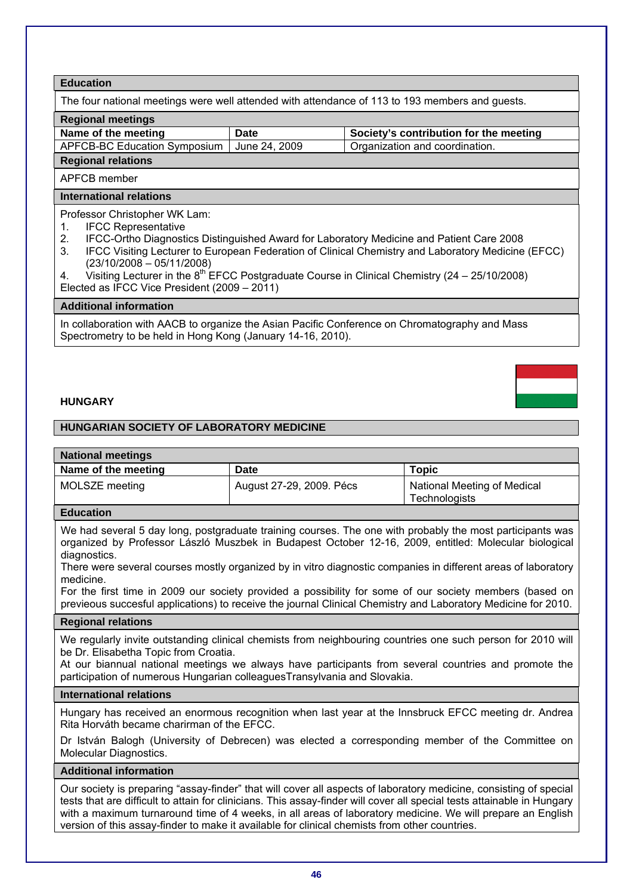The four national meetings were well attended with attendance of 113 to 193 members and guests.

**Regional meetings** 

|  | Name of the meeting |
|--|---------------------|
|  |                     |

Date Society's contribution for the meeting APFCB-BC Education Symposium June 24, 2009 Organization and coordination.

APFCB member

**Regional relations** 

# **International relations**

Professor Christopher WK Lam:

- 1. IFCC Representative
- 2. IFCC-Ortho Diagnostics Distinguished Award for Laboratory Medicine and Patient Care 2008
- 3. IFCC Visiting Lecturer to European Federation of Clinical Chemistry and Laboratory Medicine (EFCC) (23/10/2008 – 05/11/2008)
- 4. Visiting Lecturer in the  $8^{th}$  EFCC Postgraduate Course in Clinical Chemistry (24 25/10/2008) Elected as IFCC Vice President (2009 – 2011)

# **Additional information**

In collaboration with AACB to organize the Asian Pacific Conference on Chromatography and Mass Spectrometry to be held in Hong Kong (January 14-16, 2010).

# **HUNGARY**

# **HUNGARIAN SOCIETY OF LABORATORY MEDICINE**

# **National meetings**

| Name of the meeting | Date                     | Topic                                        |
|---------------------|--------------------------|----------------------------------------------|
| MOLSZE meeting      | August 27-29, 2009. Pécs | National Meeting of Medical<br>Technologists |

# **Education**

We had several 5 day long, postgraduate training courses. The one with probably the most participants was organized by Professor László Muszbek in Budapest October 12-16, 2009, entitled: Molecular biological diagnostics.

There were several courses mostly organized by in vitro diagnostic companies in different areas of laboratory medicine.

For the first time in 2009 our society provided a possibility for some of our society members (based on previeous succesful applications) to receive the journal Clinical Chemistry and Laboratory Medicine for 2010.

# **Regional relations**

We regularly invite outstanding clinical chemists from neighbouring countries one such person for 2010 will be Dr. Elisabetha Topic from Croatia.

At our biannual national meetings we always have participants from several countries and promote the participation of numerous Hungarian colleaguesTransylvania and Slovakia.

## **International relations**

Hungary has received an enormous recognition when last year at the Innsbruck EFCC meeting dr. Andrea Rita Horváth became charirman of the EFCC.

Dr István Balogh (University of Debrecen) was elected a corresponding member of the Committee on Molecular Diagnostics.

# **Additional information**

Our society is preparing "assay-finder" that will cover all aspects of laboratory medicine, consisting of special tests that are difficult to attain for clinicians. This assay-finder will cover all special tests attainable in Hungary with a maximum turnaround time of 4 weeks, in all areas of laboratory medicine. We will prepare an English version of this assay-finder to make it available for clinical chemists from other countries.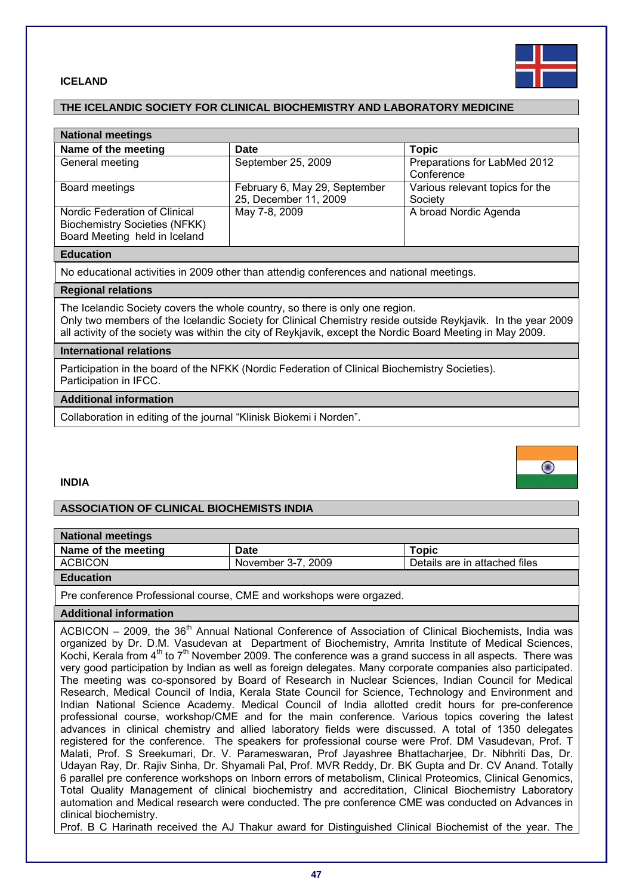

### **ICELAND**

# **THE ICELANDIC SOCIETY FOR CLINICAL BIOCHEMISTRY AND LABORATORY MEDICINE**

| <b>National meetings</b>                                                                               |                                                        |                                            |
|--------------------------------------------------------------------------------------------------------|--------------------------------------------------------|--------------------------------------------|
| Name of the meeting                                                                                    | <b>Date</b>                                            | <b>Topic</b>                               |
| General meeting                                                                                        | September 25, 2009                                     | Preparations for LabMed 2012<br>Conference |
| Board meetings                                                                                         | February 6, May 29, September<br>25, December 11, 2009 | Various relevant topics for the<br>Society |
| Nordic Federation of Clinical<br><b>Biochemistry Societies (NFKK)</b><br>Board Meeting held in Iceland | May 7-8, 2009                                          | A broad Nordic Agenda                      |

#### **Education**

No educational activities in 2009 other than attendig conferences and national meetings.

#### **Regional relations**

The Icelandic Society covers the whole country, so there is only one region. Only two members of the Icelandic Society for Clinical Chemistry reside outside Reykjavik. In the year 2009 all activity of the society was within the city of Reykjavik, except the Nordic Board Meeting in May 2009.

#### **International relations**

Participation in the board of the NFKK (Nordic Federation of Clinical Biochemistry Societies). Participation in IFCC.

#### **Additional information**

Collaboration in editing of the journal "Klinisk Biokemi i Norden".



#### **INDIA**

# **ASSOCIATION OF CLINICAL BIOCHEMISTS INDIA**

| <b>National meetings</b> |                    |                               |
|--------------------------|--------------------|-------------------------------|
| Name of the meeting      | Date               | Topic                         |
| <b>ACBICON</b>           | November 3-7, 2009 | Details are in attached files |
| <b>Extended Ave</b>      |                    |                               |

#### **Education**

Pre conference Professional course, CME and workshops were orgazed.

## **Additional information**

ACBICON – 2009, the  $36<sup>th</sup>$  Annual National Conference of Association of Clinical Biochemists, India was organized by Dr. D.M. Vasudevan at Department of Biochemistry, Amrita Institute of Medical Sciences, Kochi, Kerala from  $4<sup>th</sup>$  to  $7<sup>th</sup>$  November 2009. The conference was a grand success in all aspects. There was very good participation by Indian as well as foreign delegates. Many corporate companies also participated. The meeting was co-sponsored by Board of Research in Nuclear Sciences, Indian Council for Medical Research, Medical Council of India, Kerala State Council for Science, Technology and Environment and Indian National Science Academy. Medical Council of India allotted credit hours for pre-conference professional course, workshop/CME and for the main conference. Various topics covering the latest advances in clinical chemistry and allied laboratory fields were discussed. A total of 1350 delegates registered for the conference. The speakers for professional course were Prof. DM Vasudevan, Prof. T Malati, Prof. S Sreekumari, Dr. V. Parameswaran, Prof Jayashree Bhattacharjee, Dr. Nibhriti Das, Dr. Udayan Ray, Dr. Rajiv Sinha, Dr. Shyamali Pal, Prof. MVR Reddy, Dr. BK Gupta and Dr. CV Anand. Totally 6 parallel pre conference workshops on Inborn errors of metabolism, Clinical Proteomics, Clinical Genomics, Total Quality Management of clinical biochemistry and accreditation, Clinical Biochemistry Laboratory automation and Medical research were conducted. The pre conference CME was conducted on Advances in clinical biochemistry.

Prof. B C Harinath received the AJ Thakur award for Distinguished Clinical Biochemist of the year. The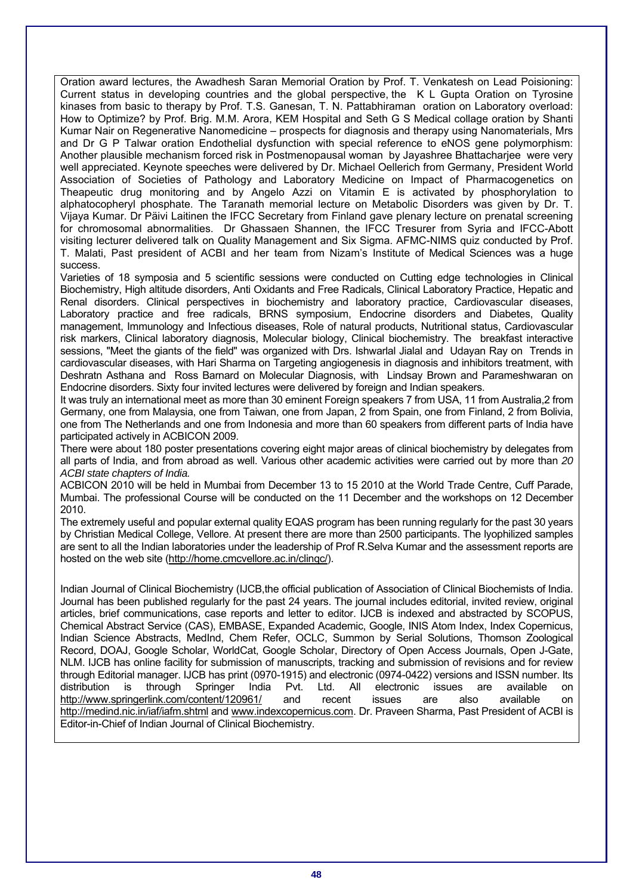Oration award lectures, the Awadhesh Saran Memorial Oration by Prof. T. Venkatesh on Lead Poisioning: Current status in developing countries and the global perspective, the K L Gupta Oration on Tyrosine kinases from basic to therapy by Prof. T.S. Ganesan, T. N. Pattabhiraman oration on Laboratory overload: How to Optimize? by Prof. Brig. M.M. Arora, KEM Hospital and Seth G S Medical collage oration by Shanti Kumar Nair on Regenerative Nanomedicine – prospects for diagnosis and therapy using Nanomaterials, Mrs and Dr G P Talwar oration Endothelial dysfunction with special reference to eNOS gene polymorphism: Another plausible mechanism forced risk in Postmenopausal woman by Jayashree Bhattacharjee were very well appreciated. Keynote speeches were delivered by Dr. Michael Oellerich from Germany, President World Association of Societies of Pathology and Laboratory Medicine on Impact of Pharmacogenetics on Theapeutic drug monitoring and by Angelo Azzi on Vitamin E is activated by phosphorylation to alphatocopheryl phosphate. The Taranath memorial lecture on Metabolic Disorders was given by Dr. T. Vijaya Kumar. Dr Päivi Laitinen the IFCC Secretary from Finland gave plenary lecture on prenatal screening for chromosomal abnormalities. Dr Ghassaen Shannen, the IFCC Tresurer from Syria and IFCC-Abott visiting lecturer delivered talk on Quality Management and Six Sigma. AFMC-NIMS quiz conducted by Prof. T. Malati, Past president of ACBI and her team from Nizam's Institute of Medical Sciences was a huge success.

Varieties of 18 symposia and 5 scientific sessions were conducted on Cutting edge technologies in Clinical Biochemistry, High altitude disorders, Anti Oxidants and Free Radicals, Clinical Laboratory Practice, Hepatic and Renal disorders. Clinical perspectives in biochemistry and laboratory practice, Cardiovascular diseases, Laboratory practice and free radicals, BRNS symposium, Endocrine disorders and Diabetes, Quality management, Immunology and Infectious diseases, Role of natural products, Nutritional status, Cardiovascular risk markers, Clinical laboratory diagnosis, Molecular biology, Clinical biochemistry. The breakfast interactive sessions, "Meet the giants of the field" was organized with Drs. Ishwarlal Jialal and Udayan Ray on Trends in cardiovascular diseases, with Hari Sharma on Targeting angiogenesis in diagnosis and inhibitors treatment, with Deshratn Asthana and Ross Barnard on Molecular Diagnosis, with Lindsay Brown and Parameshwaran on Endocrine disorders. Sixty four invited lectures were delivered by foreign and Indian speakers.

It was truly an international meet as more than 30 eminent Foreign speakers 7 from USA, 11 from Australia,2 from Germany, one from Malaysia, one from Taiwan, one from Japan, 2 from Spain, one from Finland, 2 from Bolivia, one from The Netherlands and one from Indonesia and more than 60 speakers from different parts of India have participated actively in ACBICON 2009.

There were about 180 poster presentations covering eight major areas of clinical biochemistry by delegates from all parts of India, and from abroad as well. Various other academic activities were carried out by more than *20 ACBI state chapters of India.*

ACBICON 2010 will be held in Mumbai from December 13 to 15 2010 at the World Trade Centre, Cuff Parade, Mumbai. The professional Course will be conducted on the 11 December and the workshops on 12 December 2010.

The extremely useful and popular external quality EQAS program has been running regularly for the past 30 years by Christian Medical College, Vellore. At present there are more than 2500 participants. The lyophilized samples are sent to all the Indian laboratories under the leadership of Prof R.Selva Kumar and the assessment reports are hosted on the web site (http://home.cmcvellore.ac.in/clinqc/).

Indian Journal of Clinical Biochemistry (IJCB,the official publication of Association of Clinical Biochemists of India. Journal has been published regularly for the past 24 years. The journal includes editorial, invited review, original articles, brief communications, case reports and letter to editor. IJCB is indexed and abstracted by SCOPUS, Chemical Abstract Service (CAS), EMBASE, Expanded Academic, Google, INIS Atom Index, Index Copernicus, Indian Science Abstracts, MedInd, Chem Refer, OCLC, Summon by Serial Solutions, Thomson Zoological Record, DOAJ, Google Scholar, WorldCat, Google Scholar, Directory of Open Access Journals, Open J-Gate, NLM. IJCB has online facility for submission of manuscripts, tracking and submission of revisions and for review through Editorial manager. IJCB has print (0970-1915) and electronic (0974-0422) versions and ISSN number. Its distribution is through Springer India Pvt. Ltd. All electronic issues are available on http://www.springerlink.com/content/120961/ and recent issues are also available on http://medind.nic.in/iaf/iafm.shtml and www.indexcopernicus.com. Dr. Praveen Sharma, Past President of ACBI is Editor-in-Chief of Indian Journal of Clinical Biochemistry.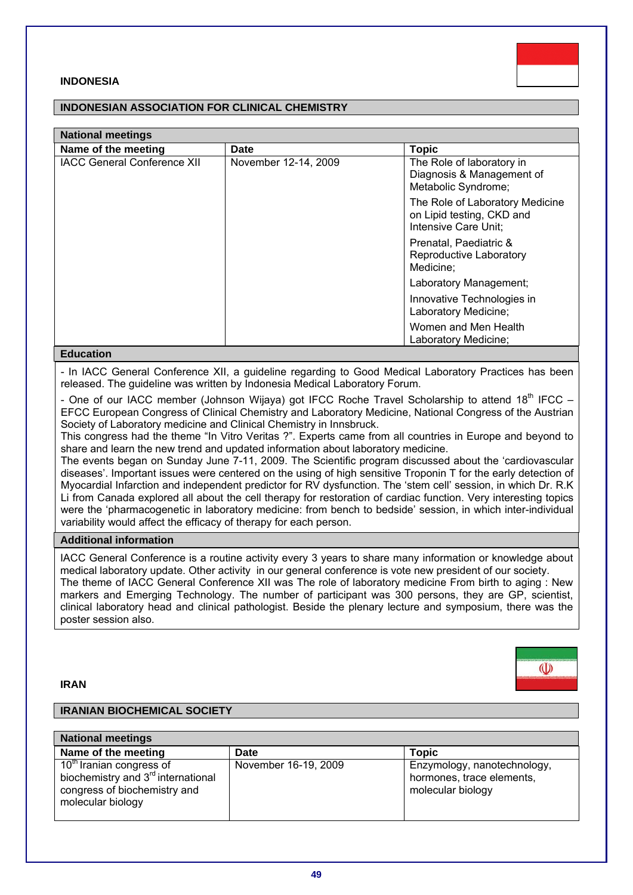## **INDONESIA**

# **INDONESIAN ASSOCIATION FOR CLINICAL CHEMISTRY**

| <b>National meetings</b>           |                      |                                                                                      |  |
|------------------------------------|----------------------|--------------------------------------------------------------------------------------|--|
| Name of the meeting                | Date                 | <b>Topic</b>                                                                         |  |
| <b>IACC General Conference XII</b> | November 12-14, 2009 | The Role of laboratory in<br>Diagnosis & Management of<br>Metabolic Syndrome;        |  |
|                                    |                      | The Role of Laboratory Medicine<br>on Lipid testing, CKD and<br>Intensive Care Unit; |  |
|                                    |                      | Prenatal, Paediatric &<br>Reproductive Laboratory<br>Medicine;                       |  |
|                                    |                      | Laboratory Management;                                                               |  |
|                                    |                      | Innovative Technologies in<br>Laboratory Medicine;                                   |  |
|                                    |                      | Women and Men Health<br>Laboratory Medicine;                                         |  |

#### **Education**

- In IACC General Conference XII, a guideline regarding to Good Medical Laboratory Practices has been released. The guideline was written by Indonesia Medical Laboratory Forum.

- One of our IACC member (Johnson Wijaya) got IFCC Roche Travel Scholarship to attend 18th IFCC – EFCC European Congress of Clinical Chemistry and Laboratory Medicine, National Congress of the Austrian Society of Laboratory medicine and Clinical Chemistry in Innsbruck.

This congress had the theme "In Vitro Veritas ?". Experts came from all countries in Europe and beyond to share and learn the new trend and updated information about laboratory medicine.

The events began on Sunday June 7-11, 2009. The Scientific program discussed about the 'cardiovascular diseases'. Important issues were centered on the using of high sensitive Troponin T for the early detection of Myocardial Infarction and independent predictor for RV dysfunction. The 'stem cell' session, in which Dr. R.K Li from Canada explored all about the cell therapy for restoration of cardiac function. Very interesting topics were the 'pharmacogenetic in laboratory medicine: from bench to bedside' session, in which inter-individual variability would affect the efficacy of therapy for each person.

# **Additional information**

IACC General Conference is a routine activity every 3 years to share many information or knowledge about medical laboratory update. Other activity in our general conference is vote new president of our society. The theme of IACC General Conference XII was The role of laboratory medicine From birth to aging : New markers and Emerging Technology. The number of participant was 300 persons, they are GP, scientist, clinical laboratory head and clinical pathologist. Beside the plenary lecture and symposium, there was the poster session also.

### **IRAN**

#### **IRANIAN BIOCHEMICAL SOCIETY**

| <b>National meetings</b>                                                                                                                    |                      |                                                                               |  |
|---------------------------------------------------------------------------------------------------------------------------------------------|----------------------|-------------------------------------------------------------------------------|--|
| Name of the meeting                                                                                                                         | Date                 | <b>Topic</b>                                                                  |  |
| 10 <sup>th</sup> Iranian congress of<br>biochemistry and 3 <sup>rd</sup> international<br>congress of biochemistry and<br>molecular biology | November 16-19, 2009 | Enzymology, nanotechnology,<br>hormones, trace elements,<br>molecular biology |  |





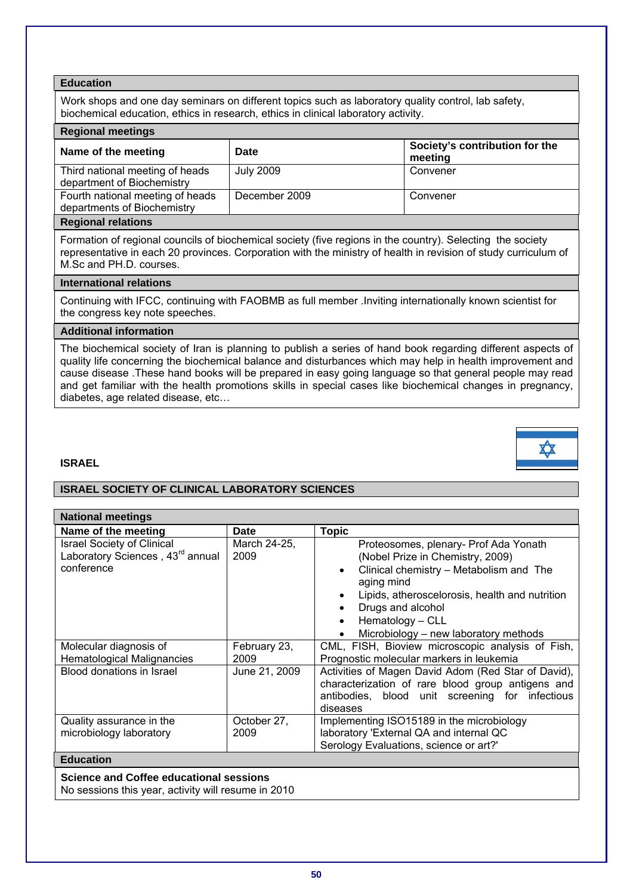Work shops and one day seminars on different topics such as laboratory quality control, lab safety, biochemical education, ethics in research, ethics in clinical laboratory activity.

## **Regional meetings**

| Name of the meeting                                             | <b>Date</b>   | Society's contribution for the<br>meeting |
|-----------------------------------------------------------------|---------------|-------------------------------------------|
| Third national meeting of heads<br>department of Biochemistry   | July 2009     | Convener                                  |
| Fourth national meeting of heads<br>departments of Biochemistry | December 2009 | Convener                                  |
| Protection of a client control                                  |               |                                           |

#### **Regional relations**

Formation of regional councils of biochemical society (five regions in the country). Selecting the society representative in each 20 provinces. Corporation with the ministry of health in revision of study curriculum of M.Sc and PH.D. courses.

### **International relations**

Continuing with IFCC, continuing with FAOBMB as full member .Inviting internationally known scientist for the congress key note speeches.

# **Additional information**

The biochemical society of Iran is planning to publish a series of hand book regarding different aspects of quality life concerning the biochemical balance and disturbances which may help in health improvement and cause disease .These hand books will be prepared in easy going language so that general people may read and get familiar with the health promotions skills in special cases like biochemical changes in pregnancy, diabetes, age related disease, etc…

# **ISRAEL**

# **ISRAEL SOCIETY OF CLINICAL LABORATORY SCIENCES**

| <b>National meetings</b>                                                                        |                      |                                                                                                                                                                                                                                                                        |
|-------------------------------------------------------------------------------------------------|----------------------|------------------------------------------------------------------------------------------------------------------------------------------------------------------------------------------------------------------------------------------------------------------------|
| Name of the meeting                                                                             | <b>Date</b>          | <b>Topic</b>                                                                                                                                                                                                                                                           |
| <b>Israel Society of Clinical</b><br>Laboratory Sciences, 43 <sup>rd</sup> annual<br>conference | March 24-25,<br>2009 | Proteosomes, plenary- Prof Ada Yonath<br>(Nobel Prize in Chemistry, 2009)<br>Clinical chemistry - Metabolism and The<br>aging mind<br>Lipids, atheroscelorosis, health and nutrition<br>Drugs and alcohol<br>Hematology - CLL<br>Microbiology - new laboratory methods |
| Molecular diagnosis of<br><b>Hematological Malignancies</b>                                     | February 23,<br>2009 | CML, FISH, Bioview microscopic analysis of Fish,<br>Prognostic molecular markers in leukemia                                                                                                                                                                           |
| Blood donations in Israel                                                                       | June 21, 2009        | Activities of Magen David Adom (Red Star of David),<br>characterization of rare blood group antigens and<br>antibodies, blood unit screening for infectious<br>diseases                                                                                                |
| Quality assurance in the                                                                        | October 27,          | Implementing ISO15189 in the microbiology                                                                                                                                                                                                                              |
| microbiology laboratory                                                                         | 2009                 | laboratory 'External QA and internal QC<br>Serology Evaluations, science or art?'                                                                                                                                                                                      |
| <b>Education</b>                                                                                |                      |                                                                                                                                                                                                                                                                        |
| <b>Science and Coffee educational sessions</b>                                                  |                      |                                                                                                                                                                                                                                                                        |

No sessions this year, activity will resume in 2010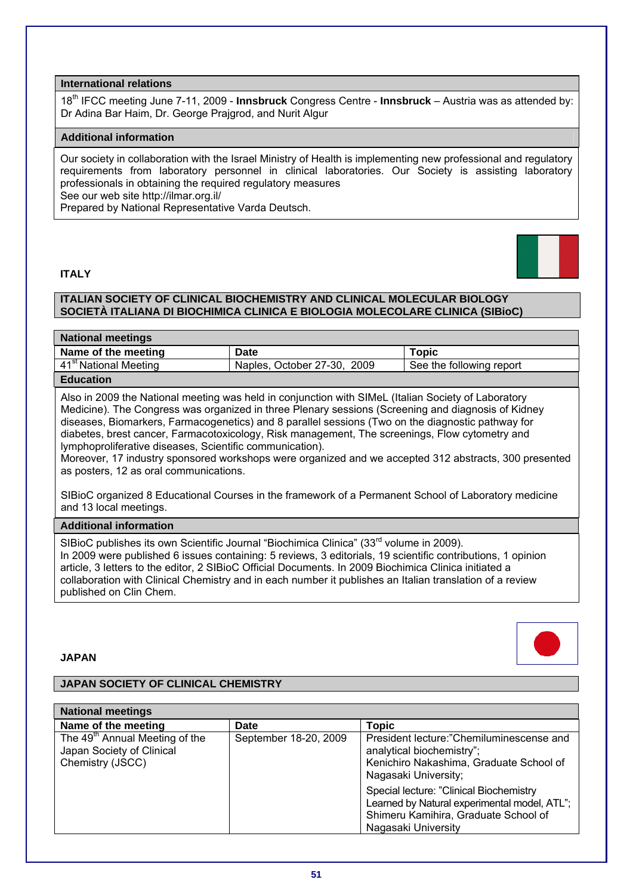# **International relations**

18th IFCC meeting June 7-11, 2009 - **Innsbruck** Congress Centre - **Innsbruck** – Austria was as attended by: Dr Adina Bar Haim, Dr. George Prajgrod, and Nurit Algur

# **Additional information**

Our society in collaboration with the Israel Ministry of Health is implementing new professional and regulatory requirements from laboratory personnel in clinical laboratories. Our Society is assisting laboratory professionals in obtaining the required regulatory measures See our web site http://ilmar.org.il/ Prepared by National Representative Varda Deutsch.

# **ITALY**



# **ITALIAN SOCIETY OF CLINICAL BIOCHEMISTRY AND CLINICAL MOLECULAR BIOLOGY SOCIETÀ ITALIANA DI BIOCHIMICA CLINICA E BIOLOGIA MOLECOLARE CLINICA (SIBioC)**

| <b>National meetings</b>          |                             |                          |
|-----------------------------------|-----------------------------|--------------------------|
| Name of the meeting               | Date                        | <b>Topic</b>             |
| 41 <sup>st</sup> National Meeting | Naples, October 27-30, 2009 | See the following report |
| <b>Education</b>                  |                             |                          |

Also in 2009 the National meeting was held in conjunction with SIMeL (Italian Society of Laboratory Medicine). The Congress was organized in three Plenary sessions (Screening and diagnosis of Kidney diseases, Biomarkers, Farmacogenetics) and 8 parallel sessions (Two on the diagnostic pathway for diabetes, brest cancer, Farmacotoxicology, Risk management, The screenings, Flow cytometry and lymphoproliferative diseases, Scientific communication).

Moreover, 17 industry sponsored workshops were organized and we accepted 312 abstracts, 300 presented as posters, 12 as oral communications.

SIBioC organized 8 Educational Courses in the framework of a Permanent School of Laboratory medicine and 13 local meetings.

#### **Additional information**

SIBioC publishes its own Scientific Journal "Biochimica Clinica" (33<sup>rd</sup> volume in 2009). In 2009 were published 6 issues containing: 5 reviews, 3 editorials, 19 scientific contributions, 1 opinion article, 3 letters to the editor, 2 SIBioC Official Documents. In 2009 Biochimica Clinica initiated a collaboration with Clinical Chemistry and in each number it publishes an Italian translation of a review published on Clin Chem.

# **JAPAN**

# **JAPAN SOCIETY OF CLINICAL CHEMISTRY**

| <b>National meetings</b>                                                                    |                       |                                                                                                                                                        |
|---------------------------------------------------------------------------------------------|-----------------------|--------------------------------------------------------------------------------------------------------------------------------------------------------|
| Name of the meeting                                                                         | Date                  | Topic                                                                                                                                                  |
| The 49 <sup>th</sup> Annual Meeting of the<br>Japan Society of Clinical<br>Chemistry (JSCC) | September 18-20, 2009 | President lecture:"Chemiluminescense and<br>analytical biochemistry";<br>Kenichiro Nakashima, Graduate School of<br>Nagasaki University;               |
|                                                                                             |                       | Special lecture: "Clinical Biochemistry<br>Learned by Natural experimental model, ATL";<br>Shimeru Kamihira, Graduate School of<br>Nagasaki University |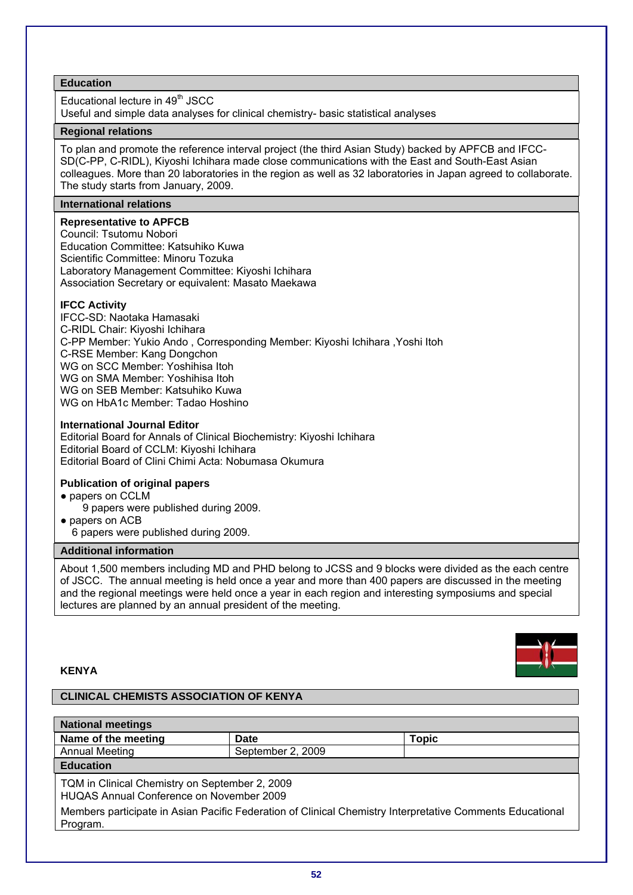Educational lecture in 49<sup>th</sup> JSCC

Useful and simple data analyses for clinical chemistry- basic statistical analyses

# **Regional relations**

To plan and promote the reference interval project (the third Asian Study) backed by APFCB and IFCC-SD(C-PP, C-RIDL), Kiyoshi Ichihara made close communications with the East and South-East Asian colleagues. More than 20 laboratories in the region as well as 32 laboratories in Japan agreed to collaborate. The study starts from January, 2009.

# **International relations**

**Representative to APFCB**  Council: Tsutomu Nobori Education Committee: Katsuhiko Kuwa Scientific Committee: Minoru Tozuka Laboratory Management Committee: Kiyoshi Ichihara Association Secretary or equivalent: Masato Maekawa

# **IFCC Activity**

IFCC-SD: Naotaka Hamasaki C-RIDL Chair: Kiyoshi Ichihara C-PP Member: Yukio Ando , Corresponding Member: Kiyoshi Ichihara ,Yoshi Itoh C-RSE Member: Kang Dongchon WG on SCC Member: Yoshihisa Itoh WG on SMA Member: Yoshihisa Itoh WG on SEB Member: Katsuhiko Kuwa WG on HbA1c Member: Tadao Hoshino

# **International Journal Editor**

Editorial Board for Annals of Clinical Biochemistry: Kiyoshi Ichihara Editorial Board of CCLM: Kiyoshi Ichihara Editorial Board of Clini Chimi Acta: Nobumasa Okumura

# **Publication of original papers**

- papers on CCLM
	- 9 papers were published during 2009.
- papers on ACB
	- 6 papers were published during 2009.

# **Additional information**

About 1,500 members including MD and PHD belong to JCSS and 9 blocks were divided as the each centre of JSCC. The annual meeting is held once a year and more than 400 papers are discussed in the meeting and the regional meetings were held once a year in each region and interesting symposiums and special lectures are planned by an annual president of the meeting.

### **KENYA**

# **CLINICAL CHEMISTS ASSOCIATION OF KENYA**

| <b>National meetings</b>                                                                                              |                   |              |
|-----------------------------------------------------------------------------------------------------------------------|-------------------|--------------|
| Name of the meeting                                                                                                   | Date              | <b>Topic</b> |
| <b>Annual Meeting</b>                                                                                                 | September 2, 2009 |              |
| <b>Education</b>                                                                                                      |                   |              |
| TQM in Clinical Chemistry on September 2, 2009<br>HUQAS Annual Conference on November 2009                            |                   |              |
| Members participate in Asian Pacific Federation of Clinical Chemistry Interpretative Comments Educational<br>Program. |                   |              |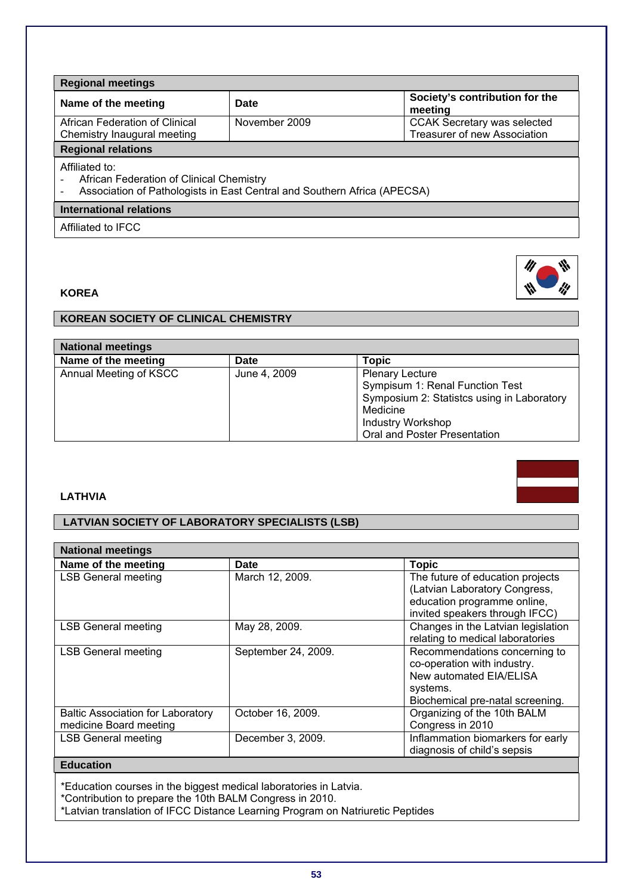**Regional meetings Name of the meeting Date Society's contribution for the meeting**  African Federation of Clinical Chemistry Inaugural meeting November 2009 **CCAK Secretary was selected** Treasurer of new Association **Regional relations**  Affiliated to: African Federation of Clinical Chemistry Association of Pathologists in East Central and Southern Africa (APECSA)

# **International relations**

Affiliated to IFCC

# **KOREA**

# **KOREAN SOCIETY OF CLINICAL CHEMISTRY**

| <b>National meetings</b> |              |                                            |
|--------------------------|--------------|--------------------------------------------|
| Name of the meeting      | <b>Date</b>  | <b>Topic</b>                               |
| Annual Meeting of KSCC   | June 4, 2009 | <b>Plenary Lecture</b>                     |
|                          |              | Sympisum 1: Renal Function Test            |
|                          |              | Symposium 2: Statistcs using in Laboratory |
|                          |              | Medicine                                   |
|                          |              | <b>Industry Workshop</b>                   |
|                          |              | Oral and Poster Presentation               |

# **LATHVIA**

# **LATVIAN SOCIETY OF LABORATORY SPECIALISTS (LSB)**

| <b>National meetings</b>                 |                     |                                    |
|------------------------------------------|---------------------|------------------------------------|
| Name of the meeting                      | <b>Date</b>         | <b>Topic</b>                       |
| <b>LSB General meeting</b>               | March 12, 2009.     | The future of education projects   |
|                                          |                     | (Latvian Laboratory Congress,      |
|                                          |                     | education programme online,        |
|                                          |                     | invited speakers through IFCC)     |
| <b>LSB General meeting</b>               | May 28, 2009.       | Changes in the Latvian legislation |
|                                          |                     | relating to medical laboratories   |
| <b>LSB General meeting</b>               | September 24, 2009. | Recommendations concerning to      |
|                                          |                     | co-operation with industry.        |
|                                          |                     | New automated EIA/ELISA            |
|                                          |                     | systems.                           |
|                                          |                     | Biochemical pre-natal screening.   |
| <b>Baltic Association for Laboratory</b> | October 16, 2009.   | Organizing of the 10th BALM        |
| medicine Board meeting                   |                     | Congress in 2010                   |
| <b>LSB General meeting</b>               | December 3, 2009.   | Inflammation biomarkers for early  |
|                                          |                     | diagnosis of child's sepsis        |
| <b>Education</b>                         |                     |                                    |

\*Education courses in the biggest medical laboratories in Latvia.

\*Contribution to prepare the 10th BALM Congress in 2010.

\*Latvian translation of IFCC Distance Learning Program on Natriuretic Peptides



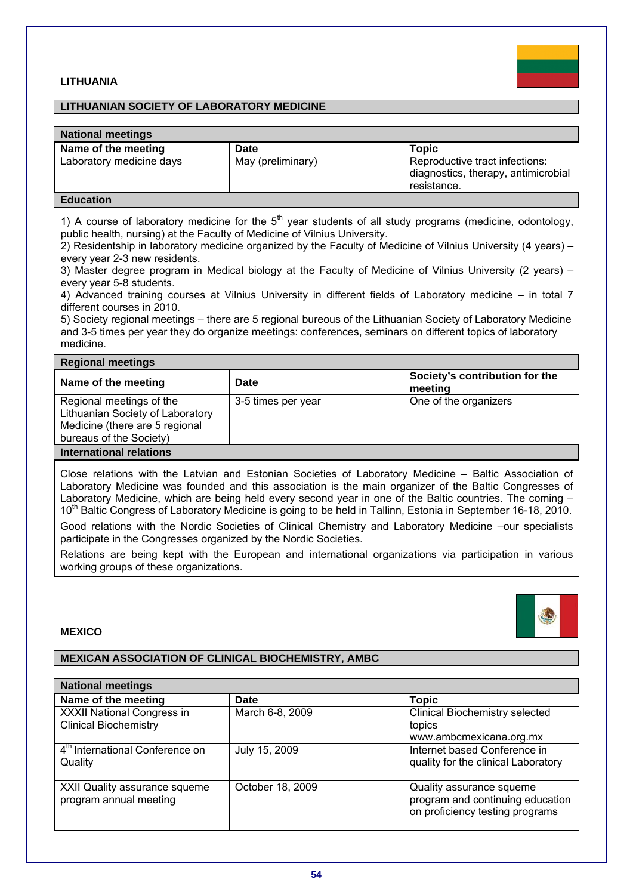# **LITHUANIA**



## **LITHUANIAN SOCIETY OF LABORATORY MEDICINE**

| <b>National meetings</b> |                   |                                                                                      |
|--------------------------|-------------------|--------------------------------------------------------------------------------------|
| Name of the meeting      | Date              | <b>Topic</b>                                                                         |
| Laboratory medicine days | May (preliminary) | Reproductive tract infections:<br>diagnostics, therapy, antimicrobial<br>resistance. |

#### **Education**

1) A course of laboratory medicine for the  $5<sup>th</sup>$  year students of all study programs (medicine, odontology, public health, nursing) at the Faculty of Medicine of Vilnius University.

2) Residentship in laboratory medicine organized by the Faculty of Medicine of Vilnius University (4 years) – every year 2-3 new residents.

3) Master degree program in Medical biology at the Faculty of Medicine of Vilnius University (2 years) – every year 5-8 students.

4) Advanced training courses at Vilnius University in different fields of Laboratory medicine – in total 7 different courses in 2010.

5) Society regional meetings – there are 5 regional bureous of the Lithuanian Society of Laboratory Medicine and 3-5 times per year they do organize meetings: conferences, seminars on different topics of laboratory medicine.

#### **Regional meetings**

| Name of the meeting                                                                                                       | Date               | Society's contribution for the<br>meeting |
|---------------------------------------------------------------------------------------------------------------------------|--------------------|-------------------------------------------|
| Regional meetings of the<br>Lithuanian Society of Laboratory<br>Medicine (there are 5 regional<br>bureaus of the Society) | 3-5 times per year | One of the organizers                     |
| International relations                                                                                                   |                    |                                           |

Close relations with the Latvian and Estonian Societies of Laboratory Medicine – Baltic Association of Laboratory Medicine was founded and this association is the main organizer of the Baltic Congresses of Laboratory Medicine, which are being held every second year in one of the Baltic countries. The coming – 10<sup>th</sup> Baltic Congress of Laboratory Medicine is going to be held in Tallinn. Estonia in September 16-18, 2010.

Good relations with the Nordic Societies of Clinical Chemistry and Laboratory Medicine –our specialists participate in the Congresses organized by the Nordic Societies.

Relations are being kept with the European and international organizations via participation in various working groups of these organizations.

#### **MEXICO**

# **MEXICAN ASSOCIATION OF CLINICAL BIOCHEMISTRY, AMBC**

| <b>National meetings</b>                                |                  |                                                                                                 |
|---------------------------------------------------------|------------------|-------------------------------------------------------------------------------------------------|
| Name of the meeting                                     | Date             | Topic                                                                                           |
| XXXII National Congress in                              | March 6-8, 2009  | <b>Clinical Biochemistry selected</b>                                                           |
| <b>Clinical Biochemistry</b>                            |                  | topics                                                                                          |
|                                                         |                  | www.ambcmexicana.org.mx                                                                         |
| 4 <sup>th</sup> International Conference on<br>Quality  | July 15, 2009    | Internet based Conference in<br>quality for the clinical Laboratory                             |
| XXII Quality assurance squeme<br>program annual meeting | October 18, 2009 | Quality assurance squeme<br>program and continuing education<br>on proficiency testing programs |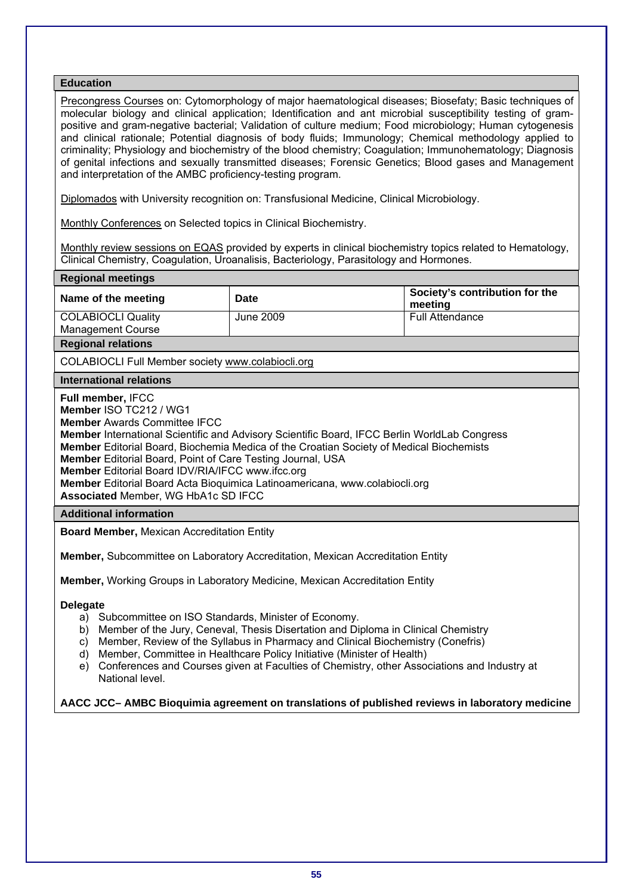Precongress Courses on: Cytomorphology of major haematological diseases; Biosefaty; Basic techniques of molecular biology and clinical application; Identification and ant microbial susceptibility testing of grampositive and gram-negative bacterial; Validation of culture medium; Food microbiology; Human cytogenesis and clinical rationale; Potential diagnosis of body fluids; Immunology; Chemical methodology applied to criminality; Physiology and biochemistry of the blood chemistry; Coagulation; Immunohematology; Diagnosis of genital infections and sexually transmitted diseases; Forensic Genetics; Blood gases and Management and interpretation of the AMBC proficiency-testing program.

Diplomados with University recognition on: Transfusional Medicine, Clinical Microbiology.

Monthly Conferences on Selected topics in Clinical Biochemistry.

Monthly review sessions on EQAS provided by experts in clinical biochemistry topics related to Hematology, Clinical Chemistry, Coagulation, Uroanalisis, Bacteriology, Parasitology and Hormones.

#### **Regional meetings**

| Name of the meeting                                   | Date      | Society's contribution for the<br>meeting |
|-------------------------------------------------------|-----------|-------------------------------------------|
| <b>COLABIOCLI Quality</b><br><b>Management Course</b> | June 2009 | <b>Full Attendance</b>                    |
|                                                       |           |                                           |

# **Regional relations**

COLABIOCLI Full Member society www.colabiocli.org

#### **International relations**

**Full member,** IFCC

**Member** ISO TC212 / WG1

**Member** Awards Committee IFCC

**Member** International Scientific and Advisory Scientific Board, IFCC Berlin WorldLab Congress **Member** Editorial Board, Biochemia Medica of the Croatian Society of Medical Biochemists **Member** Editorial Board, Point of Care Testing Journal, USA **Member** Editorial Board IDV/RIA/IFCC www.ifcc.org

**Member** Editorial Board Acta Bioquimica Latinoamericana, www.colabiocli.org

**Associated** Member, WG HbA1c SD IFCC

#### **Additional information**

**Board Member,** Mexican Accreditation Entity

**Member,** Subcommittee on Laboratory Accreditation, Mexican Accreditation Entity

**Member,** Working Groups in Laboratory Medicine, Mexican Accreditation Entity

#### **Delegate**

- a) Subcommittee on ISO Standards, Minister of Economy.
- b) Member of the Jury, Ceneval, Thesis Disertation and Diploma in Clinical Chemistry
- c) Member, Review of the Syllabus in Pharmacy and Clinical Biochemistry (Conefris)
- d) Member, Committee in Healthcare Policy Initiative (Minister of Health)
- e) Conferences and Courses given at Faculties of Chemistry, other Associations and Industry at National level.

# **AACC JCC– AMBC Bioquimia agreement on translations of published reviews in laboratory medicine**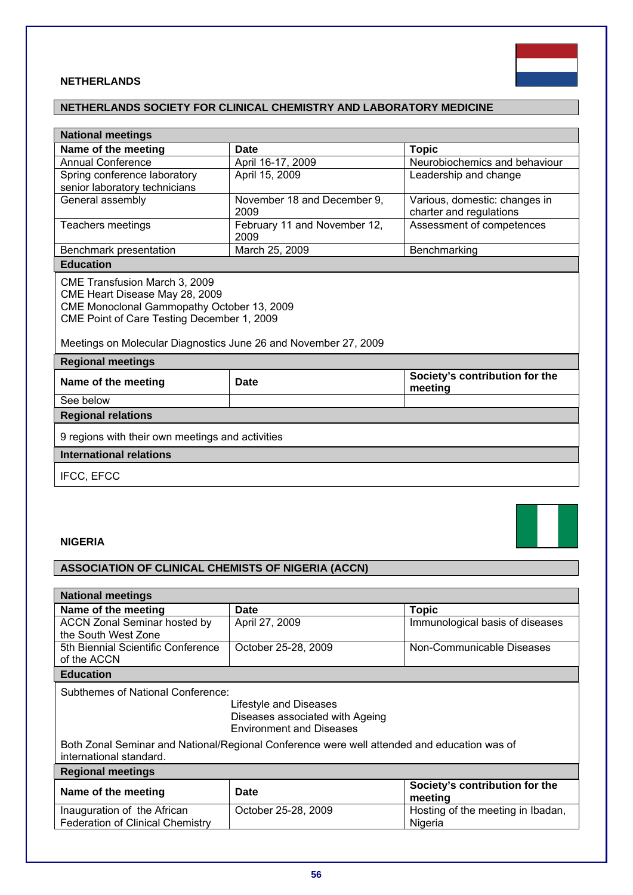

# **NETHERLANDS**

# **NETHERLANDS SOCIETY FOR CLINICAL CHEMISTRY AND LABORATORY MEDICINE**

| <b>National meetings</b>                                                                                                                                                                                                       |                                      |                                                          |
|--------------------------------------------------------------------------------------------------------------------------------------------------------------------------------------------------------------------------------|--------------------------------------|----------------------------------------------------------|
| Name of the meeting                                                                                                                                                                                                            | <b>Date</b>                          | <b>Topic</b>                                             |
| <b>Annual Conference</b>                                                                                                                                                                                                       | April 16-17, 2009                    | Neurobiochemics and behaviour                            |
| Spring conference laboratory                                                                                                                                                                                                   | April 15, 2009                       | Leadership and change                                    |
| senior laboratory technicians                                                                                                                                                                                                  |                                      |                                                          |
| General assembly                                                                                                                                                                                                               | November 18 and December 9,<br>2009  | Various, domestic: changes in<br>charter and regulations |
| Teachers meetings                                                                                                                                                                                                              | February 11 and November 12,<br>2009 | Assessment of competences                                |
| Benchmark presentation                                                                                                                                                                                                         | March 25, 2009                       | Benchmarking                                             |
| <b>Education</b>                                                                                                                                                                                                               |                                      |                                                          |
| CME Transfusion March 3, 2009<br>CME Heart Disease May 28, 2009<br>CME Monoclonal Gammopathy October 13, 2009<br>CME Point of Care Testing December 1, 2009<br>Meetings on Molecular Diagnostics June 26 and November 27, 2009 |                                      |                                                          |
| <b>Regional meetings</b>                                                                                                                                                                                                       |                                      |                                                          |
| Name of the meeting                                                                                                                                                                                                            | Date                                 | Society's contribution for the<br>meeting                |
| See below                                                                                                                                                                                                                      |                                      |                                                          |
| <b>Regional relations</b>                                                                                                                                                                                                      |                                      |                                                          |
| 9 regions with their own meetings and activities                                                                                                                                                                               |                                      |                                                          |
| <b>International relations</b>                                                                                                                                                                                                 |                                      |                                                          |
| IFCC, EFCC                                                                                                                                                                                                                     |                                      |                                                          |

# **NIGERIA**

# **ASSOCIATION OF CLINICAL CHEMISTS OF NIGERIA (ACCN)**

| <b>National meetings</b>                                                                                               |                                                                                              |                                              |
|------------------------------------------------------------------------------------------------------------------------|----------------------------------------------------------------------------------------------|----------------------------------------------|
| Name of the meeting                                                                                                    | <b>Date</b>                                                                                  | <b>Topic</b>                                 |
| <b>ACCN Zonal Seminar hosted by</b><br>the South West Zone                                                             | April 27, 2009                                                                               | Immunological basis of diseases              |
| 5th Biennial Scientific Conference<br>of the ACCN                                                                      | October 25-28, 2009                                                                          | Non-Communicable Diseases                    |
| <b>Education</b>                                                                                                       |                                                                                              |                                              |
| Subthemes of National Conference:                                                                                      |                                                                                              |                                              |
|                                                                                                                        | Lifestyle and Diseases<br>Diseases associated with Ageing<br><b>Environment and Diseases</b> |                                              |
| Both Zonal Seminar and National/Regional Conference were well attended and education was of<br>international standard. |                                                                                              |                                              |
| <b>Regional meetings</b>                                                                                               |                                                                                              |                                              |
| Name of the meeting                                                                                                    | Date                                                                                         | Society's contribution for the<br>meeting    |
| Inauguration of the African<br><b>Federation of Clinical Chemistry</b>                                                 | October 25-28, 2009                                                                          | Hosting of the meeting in Ibadan,<br>Nigeria |
|                                                                                                                        |                                                                                              |                                              |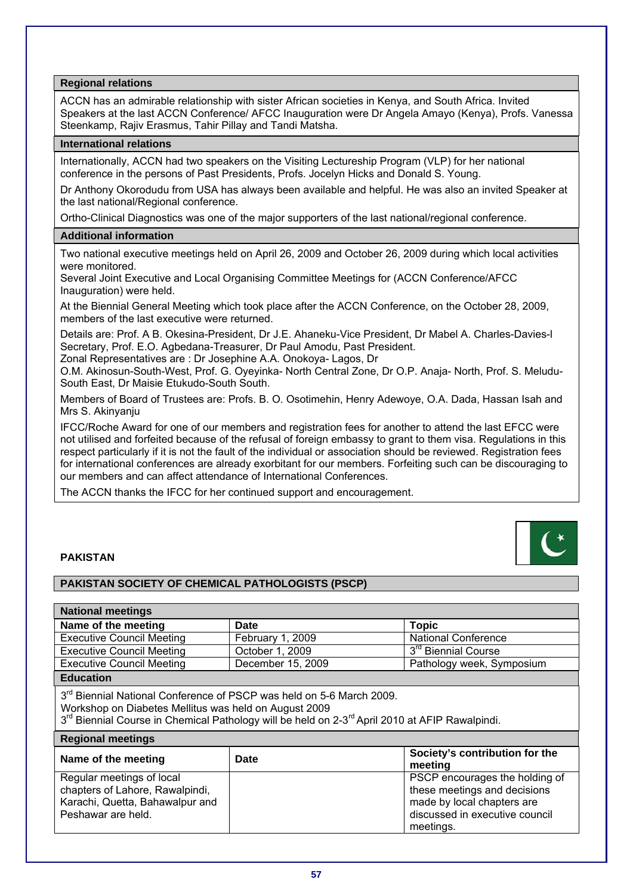**Regional relations** 

ACCN has an admirable relationship with sister African societies in Kenya, and South Africa. Invited Speakers at the last ACCN Conference/ AFCC Inauguration were Dr Angela Amayo (Kenya), Profs. Vanessa Steenkamp, Rajiv Erasmus, Tahir Pillay and Tandi Matsha.

#### **International relations**

Internationally, ACCN had two speakers on the Visiting Lectureship Program (VLP) for her national conference in the persons of Past Presidents, Profs. Jocelyn Hicks and Donald S. Young.

Dr Anthony Okorodudu from USA has always been available and helpful. He was also an invited Speaker at the last national/Regional conference.

Ortho-Clinical Diagnostics was one of the major supporters of the last national/regional conference.

### **Additional information**

Two national executive meetings held on April 26, 2009 and October 26, 2009 during which local activities were monitored.

Several Joint Executive and Local Organising Committee Meetings for (ACCN Conference/AFCC Inauguration) were held.

At the Biennial General Meeting which took place after the ACCN Conference, on the October 28, 2009, members of the last executive were returned.

Details are: Prof. A B. Okesina-President, Dr J.E. Ahaneku-Vice President, Dr Mabel A. Charles-Davies-l Secretary, Prof. E.O. Agbedana-Treasurer, Dr Paul Amodu, Past President.

Zonal Representatives are : Dr Josephine A.A. Onokoya- Lagos, Dr

O.M. Akinosun-South-West, Prof. G. Oyeyinka- North Central Zone, Dr O.P. Anaja- North, Prof. S. Meludu-South East, Dr Maisie Etukudo-South South.

Members of Board of Trustees are: Profs. B. O. Osotimehin, Henry Adewoye, O.A. Dada, Hassan Isah and Mrs S. Akinyanju

IFCC/Roche Award for one of our members and registration fees for another to attend the last EFCC were not utilised and forfeited because of the refusal of foreign embassy to grant to them visa. Regulations in this respect particularly if it is not the fault of the individual or association should be reviewed. Registration fees for international conferences are already exorbitant for our members. Forfeiting such can be discouraging to our members and can affect attendance of International Conferences.

The ACCN thanks the IFCC for her continued support and encouragement.

# **PAKISTAN**

# **PAKISTAN SOCIETY OF CHEMICAL PATHOLOGISTS (PSCP)**

| <b>National meetings</b>                                                                                                                                                                                                                                            |                   |                                                                                                                                             |  |
|---------------------------------------------------------------------------------------------------------------------------------------------------------------------------------------------------------------------------------------------------------------------|-------------------|---------------------------------------------------------------------------------------------------------------------------------------------|--|
| Name of the meeting                                                                                                                                                                                                                                                 | <b>Date</b>       | <b>Topic</b>                                                                                                                                |  |
| <b>Executive Council Meeting</b>                                                                                                                                                                                                                                    | February 1, 2009  | <b>National Conference</b>                                                                                                                  |  |
| <b>Executive Council Meeting</b>                                                                                                                                                                                                                                    | October 1, 2009   | 3 <sup>rd</sup> Biennial Course                                                                                                             |  |
| <b>Executive Council Meeting</b>                                                                                                                                                                                                                                    | December 15, 2009 | Pathology week, Symposium                                                                                                                   |  |
| <b>Education</b>                                                                                                                                                                                                                                                    |                   |                                                                                                                                             |  |
| 3 <sup>rd</sup> Biennial National Conference of PSCP was held on 5-6 March 2009.<br>Workshop on Diabetes Mellitus was held on August 2009<br>3 <sup>rd</sup> Biennial Course in Chemical Pathology will be held on 2-3 <sup>rd</sup> April 2010 at AFIP Rawalpindi. |                   |                                                                                                                                             |  |
| <b>Regional meetings</b>                                                                                                                                                                                                                                            |                   |                                                                                                                                             |  |
| Name of the meeting                                                                                                                                                                                                                                                 | Date              | Society's contribution for the<br>meetina                                                                                                   |  |
| Regular meetings of local<br>chapters of Lahore, Rawalpindi,<br>Karachi, Quetta, Bahawalpur and<br>Peshawar are held.                                                                                                                                               |                   | PSCP encourages the holding of<br>these meetings and decisions<br>made by local chapters are<br>discussed in executive council<br>meetings. |  |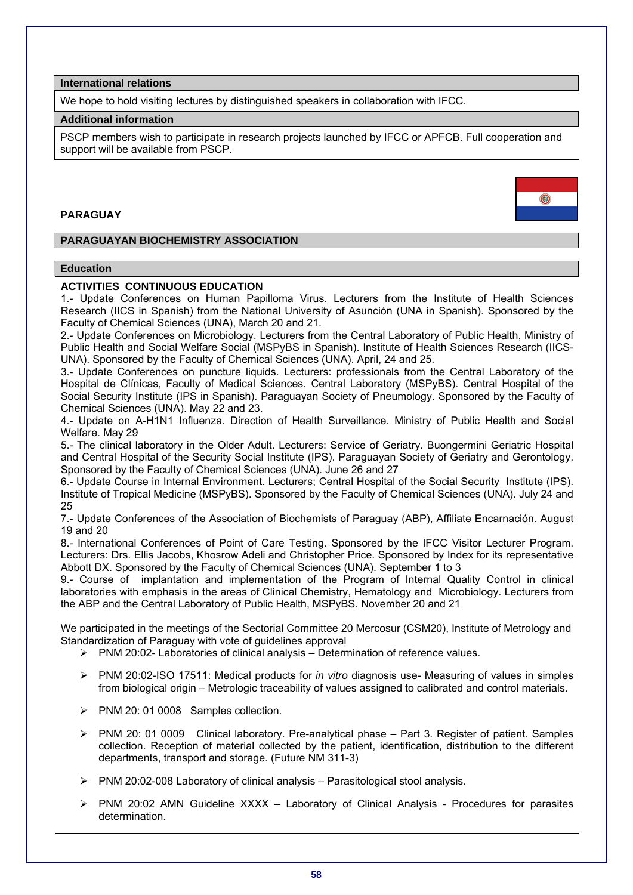**International relations** 

We hope to hold visiting lectures by distinguished speakers in collaboration with IFCC.

### **Additional information**

PSCP members wish to participate in research projects launched by IFCC or APFCB. Full cooperation and support will be available from PSCP.

# **PARAGUAY**



# **PARAGUAYAN BIOCHEMISTRY ASSOCIATION**

#### **Education**

### **ACTIVITIES CONTINUOUS EDUCATION**

1.- Update Conferences on Human Papilloma Virus. Lecturers from the Institute of Health Sciences Research (IICS in Spanish) from the National University of Asunción (UNA in Spanish). Sponsored by the Faculty of Chemical Sciences (UNA), March 20 and 21.

2.- Update Conferences on Microbiology. Lecturers from the Central Laboratory of Public Health, Ministry of Public Health and Social Welfare Social (MSPyBS in Spanish). Institute of Health Sciences Research (IICS-UNA). Sponsored by the Faculty of Chemical Sciences (UNA). April, 24 and 25.

3.- Update Conferences on puncture liquids. Lecturers: professionals from the Central Laboratory of the Hospital de Clínicas, Faculty of Medical Sciences. Central Laboratory (MSPyBS). Central Hospital of the Social Security Institute (IPS in Spanish). Paraguayan Society of Pneumology. Sponsored by the Faculty of Chemical Sciences (UNA). May 22 and 23.

4.- Update on A-H1N1 Influenza. Direction of Health Surveillance. Ministry of Public Health and Social Welfare. May 29

5.- The clinical laboratory in the Older Adult. Lecturers: Service of Geriatry. Buongermini Geriatric Hospital and Central Hospital of the Security Social Institute (IPS). Paraguayan Society of Geriatry and Gerontology. Sponsored by the Faculty of Chemical Sciences (UNA). June 26 and 27

6.- Update Course in Internal Environment. Lecturers; Central Hospital of the Social Security Institute (IPS). Institute of Tropical Medicine (MSPyBS). Sponsored by the Faculty of Chemical Sciences (UNA). July 24 and 25

7.- Update Conferences of the Association of Biochemists of Paraguay (ABP), Affiliate Encarnación. August 19 and 20

8.- International Conferences of Point of Care Testing. Sponsored by the IFCC Visitor Lecturer Program. Lecturers: Drs. Ellis Jacobs, Khosrow Adeli and Christopher Price. Sponsored by Index for its representative Abbott DX. Sponsored by the Faculty of Chemical Sciences (UNA). September 1 to 3

9.- Course of implantation and implementation of the Program of Internal Quality Control in clinical laboratories with emphasis in the areas of Clinical Chemistry, Hematology and Microbiology. Lecturers from the ABP and the Central Laboratory of Public Health, MSPyBS. November 20 and 21

We participated in the meetings of the Sectorial Committee 20 Mercosur (CSM20), Institute of Metrology and Standardization of Paraguay with vote of guidelines approval

- $\triangleright$  PNM 20:02- Laboratories of clinical analysis Determination of reference values.
- ¾ PNM 20:02-ISO 17511: Medical products for *in vitro* diagnosis use- Measuring of values in simples from biological origin – Metrologic traceability of values assigned to calibrated and control materials.
- ¾ PNM 20: 01 0008 Samples collection.
- $\triangleright$  PNM 20: 01 0009 Clinical laboratory. Pre-analytical phase Part 3. Register of patient. Samples collection. Reception of material collected by the patient, identification, distribution to the different departments, transport and storage. (Future NM 311-3)
- $\triangleright$  PNM 20:02-008 Laboratory of clinical analysis Parasitological stool analysis.
- ¾ PNM 20:02 AMN Guideline XXXX Laboratory of Clinical Analysis Procedures for parasites determination.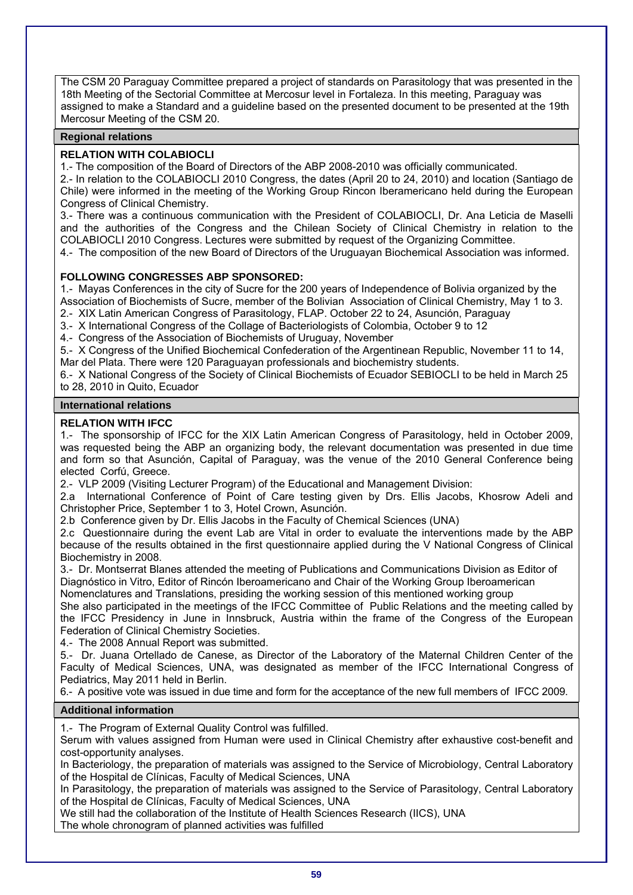The CSM 20 Paraguay Committee prepared a project of standards on Parasitology that was presented in the 18th Meeting of the Sectorial Committee at Mercosur level in Fortaleza. In this meeting, Paraguay was assigned to make a Standard and a guideline based on the presented document to be presented at the 19th Mercosur Meeting of the CSM 20.

# **Regional relations**

# **RELATION WITH COLABIOCLI**

1.- The composition of the Board of Directors of the ABP 2008-2010 was officially communicated.

2.- In relation to the COLABIOCLI 2010 Congress, the dates (April 20 to 24, 2010) and location (Santiago de Chile) were informed in the meeting of the Working Group Rincon Iberamericano held during the European Congress of Clinical Chemistry.

3.- There was a continuous communication with the President of COLABIOCLI, Dr. Ana Leticia de Maselli and the authorities of the Congress and the Chilean Society of Clinical Chemistry in relation to the COLABIOCLI 2010 Congress. Lectures were submitted by request of the Organizing Committee.

4.- The composition of the new Board of Directors of the Uruguayan Biochemical Association was informed.

# **FOLLOWING CONGRESSES ABP SPONSORED:**

1.- Mayas Conferences in the city of Sucre for the 200 years of Independence of Bolivia organized by the Association of Biochemists of Sucre, member of the Bolivian Association of Clinical Chemistry, May 1 to 3. 2.- XIX Latin American Congress of Parasitology, FLAP. October 22 to 24, Asunción, Paraguay

3.- X International Congress of the Collage of Bacteriologists of Colombia, October 9 to 12

4.- Congress of the Association of Biochemists of Uruguay, November

5.- X Congress of the Unified Biochemical Confederation of the Argentinean Republic, November 11 to 14, Mar del Plata. There were 120 Paraguayan professionals and biochemistry students.

6.- X National Congress of the Society of Clinical Biochemists of Ecuador SEBIOCLI to be held in March 25 to 28, 2010 in Quito, Ecuador

# **International relations**

# **RELATION WITH IFCC**

1.- The sponsorship of IFCC for the XIX Latin American Congress of Parasitology, held in October 2009, was requested being the ABP an organizing body, the relevant documentation was presented in due time and form so that Asunción, Capital of Paraguay, was the venue of the 2010 General Conference being elected Corfú, Greece.

2.- VLP 2009 (Visiting Lecturer Program) of the Educational and Management Division:

2.a International Conference of Point of Care testing given by Drs. Ellis Jacobs, Khosrow Adeli and Christopher Price, September 1 to 3, Hotel Crown, Asunción.

2.b Conference given by Dr. Ellis Jacobs in the Faculty of Chemical Sciences (UNA)

2.c Questionnaire during the event Lab are Vital in order to evaluate the interventions made by the ABP because of the results obtained in the first questionnaire applied during the V National Congress of Clinical Biochemistry in 2008.

3.- Dr. Montserrat Blanes attended the meeting of Publications and Communications Division as Editor of Diagnóstico in Vitro, Editor of Rincón Iberoamericano and Chair of the Working Group Iberoamerican Nomenclatures and Translations, presiding the working session of this mentioned working group

She also participated in the meetings of the IFCC Committee of Public Relations and the meeting called by the IFCC Presidency in June in Innsbruck, Austria within the frame of the Congress of the European Federation of Clinical Chemistry Societies.

4.- The 2008 Annual Report was submitted.

5.- Dr. Juana Ortellado de Canese, as Director of the Laboratory of the Maternal Children Center of the Faculty of Medical Sciences, UNA, was designated as member of the IFCC International Congress of Pediatrics, May 2011 held in Berlin.

6.- A positive vote was issued in due time and form for the acceptance of the new full members of IFCC 2009.

# **Additional information**

1.- The Program of External Quality Control was fulfilled.

Serum with values assigned from Human were used in Clinical Chemistry after exhaustive cost-benefit and cost-opportunity analyses.

In Bacteriology, the preparation of materials was assigned to the Service of Microbiology, Central Laboratory of the Hospital de Clínicas, Faculty of Medical Sciences, UNA

In Parasitology, the preparation of materials was assigned to the Service of Parasitology, Central Laboratory of the Hospital de Clínicas, Faculty of Medical Sciences, UNA

We still had the collaboration of the Institute of Health Sciences Research (IICS), UNA

The whole chronogram of planned activities was fulfilled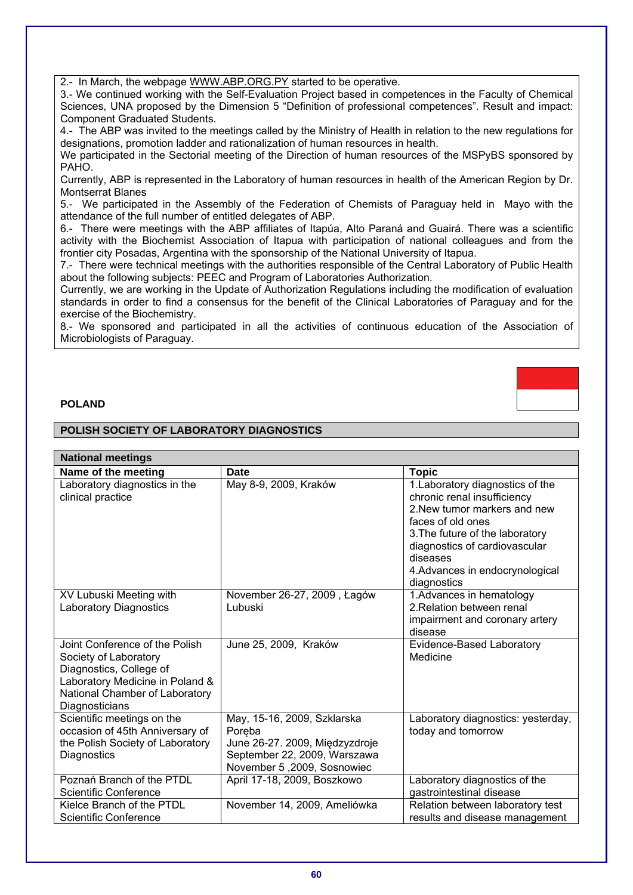2.- In March, the webpage WWW.ABP.ORG.PY started to be operative.

3.- We continued working with the Self-Evaluation Project based in competences in the Faculty of Chemical Sciences, UNA proposed by the Dimension 5 "Definition of professional competences". Result and impact: Component Graduated Students.

4.- The ABP was invited to the meetings called by the Ministry of Health in relation to the new regulations for designations, promotion ladder and rationalization of human resources in health.

We participated in the Sectorial meeting of the Direction of human resources of the MSPyBS sponsored by PAHO.

Currently, ABP is represented in the Laboratory of human resources in health of the American Region by Dr. Montserrat Blanes

5.- We participated in the Assembly of the Federation of Chemists of Paraguay held in Mayo with the attendance of the full number of entitled delegates of ABP.

6.- There were meetings with the ABP affiliates of Itapúa, Alto Paraná and Guairá. There was a scientific activity with the Biochemist Association of Itapua with participation of national colleagues and from the frontier city Posadas, Argentina with the sponsorship of the National University of Itapua.

7.- There were technical meetings with the authorities responsible of the Central Laboratory of Public Health about the following subjects: PEEC and Program of Laboratories Authorization.

Currently, we are working in the Update of Authorization Regulations including the modification of evaluation standards in order to find a consensus for the benefit of the Clinical Laboratories of Paraguay and for the exercise of the Biochemistry.

8.- We sponsored and participated in all the activities of continuous education of the Association of Microbiologists of Paraguay.

## **POLAND**

#### **POLISH SOCIETY OF LABORATORY DIAGNOSTICS**

| <b>National meetings</b>                                                                                                                                                  |                                                                                                                                       |                                                                                                                                                                                                                                                        |
|---------------------------------------------------------------------------------------------------------------------------------------------------------------------------|---------------------------------------------------------------------------------------------------------------------------------------|--------------------------------------------------------------------------------------------------------------------------------------------------------------------------------------------------------------------------------------------------------|
| Name of the meeting                                                                                                                                                       | <b>Date</b>                                                                                                                           | <b>Topic</b>                                                                                                                                                                                                                                           |
| Laboratory diagnostics in the<br>clinical practice                                                                                                                        | May 8-9, 2009, Kraków                                                                                                                 | 1. Laboratory diagnostics of the<br>chronic renal insufficiency<br>2. New tumor markers and new<br>faces of old ones<br>3. The future of the laboratory<br>diagnostics of cardiovascular<br>diseases<br>4. Advances in endocrynological<br>diagnostics |
| XV Lubuski Meeting with<br><b>Laboratory Diagnostics</b>                                                                                                                  | November 26-27, 2009, Łagów<br>Lubuski                                                                                                | 1. Advances in hematology<br>2. Relation between renal<br>impairment and coronary artery<br>disease                                                                                                                                                    |
| Joint Conference of the Polish<br>Society of Laboratory<br>Diagnostics, College of<br>Laboratory Medicine in Poland &<br>National Chamber of Laboratory<br>Diagnosticians | June 25, 2009, Kraków                                                                                                                 | Evidence-Based Laboratory<br>Medicine                                                                                                                                                                                                                  |
| Scientific meetings on the<br>occasion of 45th Anniversary of<br>the Polish Society of Laboratory<br>Diagnostics                                                          | May, 15-16, 2009, Szklarska<br>Poreba<br>June 26-27. 2009, Międzyzdroje<br>September 22, 2009, Warszawa<br>November 5,2009, Sosnowiec | Laboratory diagnostics: yesterday,<br>today and tomorrow                                                                                                                                                                                               |
| Poznań Branch of the PTDL<br>Scientific Conference                                                                                                                        | April 17-18, 2009, Boszkowo                                                                                                           | Laboratory diagnostics of the<br>gastrointestinal disease                                                                                                                                                                                              |
| Kielce Branch of the PTDL<br>Scientific Conference                                                                                                                        | November 14, 2009, Ameliówka                                                                                                          | Relation between laboratory test<br>results and disease management                                                                                                                                                                                     |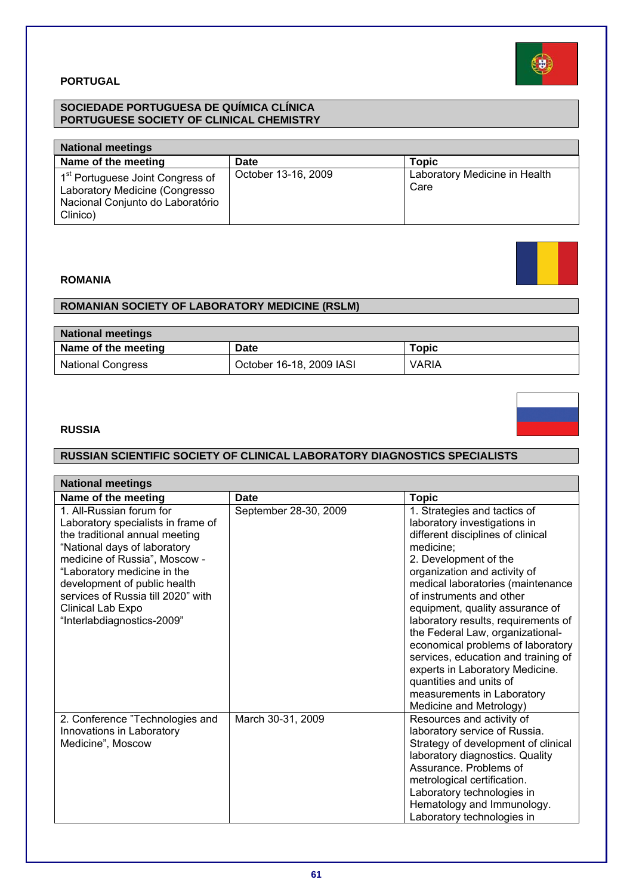

# **PORTUGAL**

# **SOCIEDADE PORTUGUESA DE QUÍMICA CLÍNICA PORTUGUESE SOCIETY OF CLINICAL CHEMISTRY**

| <b>National meetings</b>                                                                                                       |                     |                                       |
|--------------------------------------------------------------------------------------------------------------------------------|---------------------|---------------------------------------|
| Name of the meeting                                                                                                            | <b>Date</b>         | <b>Topic</b>                          |
| 1 <sup>st</sup> Portuguese Joint Congress of<br>Laboratory Medicine (Congresso<br>Nacional Conjunto do Laboratório<br>Clinico) | October 13-16, 2009 | Laboratory Medicine in Health<br>Care |

# **ROMANIA**

# **ROMANIAN SOCIETY OF LABORATORY MEDICINE (RSLM)**

| <b>National meetings</b> |                          |              |
|--------------------------|--------------------------|--------------|
| Name of the meeting      | Date                     | Topic        |
| <b>National Congress</b> | October 16-18, 2009 IASI | <b>VARIA</b> |

# **RUSSIA**

# **RUSSIAN SCIENTIFIC SOCIETY OF CLINICAL LABORATORY DIAGNOSTICS SPECIALISTS**

| <b>National meetings</b>                                                                                                                                                                                                                                                                                                  |                       |                                                                                                                                                                                                                                                                                                                                                                                                                                                                                                                                                           |  |
|---------------------------------------------------------------------------------------------------------------------------------------------------------------------------------------------------------------------------------------------------------------------------------------------------------------------------|-----------------------|-----------------------------------------------------------------------------------------------------------------------------------------------------------------------------------------------------------------------------------------------------------------------------------------------------------------------------------------------------------------------------------------------------------------------------------------------------------------------------------------------------------------------------------------------------------|--|
| Name of the meeting                                                                                                                                                                                                                                                                                                       | <b>Date</b>           | <b>Topic</b>                                                                                                                                                                                                                                                                                                                                                                                                                                                                                                                                              |  |
| 1. All-Russian forum for<br>Laboratory specialists in frame of<br>the traditional annual meeting<br>"National days of laboratory<br>medicine of Russia", Moscow -<br>"Laboratory medicine in the<br>development of public health<br>services of Russia till 2020" with<br>Clinical Lab Expo<br>"Interlabdiagnostics-2009" | September 28-30, 2009 | 1. Strategies and tactics of<br>laboratory investigations in<br>different disciplines of clinical<br>medicine;<br>2. Development of the<br>organization and activity of<br>medical laboratories (maintenance<br>of instruments and other<br>equipment, quality assurance of<br>laboratory results, requirements of<br>the Federal Law, organizational-<br>economical problems of laboratory<br>services, education and training of<br>experts in Laboratory Medicine.<br>quantities and units of<br>measurements in Laboratory<br>Medicine and Metrology) |  |
| 2. Conference "Technologies and<br>Innovations in Laboratory<br>Medicine", Moscow                                                                                                                                                                                                                                         | March 30-31, 2009     | Resources and activity of<br>laboratory service of Russia.<br>Strategy of development of clinical<br>laboratory diagnostics. Quality<br>Assurance. Problems of<br>metrological certification.<br>Laboratory technologies in<br>Hematology and Immunology.<br>Laboratory technologies in                                                                                                                                                                                                                                                                   |  |



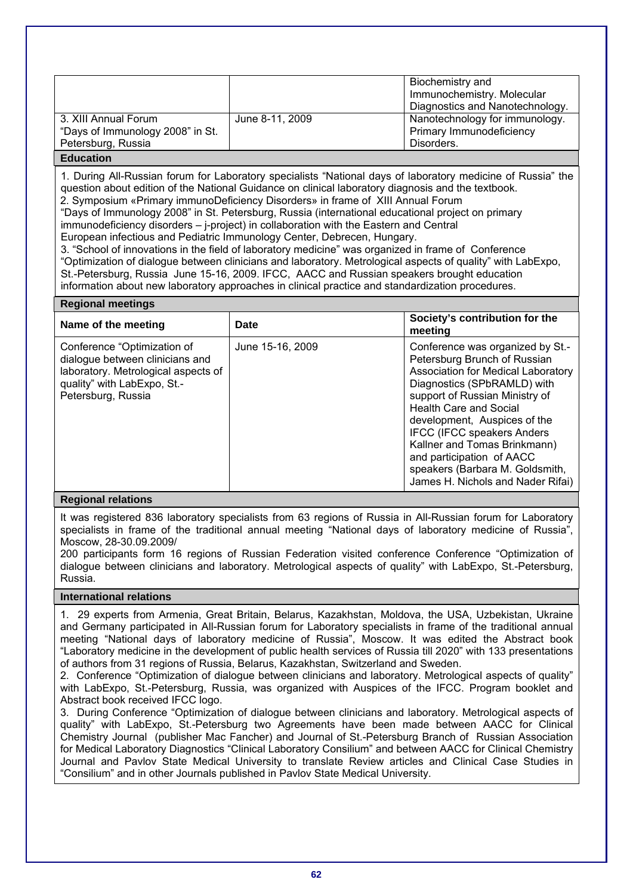|                                  |                 | Biochemistry and                |
|----------------------------------|-----------------|---------------------------------|
|                                  |                 | Immunochemistry. Molecular      |
|                                  |                 | Diagnostics and Nanotechnology. |
| 3. XIII Annual Forum             | June 8-11, 2009 | Nanotechnology for immunology.  |
| "Days of Immunology 2008" in St. |                 | Primary Immunodeficiency        |
| Petersburg, Russia               |                 | Disorders.                      |
| <b>Education</b>                 |                 |                                 |

1. During All-Russian forum for Laboratory specialists "National days of laboratory medicine of Russia" the question about edition of the National Guidance on clinical laboratory diagnosis and the textbook. 2. Symposium «Primary immunoDeficiency Disorders» in frame of XIII Annual Forum

"Days of Immunology 2008" in St. Petersburg, Russia (international educational project on primary immunodeficiency disorders – j-project) in collaboration with the Eastern and Central

European infectious and Pediatric Immunology Center, Debrecen, Hungary.

3. "School of innovations in the field of laboratory medicine" was organized in frame of Conference "Optimization of dialogue between clinicians and laboratory. Metrological aspects of quality" with LabExpo, St.-Petersburg, Russia June 15-16, 2009. IFCC, AACC and Russian speakers brought education information about new laboratory approaches in clinical practice and standardization procedures.

#### **Regional meetings**

| Name of the meeting                                                                                                                                        | Date             | Society's contribution for the<br>meeting                                                                                                                                                                                                                                                                                                                                                                          |
|------------------------------------------------------------------------------------------------------------------------------------------------------------|------------------|--------------------------------------------------------------------------------------------------------------------------------------------------------------------------------------------------------------------------------------------------------------------------------------------------------------------------------------------------------------------------------------------------------------------|
| Conference "Optimization of<br>dialogue between clinicians and<br>laboratory. Metrological aspects of<br>quality" with LabExpo, St.-<br>Petersburg, Russia | June 15-16, 2009 | Conference was organized by St.-<br>Petersburg Brunch of Russian<br>Association for Medical Laboratory<br>Diagnostics (SPbRAMLD) with<br>support of Russian Ministry of<br><b>Health Care and Social</b><br>development, Auspices of the<br><b>IFCC (IFCC speakers Anders</b><br>Kallner and Tomas Brinkmann)<br>and participation of AACC<br>speakers (Barbara M. Goldsmith,<br>James H. Nichols and Nader Rifai) |

# **Regional relations**

It was registered 836 laboratory specialists from 63 regions of Russia in All-Russian forum for Laboratory specialists in frame of the traditional annual meeting "National days of laboratory medicine of Russia", Moscow, 28-30.09.2009/

200 participants form 16 regions of Russian Federation visited conference Conference "Optimization of dialogue between clinicians and laboratory. Metrological aspects of quality" with LabExpo, St.-Petersburg, Russia.

# **International relations**

1. 29 experts from Armenia, Great Britain, Belarus, Kazakhstan, Moldova, the USA, Uzbekistan, Ukraine and Germany participated in All-Russian forum for Laboratory specialists in frame of the traditional annual meeting "National days of laboratory medicine of Russia", Moscow. It was edited the Abstract book "Laboratory medicine in the development of public health services of Russia till 2020" with 133 presentations of authors from 31 regions of Russia, Belarus, Kazakhstan, Switzerland and Sweden.

2. Conference "Optimization of dialogue between clinicians and laboratory. Metrological aspects of quality" with LabExpo, St.-Petersburg, Russia, was organized with Auspices of the IFCC. Program booklet and Abstract book received IFCC logo.

3. During Conference "Optimization of dialogue between clinicians and laboratory. Metrological aspects of quality" with LabExpo, St.-Petersburg two Agreements have been made between AACC for Clinical Chemistry Journal (publisher Mac Fancher) and Journal of St.-Petersburg Branch of Russian Association for Medical Laboratory Diagnostics "Clinical Laboratory Consilium" and between AACC for Clinical Chemistry Journal and Pavlov State Medical University to translate Review articles and Clinical Case Studies in "Consilium" and in other Journals published in Pavlov State Medical University.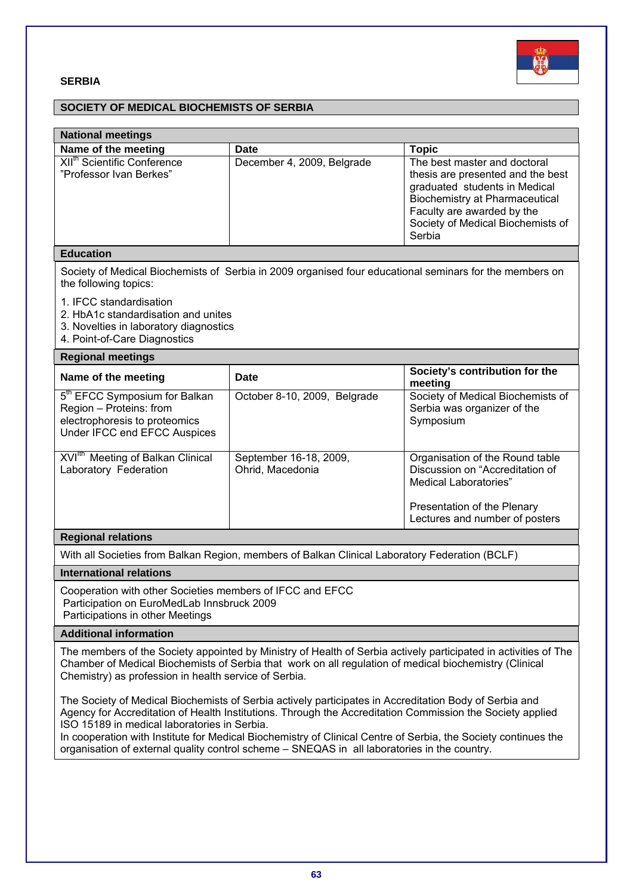

# **SERBIA**

# **SOCIETY OF MEDICAL BIOCHEMISTS OF SERBIA**

| <b>National meetings</b>                                                                                                                                                                                                                                                           |                                                                                                         |                                                                                                                                                                                                                          |  |
|------------------------------------------------------------------------------------------------------------------------------------------------------------------------------------------------------------------------------------------------------------------------------------|---------------------------------------------------------------------------------------------------------|--------------------------------------------------------------------------------------------------------------------------------------------------------------------------------------------------------------------------|--|
| Name of the meeting                                                                                                                                                                                                                                                                | <b>Date</b>                                                                                             | <b>Topic</b>                                                                                                                                                                                                             |  |
| XII <sup>th</sup> Scientific Conference<br>"Professor Ivan Berkes"                                                                                                                                                                                                                 | December 4, 2009, Belgrade                                                                              | The best master and doctoral<br>thesis are presented and the best<br>graduated students in Medical<br><b>Biochemistry at Pharmaceutical</b><br>Faculty are awarded by the<br>Society of Medical Biochemists of<br>Serbia |  |
| <b>Education</b>                                                                                                                                                                                                                                                                   |                                                                                                         |                                                                                                                                                                                                                          |  |
| the following topics:                                                                                                                                                                                                                                                              | Society of Medical Biochemists of Serbia in 2009 organised four educational seminars for the members on |                                                                                                                                                                                                                          |  |
| 1. IFCC standardisation<br>2. HbA1c standardisation and unites<br>3. Novelties in laboratory diagnostics<br>4. Point-of-Care Diagnostics                                                                                                                                           |                                                                                                         |                                                                                                                                                                                                                          |  |
| <b>Regional meetings</b>                                                                                                                                                                                                                                                           |                                                                                                         |                                                                                                                                                                                                                          |  |
| Name of the meeting                                                                                                                                                                                                                                                                | <b>Date</b>                                                                                             | Society's contribution for the<br>meeting                                                                                                                                                                                |  |
| 5 <sup>th</sup> EFCC Symposium for Balkan<br>Region - Proteins: from<br>electrophoresis to proteomics<br>Under IFCC end EFCC Auspices                                                                                                                                              | October 8-10, 2009, Belgrade                                                                            | Society of Medical Biochemists of<br>Serbia was organizer of the<br>Symposium                                                                                                                                            |  |
| XVI <sup>Ith</sup> Meeting of Balkan Clinical<br>Laboratory Federation                                                                                                                                                                                                             | September 16-18, 2009,<br>Ohrid, Macedonia                                                              | Organisation of the Round table<br>Discussion on "Accreditation of<br><b>Medical Laboratories</b> "<br>Presentation of the Plenary                                                                                       |  |
|                                                                                                                                                                                                                                                                                    |                                                                                                         | Lectures and number of posters                                                                                                                                                                                           |  |
| <b>Regional relations</b>                                                                                                                                                                                                                                                          |                                                                                                         |                                                                                                                                                                                                                          |  |
|                                                                                                                                                                                                                                                                                    | With all Societies from Balkan Region, members of Balkan Clinical Laboratory Federation (BCLF)          |                                                                                                                                                                                                                          |  |
| <b>International relations</b>                                                                                                                                                                                                                                                     |                                                                                                         |                                                                                                                                                                                                                          |  |
| Cooperation with other Societies members of IFCC and EFCC<br>Participation on EuroMedLab Innsbruck 2009<br>Participations in other Meetings                                                                                                                                        |                                                                                                         |                                                                                                                                                                                                                          |  |
| <b>Additional information</b>                                                                                                                                                                                                                                                      |                                                                                                         |                                                                                                                                                                                                                          |  |
| The members of the Society appointed by Ministry of Health of Serbia actively participated in activities of The<br>Chamber of Medical Biochemists of Serbia that work on all regulation of medical biochemistry (Clinical<br>Chemistry) as profession in health service of Serbia. |                                                                                                         |                                                                                                                                                                                                                          |  |

The Society of Medical Biochemists of Serbia actively participates in Accreditation Body of Serbia and Agency for Accreditation of Health Institutions. Through the Accreditation Commission the Society applied ISO 15189 in medical laboratories in Serbia.

In cooperation with Institute for Medical Biochemistry of Clinical Centre of Serbia, the Society continues the organisation of external quality control scheme – SNEQAS in all laboratories in the country.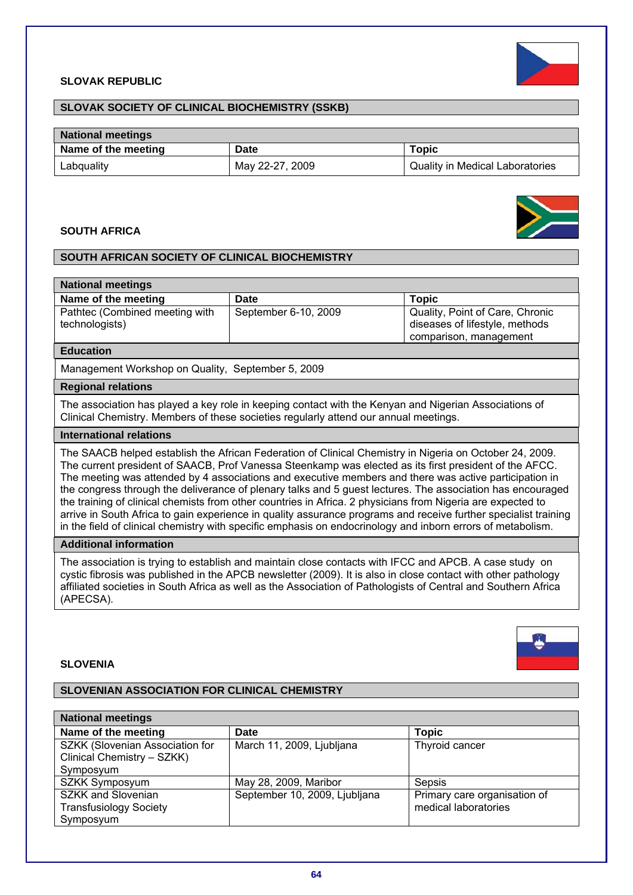### **SLOVAK REPUBLIC**



# **SLOVAK SOCIETY OF CLINICAL BIOCHEMISTRY (SSKB)**

| <b>National meetings</b> |                 |                                        |
|--------------------------|-----------------|----------------------------------------|
| Name of the meeting      | Date            | Topic                                  |
| Labquality               | May 22-27, 2009 | <b>Quality in Medical Laboratories</b> |

# **SOUTH AFRICA**



# **SOUTH AFRICAN SOCIETY OF CLINICAL BIOCHEMISTRY**

| <b>National meetings</b>                         |                      |                                                                                             |
|--------------------------------------------------|----------------------|---------------------------------------------------------------------------------------------|
| Name of the meeting                              | Date                 | Topic                                                                                       |
| Pathtec (Combined meeting with<br>technologists) | September 6-10, 2009 | Quality, Point of Care, Chronic<br>diseases of lifestyle, methods<br>comparison, management |

#### **Education**

Management Workshop on Quality, September 5, 2009

#### **Regional relations**

The association has played a key role in keeping contact with the Kenyan and Nigerian Associations of Clinical Chemistry. Members of these societies regularly attend our annual meetings.

# **International relations**

The SAACB helped establish the African Federation of Clinical Chemistry in Nigeria on October 24, 2009. The current president of SAACB, Prof Vanessa Steenkamp was elected as its first president of the AFCC. The meeting was attended by 4 associations and executive members and there was active participation in the congress through the deliverance of plenary talks and 5 guest lectures. The association has encouraged the training of clinical chemists from other countries in Africa. 2 physicians from Nigeria are expected to arrive in South Africa to gain experience in quality assurance programs and receive further specialist training in the field of clinical chemistry with specific emphasis on endocrinology and inborn errors of metabolism.

## **Additional information**

The association is trying to establish and maintain close contacts with IFCC and APCB. A case study on cystic fibrosis was published in the APCB newsletter (2009). It is also in close contact with other pathology affiliated societies in South Africa as well as the Association of Pathologists of Central and Southern Africa (APECSA).

#### **SLOVENIA**

# **SLOVENIAN ASSOCIATION FOR CLINICAL CHEMISTRY**

| <b>National meetings</b>        |                               |                              |
|---------------------------------|-------------------------------|------------------------------|
| Name of the meeting             | <b>Date</b>                   | <b>Topic</b>                 |
| SZKK (Slovenian Association for | March 11, 2009, Ljubljana     | Thyroid cancer               |
| Clinical Chemistry - SZKK)      |                               |                              |
| Symposyum                       |                               |                              |
| SZKK Symposyum                  | May 28, 2009, Maribor         | Sepsis                       |
| <b>SZKK and Slovenian</b>       | September 10, 2009, Ljubljana | Primary care organisation of |
| <b>Transfusiology Society</b>   |                               | medical laboratories         |
| Symposyum                       |                               |                              |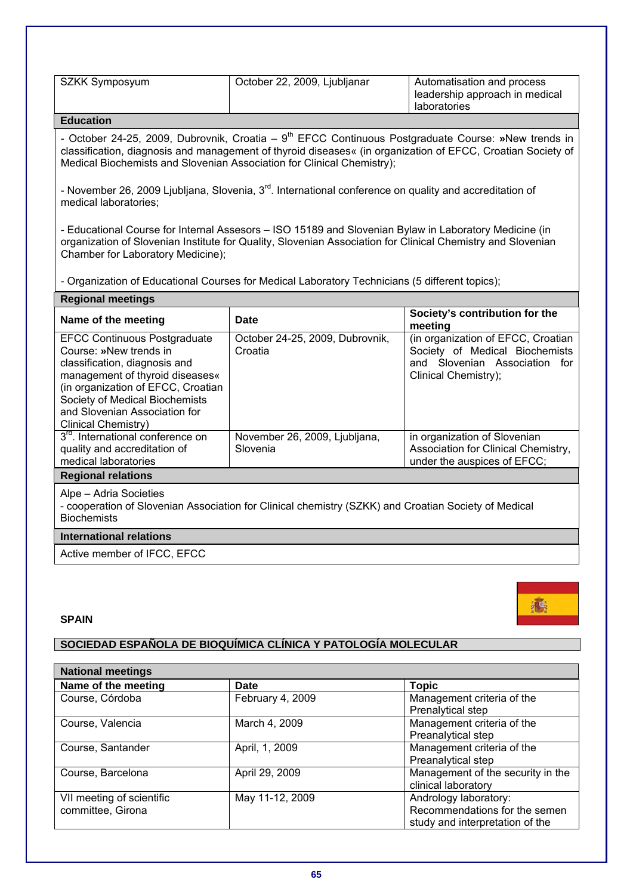| SZKK Symposyum | October 22, 2009, Ljubljanar | Automatisation and process                     |
|----------------|------------------------------|------------------------------------------------|
|                |                              | leadership approach in medical<br>laboratories |
|                |                              |                                                |

- October 24-25, 2009, Dubrovnik, Croatia – 9<sup>th</sup> EFCC Continuous Postgraduate Course: »New trends in classification, diagnosis and management of thyroid diseases« (in organization of EFCC, Croatian Society of Medical Biochemists and Slovenian Association for Clinical Chemistry);

- November 26, 2009 Ljubljana, Slovenia, 3<sup>rd</sup>. International conference on quality and accreditation of medical laboratories;

- Educational Course for Internal Assesors – ISO 15189 and Slovenian Bylaw in Laboratory Medicine (in organization of Slovenian Institute for Quality, Slovenian Association for Clinical Chemistry and Slovenian Chamber for Laboratory Medicine);

- Organization of Educational Courses for Medical Laboratory Technicians (5 different topics);

| <b>Regional meetings</b>                                                                                                                                                                                                                                          |                                            |                                                                                                                               |
|-------------------------------------------------------------------------------------------------------------------------------------------------------------------------------------------------------------------------------------------------------------------|--------------------------------------------|-------------------------------------------------------------------------------------------------------------------------------|
| Name of the meeting                                                                                                                                                                                                                                               | Date                                       | Society's contribution for the<br>meeting                                                                                     |
| <b>EFCC Continuous Postgraduate</b><br>Course: »New trends in<br>classification, diagnosis and<br>management of thyroid diseases«<br>(in organization of EFCC, Croatian<br>Society of Medical Biochemists<br>and Slovenian Association for<br>Clinical Chemistry) | October 24-25, 2009, Dubrovnik,<br>Croatia | (in organization of EFCC, Croatian<br>Society of Medical Biochemists<br>and Slovenian Association for<br>Clinical Chemistry); |
| 3 <sup>rd</sup> , International conference on<br>quality and accreditation of<br>medical laboratories                                                                                                                                                             | November 26, 2009, Ljubljana,<br>Slovenia  | in organization of Slovenian<br>Association for Clinical Chemistry,<br>under the auspices of EFCC;                            |
| <b>Regional relations</b>                                                                                                                                                                                                                                         |                                            |                                                                                                                               |
| Alpe - Adria Societies<br>- cooperation of Slovenian Association for Clinical chemistry (SZKK) and Croatian Society of Medical                                                                                                                                    |                                            |                                                                                                                               |

**Biochemists** 

# **International relations**

Active member of IFCC, EFCC

#### **SPAIN**

# **SOCIEDAD ESPAÑOLA DE BIOQUÍMICA CLÍNICA Y PATOLOGÍA MOLECULAR**

| <b>National meetings</b>  |                  |                                   |
|---------------------------|------------------|-----------------------------------|
| Name of the meeting       | <b>Date</b>      | <b>Topic</b>                      |
| Course, Córdoba           | February 4, 2009 | Management criteria of the        |
|                           |                  | Prenalytical step                 |
| Course, Valencia          | March 4, 2009    | Management criteria of the        |
|                           |                  | Preanalytical step                |
| Course, Santander         | April, 1, 2009   | Management criteria of the        |
|                           |                  | Preanalytical step                |
| Course, Barcelona         | April 29, 2009   | Management of the security in the |
|                           |                  | clinical laboratory               |
| VII meeting of scientific | May 11-12, 2009  | Andrology laboratory:             |
| committee, Girona         |                  | Recommendations for the semen     |
|                           |                  | study and interpretation of the   |

贏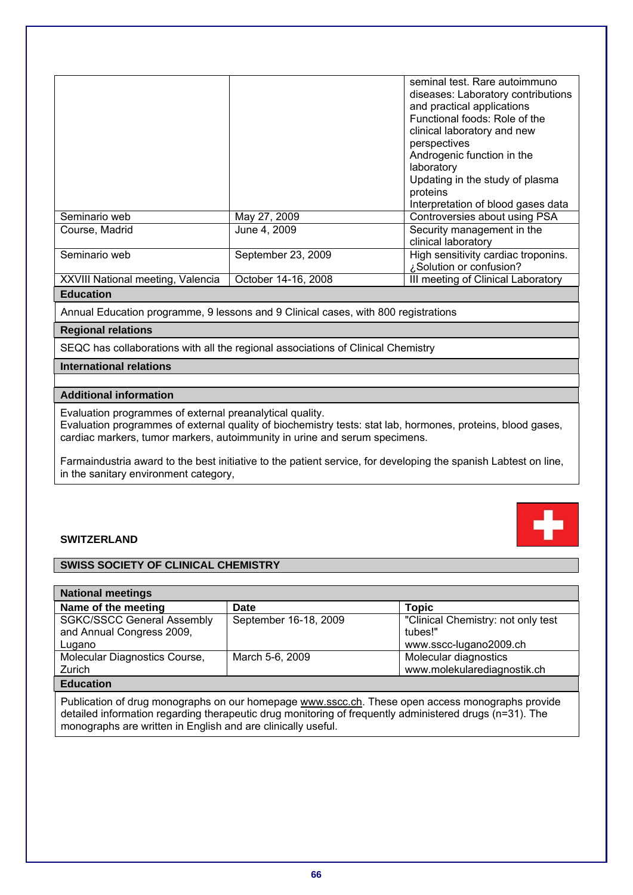|                                   |                     | seminal test. Rare autoimmuno<br>diseases: Laboratory contributions<br>and practical applications<br>Functional foods: Role of the<br>clinical laboratory and new<br>perspectives<br>Androgenic function in the<br>laboratory<br>Updating in the study of plasma<br>proteins<br>Interpretation of blood gases data |
|-----------------------------------|---------------------|--------------------------------------------------------------------------------------------------------------------------------------------------------------------------------------------------------------------------------------------------------------------------------------------------------------------|
| Seminario web                     | May 27, 2009        | Controversies about using PSA                                                                                                                                                                                                                                                                                      |
| Course, Madrid                    | June 4, 2009        | Security management in the<br>clinical laboratory                                                                                                                                                                                                                                                                  |
| Seminario web                     | September 23, 2009  | High sensitivity cardiac troponins.<br>¿Solution or confusion?                                                                                                                                                                                                                                                     |
| XXVIII National meeting, Valencia | October 14-16, 2008 | III meeting of Clinical Laboratory                                                                                                                                                                                                                                                                                 |
|                                   |                     |                                                                                                                                                                                                                                                                                                                    |

Annual Education programme, 9 lessons and 9 Clinical cases, with 800 registrations

# **Regional relations**

SEQC has collaborations with all the regional associations of Clinical Chemistry

# **International relations**

# **Additional information**

Evaluation programmes of external preanalytical quality.

Evaluation programmes of external quality of biochemistry tests: stat lab, hormones, proteins, blood gases, cardiac markers, tumor markers, autoimmunity in urine and serum specimens.

Farmaindustria award to the best initiative to the patient service, for developing the spanish Labtest on line, in the sanitary environment category,

# **SWITZERLAND**

# **SWISS SOCIETY OF CLINICAL CHEMISTRY**

| <b>National meetings</b>                                                                                                                                                                                                                                                    |                       |                                                                         |  |
|-----------------------------------------------------------------------------------------------------------------------------------------------------------------------------------------------------------------------------------------------------------------------------|-----------------------|-------------------------------------------------------------------------|--|
| Name of the meeting                                                                                                                                                                                                                                                         | Date                  | <b>Topic</b>                                                            |  |
| <b>SGKC/SSCC General Assembly</b><br>and Annual Congress 2009,<br>Lugano                                                                                                                                                                                                    | September 16-18, 2009 | "Clinical Chemistry: not only test<br>tubes!"<br>www.sscc-lugano2009.ch |  |
| Molecular Diagnostics Course,<br>Zurich                                                                                                                                                                                                                                     | March 5-6, 2009       | Molecular diagnostics<br>www.molekularediagnostik.ch                    |  |
| <b>Education</b>                                                                                                                                                                                                                                                            |                       |                                                                         |  |
| Publication of drug monographs on our homepage www.sscc.ch. These open access monographs provide<br>detailed information regarding therapeutic drug monitoring of frequently administered drugs (n=31). The<br>monographs are written in English and are clinically useful. |                       |                                                                         |  |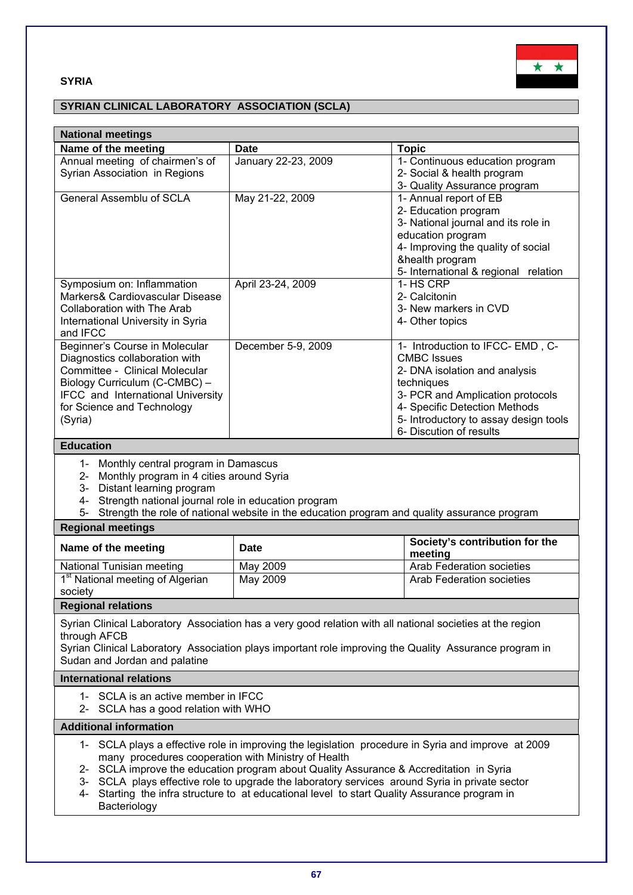# **SYRIA**



# **SYRIAN CLINICAL LABORATORY ASSOCIATION (SCLA)**

| <b>National meetings</b>                                                                                                                                                                                                                                                                                                                                                                                                                                                  |                     |                                                                                                                                                                                                                                               |  |
|---------------------------------------------------------------------------------------------------------------------------------------------------------------------------------------------------------------------------------------------------------------------------------------------------------------------------------------------------------------------------------------------------------------------------------------------------------------------------|---------------------|-----------------------------------------------------------------------------------------------------------------------------------------------------------------------------------------------------------------------------------------------|--|
| Name of the meeting                                                                                                                                                                                                                                                                                                                                                                                                                                                       | <b>Date</b>         | <b>Topic</b>                                                                                                                                                                                                                                  |  |
| Annual meeting of chairmen's of<br>Syrian Association in Regions                                                                                                                                                                                                                                                                                                                                                                                                          | January 22-23, 2009 | 1- Continuous education program<br>2- Social & health program<br>3- Quality Assurance program                                                                                                                                                 |  |
| <b>General Assemblu of SCLA</b>                                                                                                                                                                                                                                                                                                                                                                                                                                           | May 21-22, 2009     | 1- Annual report of EB<br>2- Education program<br>3- National journal and its role in<br>education program<br>4- Improving the quality of social<br>&health program<br>5- International & regional relation                                   |  |
| Symposium on: Inflammation<br>Markers& Cardiovascular Disease<br>Collaboration with The Arab<br>International University in Syria<br>and IFCC                                                                                                                                                                                                                                                                                                                             | April 23-24, 2009   | 1- HS CRP<br>2- Calcitonin<br>3- New markers in CVD<br>4- Other topics                                                                                                                                                                        |  |
| Beginner's Course in Molecular<br>Diagnostics collaboration with<br>Committee - Clinical Molecular<br>Biology Curriculum (C-CMBC) -<br>IFCC and International University<br>for Science and Technology<br>(Syria)                                                                                                                                                                                                                                                         | December 5-9, 2009  | 1- Introduction to IFCC-EMD, C-<br><b>CMBC Issues</b><br>2- DNA isolation and analysis<br>techniques<br>3- PCR and Amplication protocols<br>4- Specific Detection Methods<br>5- Introductory to assay design tools<br>6- Discution of results |  |
| <b>Education</b>                                                                                                                                                                                                                                                                                                                                                                                                                                                          |                     |                                                                                                                                                                                                                                               |  |
| 1- Monthly central program in Damascus<br>2- Monthly program in 4 cities around Syria<br>3- Distant learning program<br>Strength national journal role in education program<br>4-<br>5- Strength the role of national website in the education program and quality assurance program<br><b>Regional meetings</b>                                                                                                                                                          |                     |                                                                                                                                                                                                                                               |  |
| Name of the meeting                                                                                                                                                                                                                                                                                                                                                                                                                                                       | <b>Date</b>         | Society's contribution for the<br>meeting                                                                                                                                                                                                     |  |
| National Tunisian meeting                                                                                                                                                                                                                                                                                                                                                                                                                                                 | May 2009            | Arab Federation societies                                                                                                                                                                                                                     |  |
| 1 <sup>st</sup> National meeting of Algerian<br>society                                                                                                                                                                                                                                                                                                                                                                                                                   | May 2009            | <b>Arab Federation societies</b>                                                                                                                                                                                                              |  |
| <b>Regional relations</b>                                                                                                                                                                                                                                                                                                                                                                                                                                                 |                     |                                                                                                                                                                                                                                               |  |
| Syrian Clinical Laboratory Association has a very good relation with all national societies at the region<br>through AFCB<br>Syrian Clinical Laboratory Association plays important role improving the Quality Assurance program in<br>Sudan and Jordan and palatine                                                                                                                                                                                                      |                     |                                                                                                                                                                                                                                               |  |
| <b>International relations</b>                                                                                                                                                                                                                                                                                                                                                                                                                                            |                     |                                                                                                                                                                                                                                               |  |
| 1- SCLA is an active member in IFCC<br>2- SCLA has a good relation with WHO                                                                                                                                                                                                                                                                                                                                                                                               |                     |                                                                                                                                                                                                                                               |  |
| <b>Additional information</b>                                                                                                                                                                                                                                                                                                                                                                                                                                             |                     |                                                                                                                                                                                                                                               |  |
| 1- SCLA plays a effective role in improving the legislation procedure in Syria and improve at 2009<br>many procedures cooperation with Ministry of Health<br>2- SCLA improve the education program about Quality Assurance & Accreditation in Syria<br>3- SCLA plays effective role to upgrade the laboratory services around Syria in private sector<br>Starting the infra structure to at educational level to start Quality Assurance program in<br>4-<br>Bacteriology |                     |                                                                                                                                                                                                                                               |  |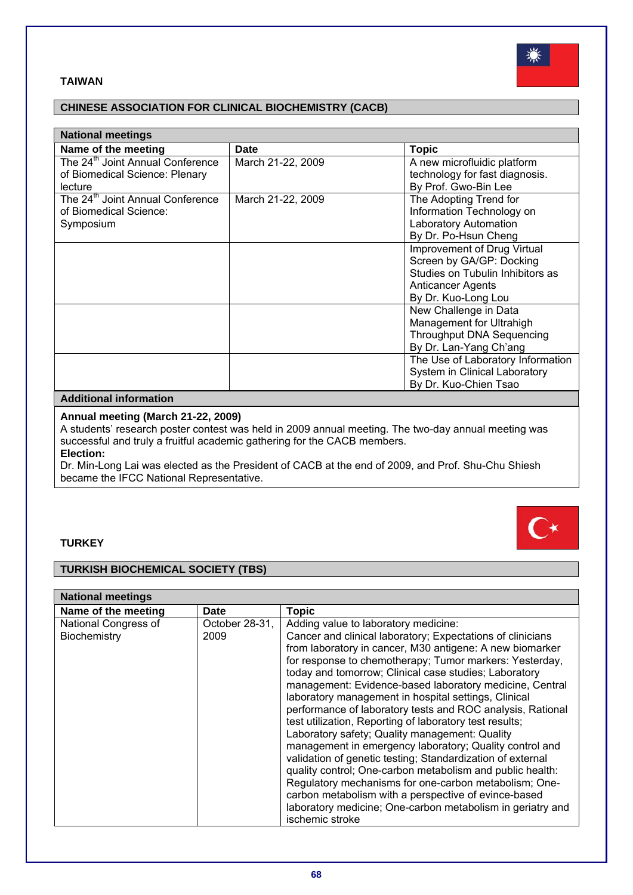



| <b>National meetings</b>                     |                   |                                   |
|----------------------------------------------|-------------------|-----------------------------------|
| Name of the meeting                          | <b>Date</b>       | <b>Topic</b>                      |
| The 24 <sup>th</sup> Joint Annual Conference | March 21-22, 2009 | A new microfluidic platform       |
| of Biomedical Science: Plenary               |                   | technology for fast diagnosis.    |
| lecture                                      |                   | By Prof. Gwo-Bin Lee              |
| The 24 <sup>th</sup> Joint Annual Conference | March 21-22, 2009 | The Adopting Trend for            |
| of Biomedical Science:                       |                   | Information Technology on         |
| Symposium                                    |                   | <b>Laboratory Automation</b>      |
|                                              |                   | By Dr. Po-Hsun Cheng              |
|                                              |                   | Improvement of Drug Virtual       |
|                                              |                   | Screen by GA/GP: Docking          |
|                                              |                   | Studies on Tubulin Inhibitors as  |
|                                              |                   | Anticancer Agents                 |
|                                              |                   | By Dr. Kuo-Long Lou               |
|                                              |                   | New Challenge in Data             |
|                                              |                   | Management for Ultrahigh          |
|                                              |                   | <b>Throughput DNA Sequencing</b>  |
|                                              |                   | By Dr. Lan-Yang Ch'ang            |
|                                              |                   | The Use of Laboratory Information |
|                                              |                   | System in Clinical Laboratory     |
|                                              |                   | By Dr. Kuo-Chien Tsao             |

# **Additional information**

# **Annual meeting (March 21-22, 2009)**

A students' research poster contest was held in 2009 annual meeting. The two-day annual meeting was successful and truly a fruitful academic gathering for the CACB members.

**Election:** 

Dr. Min-Long Lai was elected as the President of CACB at the end of 2009, and Prof. Shu-Chu Shiesh became the IFCC National Representative.

# **TURKEY**

# **TURKISH BIOCHEMICAL SOCIETY (TBS)**

| <b>National meetings</b>             |                        |                                                                                                                                                                                                                                                                                                                                                                                                                                                                                                                                                                                                                                                                                                                                                                                                                                                                                                                                                                          |  |
|--------------------------------------|------------------------|--------------------------------------------------------------------------------------------------------------------------------------------------------------------------------------------------------------------------------------------------------------------------------------------------------------------------------------------------------------------------------------------------------------------------------------------------------------------------------------------------------------------------------------------------------------------------------------------------------------------------------------------------------------------------------------------------------------------------------------------------------------------------------------------------------------------------------------------------------------------------------------------------------------------------------------------------------------------------|--|
| Name of the meeting                  | Date                   | <b>Topic</b>                                                                                                                                                                                                                                                                                                                                                                                                                                                                                                                                                                                                                                                                                                                                                                                                                                                                                                                                                             |  |
| National Congress of<br>Biochemistry | October 28-31,<br>2009 | Adding value to laboratory medicine:<br>Cancer and clinical laboratory; Expectations of clinicians<br>from laboratory in cancer, M30 antigene: A new biomarker<br>for response to chemotherapy; Tumor markers: Yesterday,<br>today and tomorrow; Clinical case studies; Laboratory<br>management: Evidence-based laboratory medicine, Central<br>laboratory management in hospital settings, Clinical<br>performance of laboratory tests and ROC analysis, Rational<br>test utilization, Reporting of laboratory test results;<br>Laboratory safety; Quality management: Quality<br>management in emergency laboratory; Quality control and<br>validation of genetic testing; Standardization of external<br>quality control; One-carbon metabolism and public health:<br>Regulatory mechanisms for one-carbon metabolism; One-<br>carbon metabolism with a perspective of evince-based<br>laboratory medicine; One-carbon metabolism in geriatry and<br>ischemic stroke |  |



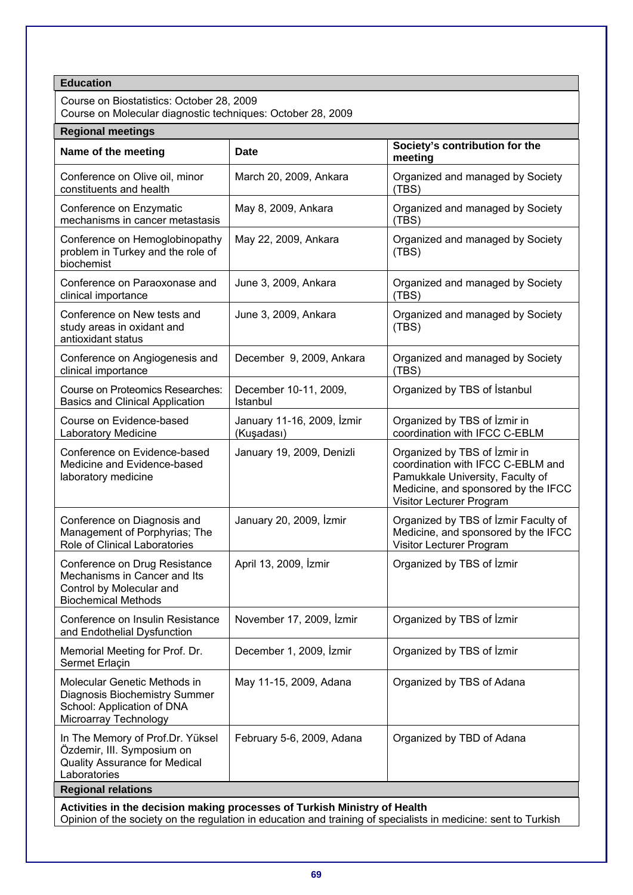| <b>Education</b>                                                                                                                                                                            |                                          |                                                                                                                                                                          |  |
|---------------------------------------------------------------------------------------------------------------------------------------------------------------------------------------------|------------------------------------------|--------------------------------------------------------------------------------------------------------------------------------------------------------------------------|--|
| Course on Biostatistics: October 28, 2009                                                                                                                                                   |                                          |                                                                                                                                                                          |  |
| Course on Molecular diagnostic techniques: October 28, 2009                                                                                                                                 |                                          |                                                                                                                                                                          |  |
| <b>Regional meetings</b>                                                                                                                                                                    |                                          |                                                                                                                                                                          |  |
| Name of the meeting                                                                                                                                                                         | Date                                     | Society's contribution for the<br>meeting                                                                                                                                |  |
| Conference on Olive oil, minor<br>constituents and health                                                                                                                                   | March 20, 2009, Ankara                   | Organized and managed by Society<br>(TBS)                                                                                                                                |  |
| Conference on Enzymatic<br>mechanisms in cancer metastasis                                                                                                                                  | May 8, 2009, Ankara                      | Organized and managed by Society<br>(TBS)                                                                                                                                |  |
| Conference on Hemoglobinopathy<br>problem in Turkey and the role of<br>biochemist                                                                                                           | May 22, 2009, Ankara                     | Organized and managed by Society<br>(TBS)                                                                                                                                |  |
| Conference on Paraoxonase and<br>clinical importance                                                                                                                                        | June 3, 2009, Ankara                     | Organized and managed by Society<br>(TBS)                                                                                                                                |  |
| Conference on New tests and<br>study areas in oxidant and<br>antioxidant status                                                                                                             | June 3, 2009, Ankara                     | Organized and managed by Society<br>(TBS)                                                                                                                                |  |
| Conference on Angiogenesis and<br>clinical importance                                                                                                                                       | December 9, 2009, Ankara                 | Organized and managed by Society<br>(TBS)                                                                                                                                |  |
| <b>Course on Proteomics Researches:</b><br><b>Basics and Clinical Application</b>                                                                                                           | December 10-11, 2009,<br>Istanbul        | Organized by TBS of Istanbul                                                                                                                                             |  |
| Course on Evidence-based<br>Laboratory Medicine                                                                                                                                             | January 11-16, 2009, Izmir<br>(Kuşadası) | Organized by TBS of Izmir in<br>coordination with IFCC C-EBLM                                                                                                            |  |
| Conference on Evidence-based<br>Medicine and Evidence-based<br>laboratory medicine                                                                                                          | January 19, 2009, Denizli                | Organized by TBS of Izmir in<br>coordination with IFCC C-EBLM and<br>Pamukkale University, Faculty of<br>Medicine, and sponsored by the IFCC<br>Visitor Lecturer Program |  |
| Conference on Diagnosis and<br>Management of Porphyrias; The<br>Role of Clinical Laboratories                                                                                               | January 20, 2009, İzmir                  | Organized by TBS of Izmir Faculty of<br>Medicine, and sponsored by the IFCC<br>Visitor Lecturer Program                                                                  |  |
| Conference on Drug Resistance<br>Mechanisms in Cancer and Its<br>Control by Molecular and<br><b>Biochemical Methods</b>                                                                     | April 13, 2009, İzmir                    | Organized by TBS of İzmir                                                                                                                                                |  |
| Conference on Insulin Resistance<br>and Endothelial Dysfunction                                                                                                                             | November 17, 2009, İzmir                 | Organized by TBS of Izmir                                                                                                                                                |  |
| Memorial Meeting for Prof. Dr.<br>Sermet Erlaçin                                                                                                                                            | December 1, 2009, İzmir                  | Organized by TBS of İzmir                                                                                                                                                |  |
| Molecular Genetic Methods in<br>Diagnosis Biochemistry Summer<br>School: Application of DNA<br>Microarray Technology                                                                        | May 11-15, 2009, Adana                   | Organized by TBS of Adana                                                                                                                                                |  |
| In The Memory of Prof.Dr. Yüksel<br>Özdemir, III. Symposium on<br><b>Quality Assurance for Medical</b><br>Laboratories                                                                      | February 5-6, 2009, Adana                | Organized by TBD of Adana                                                                                                                                                |  |
| <b>Regional relations</b>                                                                                                                                                                   |                                          |                                                                                                                                                                          |  |
| Activities in the decision making processes of Turkish Ministry of Health<br>Opinion of the society on the regulation in education and training of specialists in medicine: sent to Turkish |                                          |                                                                                                                                                                          |  |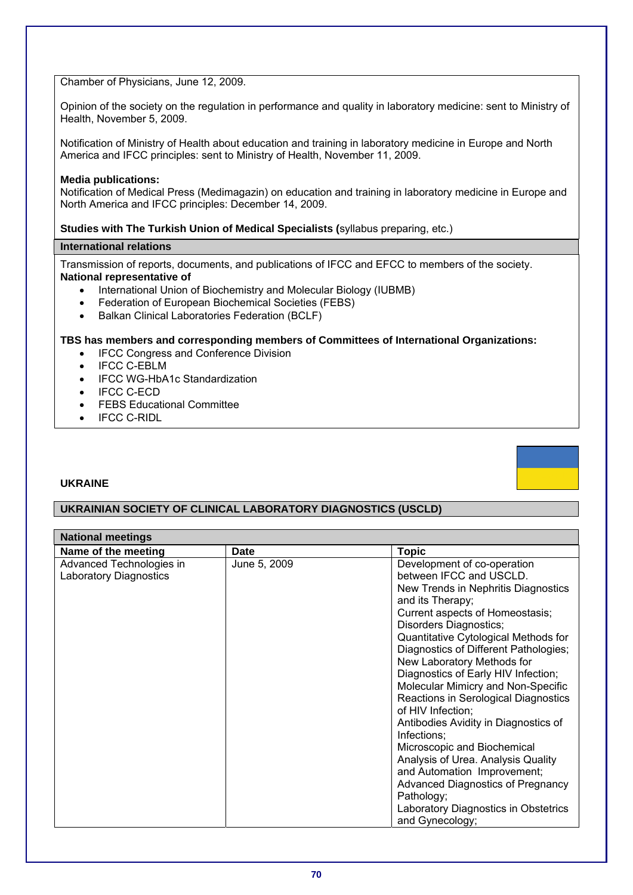# Chamber of Physicians, June 12, 2009.

Opinion of the society on the regulation in performance and quality in laboratory medicine: sent to Ministry of Health, November 5, 2009.

Notification of Ministry of Health about education and training in laboratory medicine in Europe and North America and IFCC principles: sent to Ministry of Health, November 11, 2009.

#### **Media publications:**

Notification of Medical Press (Medimagazin) on education and training in laboratory medicine in Europe and North America and IFCC principles: December 14, 2009.

# **Studies with The Turkish Union of Medical Specialists (**syllabus preparing, etc.)

# **International relations**

Transmission of reports, documents, and publications of IFCC and EFCC to members of the society. **National representative of** 

- International Union of Biochemistry and Molecular Biology (IUBMB)
- Federation of European Biochemical Societies (FEBS)
- Balkan Clinical Laboratories Federation (BCLF)

### **TBS has members and corresponding members of Committees of International Organizations:**

- IFCC Congress and Conference Division
- IFCC C-EBLM
- IFCC WG-HbA1c Standardization
- IFCC C-ECD
- FEBS Educational Committee
- IFCC C-RIDL

# **UKRAINE**

# **UKRAINIAN SOCIETY OF CLINICAL LABORATORY DIAGNOSTICS (USCLD)**

| <b>National meetings</b>      |              |                                                                           |  |
|-------------------------------|--------------|---------------------------------------------------------------------------|--|
| Name of the meeting           | Date         | <b>Topic</b>                                                              |  |
| Advanced Technologies in      | June 5, 2009 | Development of co-operation                                               |  |
| <b>Laboratory Diagnostics</b> |              | between IFCC and USCLD.                                                   |  |
|                               |              | New Trends in Nephritis Diagnostics                                       |  |
|                               |              | and its Therapy;                                                          |  |
|                               |              | Current aspects of Homeostasis;                                           |  |
|                               |              | Disorders Diagnostics;                                                    |  |
|                               |              | Quantitative Cytological Methods for                                      |  |
|                               |              | Diagnostics of Different Pathologies;                                     |  |
|                               |              | New Laboratory Methods for                                                |  |
|                               |              | Diagnostics of Early HIV Infection;<br>Molecular Mimicry and Non-Specific |  |
|                               |              | Reactions in Serological Diagnostics                                      |  |
|                               |              | of HIV Infection;                                                         |  |
|                               |              | Antibodies Avidity in Diagnostics of                                      |  |
|                               |              | Infections:                                                               |  |
|                               |              | Microscopic and Biochemical                                               |  |
|                               |              | Analysis of Urea. Analysis Quality                                        |  |
|                               |              | and Automation Improvement;                                               |  |
|                               |              | <b>Advanced Diagnostics of Pregnancy</b>                                  |  |
|                               |              | Pathology;                                                                |  |
|                               |              | Laboratory Diagnostics in Obstetrics                                      |  |
|                               |              | and Gynecology;                                                           |  |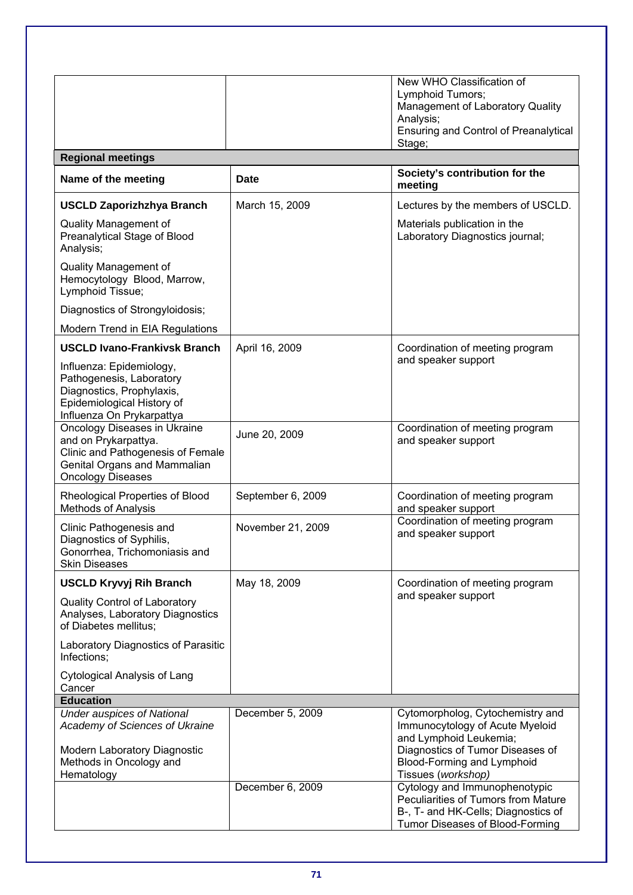|                                                                                                                                                       |                   | New WHO Classification of                                                                                                                      |
|-------------------------------------------------------------------------------------------------------------------------------------------------------|-------------------|------------------------------------------------------------------------------------------------------------------------------------------------|
|                                                                                                                                                       |                   | Lymphoid Tumors;                                                                                                                               |
|                                                                                                                                                       |                   | Management of Laboratory Quality                                                                                                               |
|                                                                                                                                                       |                   | Analysis;                                                                                                                                      |
|                                                                                                                                                       |                   | <b>Ensuring and Control of Preanalytical</b><br>Stage;                                                                                         |
| <b>Regional meetings</b>                                                                                                                              |                   |                                                                                                                                                |
| Name of the meeting                                                                                                                                   | <b>Date</b>       | Society's contribution for the<br>meeting                                                                                                      |
| <b>USCLD Zaporizhzhya Branch</b>                                                                                                                      | March 15, 2009    | Lectures by the members of USCLD.                                                                                                              |
| Quality Management of<br>Preanalytical Stage of Blood<br>Analysis;                                                                                    |                   | Materials publication in the<br>Laboratory Diagnostics journal;                                                                                |
| Quality Management of<br>Hemocytology Blood, Marrow,<br>Lymphoid Tissue;                                                                              |                   |                                                                                                                                                |
| Diagnostics of Strongyloidosis;                                                                                                                       |                   |                                                                                                                                                |
| Modern Trend in EIA Regulations                                                                                                                       |                   |                                                                                                                                                |
| <b>USCLD Ivano-Frankivsk Branch</b>                                                                                                                   | April 16, 2009    | Coordination of meeting program<br>and speaker support                                                                                         |
| Influenza: Epidemiology,<br>Pathogenesis, Laboratory<br>Diagnostics, Prophylaxis,<br>Epidemiological History of<br>Influenza On Prykarpattya          |                   |                                                                                                                                                |
| Oncology Diseases in Ukraine<br>and on Prykarpattya.<br>Clinic and Pathogenesis of Female<br>Genital Organs and Mammalian<br><b>Oncology Diseases</b> | June 20, 2009     | Coordination of meeting program<br>and speaker support                                                                                         |
| Rheological Properties of Blood<br><b>Methods of Analysis</b>                                                                                         | September 6, 2009 | Coordination of meeting program<br>and speaker support                                                                                         |
| Clinic Pathogenesis and<br>Diagnostics of Syphilis,<br>Gonorrhea, Trichomoniasis and<br><b>Skin Diseases</b>                                          | November 21, 2009 | Coordination of meeting program<br>and speaker support                                                                                         |
| <b>USCLD Kryvyj Rih Branch</b>                                                                                                                        | May 18, 2009      | Coordination of meeting program                                                                                                                |
| <b>Quality Control of Laboratory</b><br>Analyses, Laboratory Diagnostics<br>of Diabetes mellitus;                                                     |                   | and speaker support                                                                                                                            |
| Laboratory Diagnostics of Parasitic<br>Infections:                                                                                                    |                   |                                                                                                                                                |
| <b>Cytological Analysis of Lang</b><br>Cancer                                                                                                         |                   |                                                                                                                                                |
| <b>Education</b>                                                                                                                                      |                   |                                                                                                                                                |
| <b>Under auspices of National</b><br>Academy of Sciences of Ukraine                                                                                   | December 5, 2009  | Cytomorpholog, Cytochemistry and<br>Immunocytology of Acute Myeloid<br>and Lymphoid Leukemia;                                                  |
| Modern Laboratory Diagnostic<br>Methods in Oncology and<br>Hematology                                                                                 |                   | Diagnostics of Tumor Diseases of<br>Blood-Forming and Lymphoid<br>Tissues (workshop)                                                           |
|                                                                                                                                                       | December 6, 2009  | Cytology and Immunophenotypic<br>Peculiarities of Tumors from Mature<br>B-, T- and HK-Cells; Diagnostics of<br>Tumor Diseases of Blood-Forming |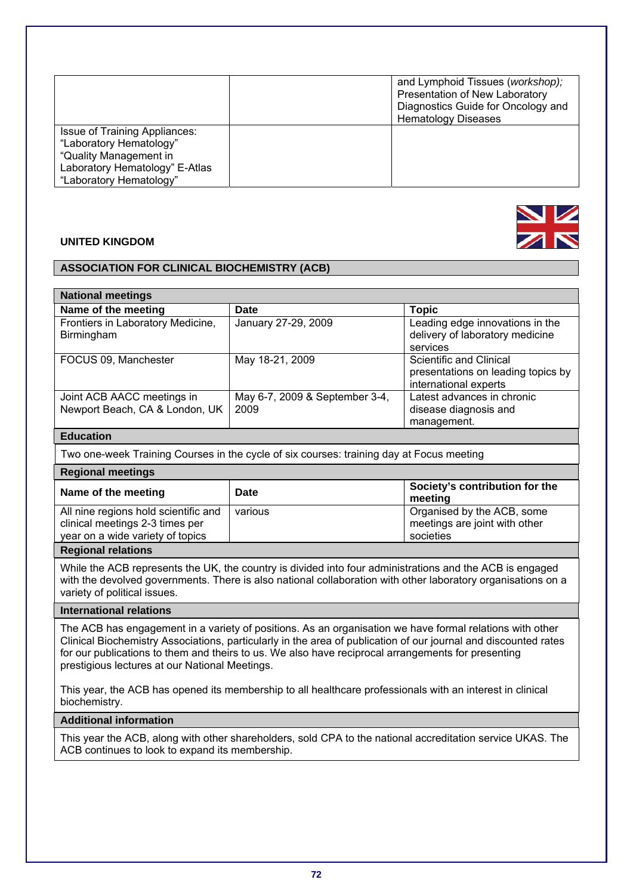|                                                                                                                                                        | and Lymphoid Tissues (workshop);<br>Presentation of New Laboratory<br>Diagnostics Guide for Oncology and<br><b>Hematology Diseases</b> |
|--------------------------------------------------------------------------------------------------------------------------------------------------------|----------------------------------------------------------------------------------------------------------------------------------------|
| <b>Issue of Training Appliances:</b><br>"Laboratory Hematology"<br>"Quality Management in<br>Laboratory Hematology" E-Atlas<br>"Laboratory Hematology" |                                                                                                                                        |

### **UNITED KINGDOM**

# **ASSOCIATION FOR CLINICAL BIOCHEMISTRY (ACB)**

| <b>National meetings</b>                                     |                                        |                                                                                        |
|--------------------------------------------------------------|----------------------------------------|----------------------------------------------------------------------------------------|
| Name of the meeting                                          | Date                                   | <b>Topic</b>                                                                           |
| Frontiers in Laboratory Medicine,<br>Birmingham              | January 27-29, 2009                    | Leading edge innovations in the<br>delivery of laboratory medicine<br>services         |
| FOCUS 09, Manchester                                         | May 18-21, 2009                        | Scientific and Clinical<br>presentations on leading topics by<br>international experts |
| Joint ACB AACC meetings in<br>Newport Beach, CA & London, UK | May 6-7, 2009 & September 3-4,<br>2009 | Latest advances in chronic<br>disease diagnosis and<br>management.                     |

# **Education**

Two one-week Training Courses in the cycle of six courses: training day at Focus meeting

# **Regional meetings**

| Name of the meeting                                                                                         | Date    | Society's contribution for the<br>meeting                                |
|-------------------------------------------------------------------------------------------------------------|---------|--------------------------------------------------------------------------|
| All nine regions hold scientific and<br>clinical meetings 2-3 times per<br>year on a wide variety of topics | various | Organised by the ACB, some<br>meetings are joint with other<br>societies |
|                                                                                                             |         |                                                                          |

#### **Regional relations**

While the ACB represents the UK, the country is divided into four administrations and the ACB is engaged with the devolved governments. There is also national collaboration with other laboratory organisations on a variety of political issues.

# **International relations**

The ACB has engagement in a variety of positions. As an organisation we have formal relations with other Clinical Biochemistry Associations, particularly in the area of publication of our journal and discounted rates for our publications to them and theirs to us. We also have reciprocal arrangements for presenting prestigious lectures at our National Meetings.

This year, the ACB has opened its membership to all healthcare professionals with an interest in clinical biochemistry.

#### **Additional information**

This year the ACB, along with other shareholders, sold CPA to the national accreditation service UKAS. The ACB continues to look to expand its membership.

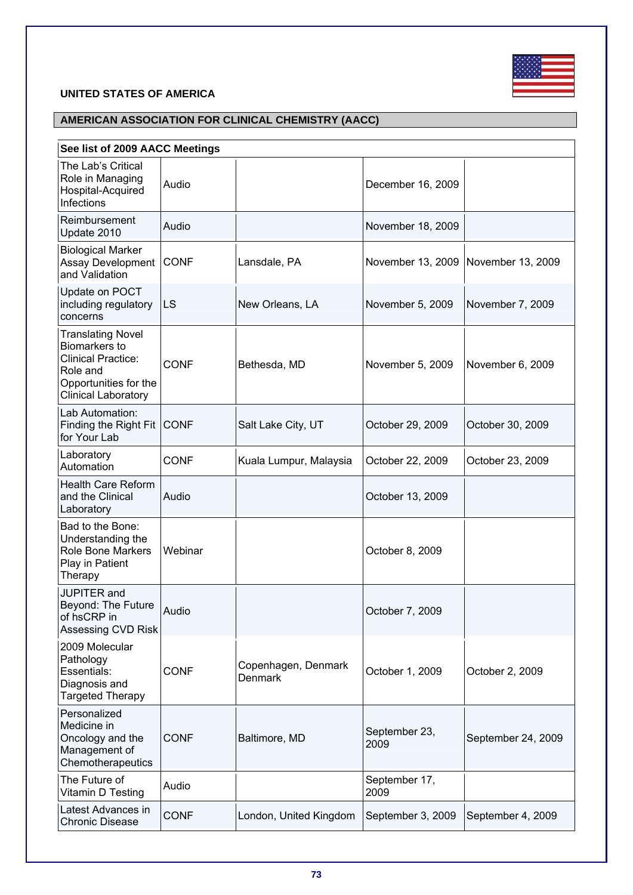

# **UNITED STATES OF AMERICA**

# **AMERICAN ASSOCIATION FOR CLINICAL CHEMISTRY (AACC)**

|  |  | See list of 2009 AACC Meetings |
|--|--|--------------------------------|
|  |  |                                |

| The Lab's Critical<br>Role in Managing<br>Hospital-Acquired<br>Infections                                                                        | Audio       |                                       | December 16, 2009     |                    |
|--------------------------------------------------------------------------------------------------------------------------------------------------|-------------|---------------------------------------|-----------------------|--------------------|
| Reimbursement<br>Update 2010                                                                                                                     | Audio       |                                       | November 18, 2009     |                    |
| <b>Biological Marker</b><br>Assay Development<br>and Validation                                                                                  | <b>CONF</b> | Lansdale, PA                          | November 13, 2009     | November 13, 2009  |
| Update on POCT<br>including regulatory<br>concerns                                                                                               | <b>LS</b>   | New Orleans, LA                       | November 5, 2009      | November 7, 2009   |
| <b>Translating Novel</b><br><b>Biomarkers to</b><br><b>Clinical Practice:</b><br>Role and<br>Opportunities for the<br><b>Clinical Laboratory</b> | <b>CONF</b> | Bethesda, MD                          | November 5, 2009      | November 6, 2009   |
| Lab Automation:<br>Finding the Right Fit CONF<br>for Your Lab                                                                                    |             | Salt Lake City, UT                    | October 29, 2009      | October 30, 2009   |
| Laboratory<br>Automation                                                                                                                         | <b>CONF</b> | Kuala Lumpur, Malaysia                | October 22, 2009      | October 23, 2009   |
| <b>Health Care Reform</b><br>and the Clinical<br>Laboratory                                                                                      | Audio       |                                       | October 13, 2009      |                    |
| Bad to the Bone:<br>Understanding the<br>Role Bone Markers<br>Play in Patient<br>Therapy                                                         | Webinar     |                                       | October 8, 2009       |                    |
| JUPITER and<br>Beyond: The Future<br>of hsCRP in<br>Assessing CVD Risk                                                                           | Audio       |                                       | October 7, 2009       |                    |
| 2009 Molecular<br>Pathology<br>Essentials:<br>Diagnosis and<br><b>Targeted Therapy</b>                                                           | <b>CONF</b> | Copenhagen, Denmark<br><b>Denmark</b> | October 1, 2009       | October 2, 2009    |
| Personalized<br>Medicine in<br>Oncology and the<br>Management of<br>Chemotherapeutics                                                            | <b>CONF</b> | Baltimore, MD                         | September 23,<br>2009 | September 24, 2009 |
| The Future of<br>Vitamin D Testing                                                                                                               | Audio       |                                       | September 17,<br>2009 |                    |
| Latest Advances in<br><b>Chronic Disease</b>                                                                                                     | <b>CONF</b> | London, United Kingdom                | September 3, 2009     | September 4, 2009  |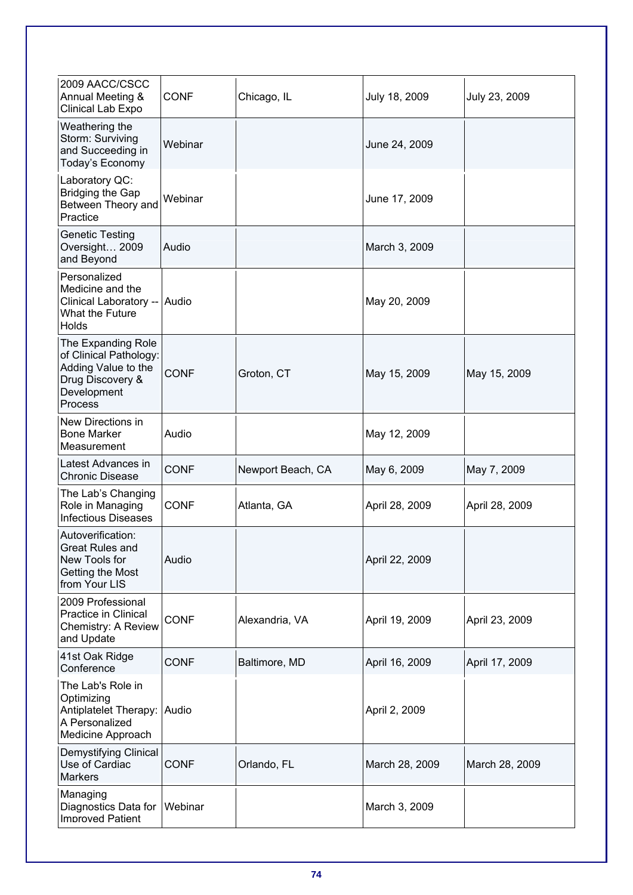| 2009 AACC/CSCC<br>Annual Meeting &                                                                                | <b>CONF</b> | Chicago, IL       | July 18, 2009  | July 23, 2009  |
|-------------------------------------------------------------------------------------------------------------------|-------------|-------------------|----------------|----------------|
| Clinical Lab Expo                                                                                                 |             |                   |                |                |
| Weathering the<br>Storm: Surviving<br>and Succeeding in<br>Today's Economy                                        | Webinar     |                   | June 24, 2009  |                |
| Laboratory QC:<br>Bridging the Gap<br>Between Theory and<br>Practice                                              | Webinar     |                   | June 17, 2009  |                |
| <b>Genetic Testing</b><br>Oversight 2009<br>and Beyond                                                            | Audio       |                   | March 3, 2009  |                |
| Personalized<br>Medicine and the<br>Clinical Laboratory -- Audio<br>What the Future<br><b>Holds</b>               |             |                   | May 20, 2009   |                |
| The Expanding Role<br>of Clinical Pathology:<br>Adding Value to the<br>Drug Discovery &<br>Development<br>Process | <b>CONF</b> | Groton, CT        | May 15, 2009   | May 15, 2009   |
| New Directions in<br><b>Bone Marker</b><br>Measurement                                                            | Audio       |                   | May 12, 2009   |                |
| Latest Advances in<br><b>Chronic Disease</b>                                                                      | <b>CONF</b> | Newport Beach, CA | May 6, 2009    | May 7, 2009    |
| The Lab's Changing<br>Role in Managing<br><b>Infectious Diseases</b>                                              | <b>CONF</b> | Atlanta, GA       | April 28, 2009 | April 28, 2009 |
| Autoverification:<br>Great Rules and<br>New Tools for<br>Getting the Most<br>from Your LIS                        | Audio       |                   | April 22, 2009 |                |
| 2009 Professional<br>Practice in Clinical<br>Chemistry: A Review<br>and Update                                    | <b>CONF</b> | Alexandria, VA    | April 19, 2009 | April 23, 2009 |
| 41st Oak Ridge<br>Conference                                                                                      | <b>CONF</b> | Baltimore, MD     | April 16, 2009 | April 17, 2009 |
| The Lab's Role in<br>Optimizing<br>Antiplatelet Therapy: Audio<br>A Personalized<br>Medicine Approach             |             |                   | April 2, 2009  |                |
| Demystifying Clinical<br>Use of Cardiac<br><b>Markers</b>                                                         | <b>CONF</b> | Orlando, FL       | March 28, 2009 | March 28, 2009 |
| Managing<br>Diagnostics Data for<br><b>Improved Patient</b>                                                       | Webinar     |                   | March 3, 2009  |                |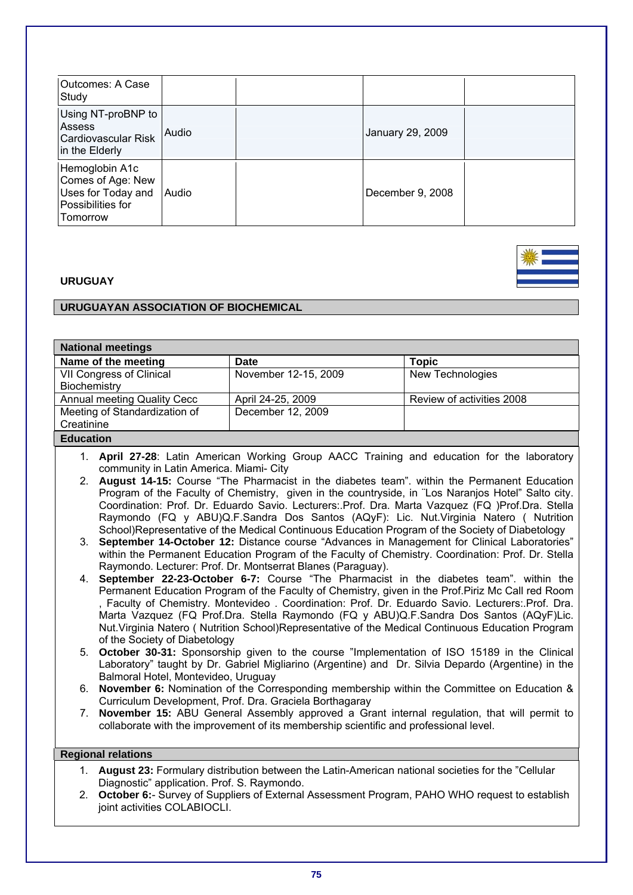| <b>Outcomes: A Case</b><br>Study                                                           |              |                  |  |
|--------------------------------------------------------------------------------------------|--------------|------------------|--|
| Using NT-proBNP to<br>Assess<br>Cardiovascular Risk<br>in the Elderly                      | Audio        | January 29, 2009 |  |
| Hemoglobin A1c<br>Comes of Age: New<br>Uses for Today and<br>Possibilities for<br>Tomorrow | <b>Audio</b> | December 9, 2008 |  |

## **URUGUAY**

# **URUGUAYAN ASSOCIATION OF BIOCHEMICAL**

| <b>National meetings</b>                                                                                                                                                                              |                                                                                                                                                                                                   |                           |  |  |  |  |
|-------------------------------------------------------------------------------------------------------------------------------------------------------------------------------------------------------|---------------------------------------------------------------------------------------------------------------------------------------------------------------------------------------------------|---------------------------|--|--|--|--|
| Name of the meeting                                                                                                                                                                                   | <b>Date</b>                                                                                                                                                                                       | <b>Topic</b>              |  |  |  |  |
| VII Congress of Clinical                                                                                                                                                                              | November 12-15, 2009                                                                                                                                                                              | New Technologies          |  |  |  |  |
| Biochemistry                                                                                                                                                                                          |                                                                                                                                                                                                   |                           |  |  |  |  |
| Annual meeting Quality Cecc                                                                                                                                                                           | April 24-25, 2009                                                                                                                                                                                 | Review of activities 2008 |  |  |  |  |
| Meeting of Standardization of                                                                                                                                                                         | December 12, 2009                                                                                                                                                                                 |                           |  |  |  |  |
| Creatinine                                                                                                                                                                                            |                                                                                                                                                                                                   |                           |  |  |  |  |
| <b>Education</b>                                                                                                                                                                                      |                                                                                                                                                                                                   |                           |  |  |  |  |
|                                                                                                                                                                                                       | 1. April 27-28: Latin American Working Group AACC Training and education for the laboratory                                                                                                       |                           |  |  |  |  |
| community in Latin America. Miami- City                                                                                                                                                               |                                                                                                                                                                                                   |                           |  |  |  |  |
|                                                                                                                                                                                                       | 2. August 14-15: Course "The Pharmacist in the diabetes team". within the Permanent Education                                                                                                     |                           |  |  |  |  |
|                                                                                                                                                                                                       | Program of the Faculty of Chemistry, given in the countryside, in "Los Naranjos Hotel" Salto city.                                                                                                |                           |  |  |  |  |
|                                                                                                                                                                                                       | Coordination: Prof. Dr. Eduardo Savio. Lecturers: Prof. Dra. Marta Vazquez (FQ )Prof.Dra. Stella                                                                                                  |                           |  |  |  |  |
|                                                                                                                                                                                                       | Raymondo (FQ y ABU)Q.F.Sandra Dos Santos (AQyF): Lic. Nut.Virginia Natero ( Nutrition                                                                                                             |                           |  |  |  |  |
|                                                                                                                                                                                                       | School)Representative of the Medical Continuous Education Program of the Society of Diabetology                                                                                                   |                           |  |  |  |  |
| 3.                                                                                                                                                                                                    | September 14-October 12: Distance course "Advances in Management for Clinical Laboratories"<br>within the Permanent Education Program of the Faculty of Chemistry. Coordination: Prof. Dr. Stella |                           |  |  |  |  |
|                                                                                                                                                                                                       | Raymondo. Lecturer: Prof. Dr. Montserrat Blanes (Paraguay).                                                                                                                                       |                           |  |  |  |  |
|                                                                                                                                                                                                       | 4. September 22-23-October 6-7: Course "The Pharmacist in the diabetes team". within the                                                                                                          |                           |  |  |  |  |
|                                                                                                                                                                                                       |                                                                                                                                                                                                   |                           |  |  |  |  |
| Permanent Education Program of the Faculty of Chemistry, given in the Prof.Piriz Mc Call red Room<br>, Faculty of Chemistry. Montevideo. Coordination: Prof. Dr. Eduardo Savio. Lecturers: Prof. Dra. |                                                                                                                                                                                                   |                           |  |  |  |  |
| Marta Vazquez (FQ Prof.Dra. Stella Raymondo (FQ y ABU)Q.F.Sandra Dos Santos (AQyF)Lic.                                                                                                                |                                                                                                                                                                                                   |                           |  |  |  |  |
|                                                                                                                                                                                                       | Nut. Virginia Natero (Nutrition School) Representative of the Medical Continuous Education Program                                                                                                |                           |  |  |  |  |
| of the Society of Diabetology                                                                                                                                                                         |                                                                                                                                                                                                   |                           |  |  |  |  |
|                                                                                                                                                                                                       | 5. October 30-31: Sponsorship given to the course "Implementation of ISO 15189 in the Clinical                                                                                                    |                           |  |  |  |  |
|                                                                                                                                                                                                       | Laboratory" taught by Dr. Gabriel Migliarino (Argentine) and Dr. Silvia Depardo (Argentine) in the                                                                                                |                           |  |  |  |  |
| Balmoral Hotel, Montevideo, Uruguay                                                                                                                                                                   |                                                                                                                                                                                                   |                           |  |  |  |  |
| <b>November 6:</b> Nomination of the Corresponding membership within the Committee on Education &<br>6.                                                                                               |                                                                                                                                                                                                   |                           |  |  |  |  |
| Curriculum Development, Prof. Dra. Graciela Borthagaray                                                                                                                                               |                                                                                                                                                                                                   |                           |  |  |  |  |
| 7. November 15: ABU General Assembly approved a Grant internal regulation, that will permit to                                                                                                        |                                                                                                                                                                                                   |                           |  |  |  |  |
| collaborate with the improvement of its membership scientific and professional level.                                                                                                                 |                                                                                                                                                                                                   |                           |  |  |  |  |
|                                                                                                                                                                                                       |                                                                                                                                                                                                   |                           |  |  |  |  |
| <b>Regional relations</b>                                                                                                                                                                             |                                                                                                                                                                                                   |                           |  |  |  |  |

- 1. **August 23:** Formulary distribution between the Latin-American national societies for the "Cellular Diagnostic" application. Prof. S. Raymondo.
- 2. **October 6:** Survey of Suppliers of External Assessment Program, PAHO WHO request to establish joint activities COLABIOCLI.